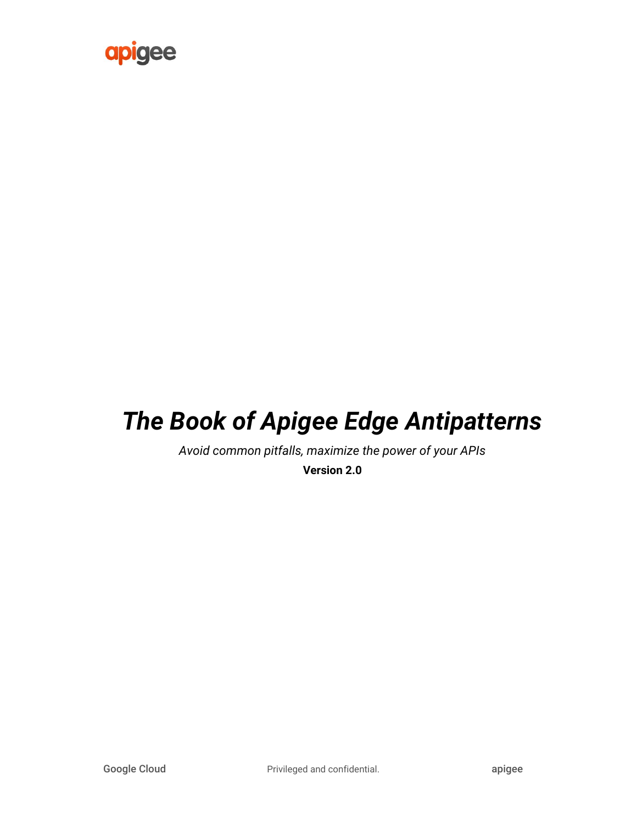

# *The Book of Apigee Edge Antipatterns*

*Avoid common pitfalls, maximize the power of your APIs*

**Version 2.0**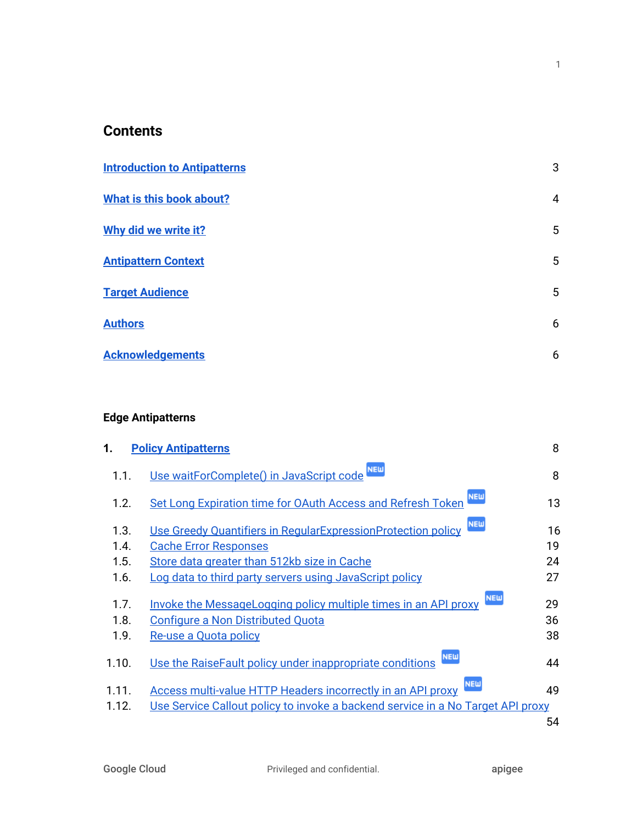#### **Contents**

| <b>Introduction to Antipatterns</b> | 3 |
|-------------------------------------|---|
| What is this book about?            | 4 |
| Why did we write it?                | 5 |
| <b>Antipattern Context</b>          | 5 |
| <b>Target Audience</b>              | 5 |
| <b>Authors</b>                      | 6 |
| <b>Acknowledgements</b>             | 6 |

#### **Edge Antipatterns**

| 1.    | <b>Policy Antipatterns</b>                                                       | 8  |
|-------|----------------------------------------------------------------------------------|----|
| 1.1.  | <b>NEW</b><br>Use waitForComplete() in JavaScript code                           | 8  |
| 1.2.  | <b>NEW</b><br>Set Long Expiration time for OAuth Access and Refresh Token        | 13 |
| 1.3.  | <b>NEW</b><br>Use Greedy Quantifiers in RegularExpressionProtection policy       | 16 |
| 1.4.  | <b>Cache Error Responses</b>                                                     | 19 |
| 1.5.  | Store data greater than 512kb size in Cache                                      | 24 |
| 1.6.  | Log data to third party servers using JavaScript policy                          | 27 |
| 1.7.  | <b>NEW</b><br>Invoke the MessageLogging policy multiple times in an API proxy    | 29 |
| 1.8.  | <b>Configure a Non Distributed Quota</b>                                         | 36 |
| 1.9.  | Re-use a Quota policy                                                            | 38 |
| 1.10. | <b>NEW</b><br>Use the RaiseFault policy under inappropriate conditions           | 44 |
| 1.11. | <b>NEW</b><br><b>Access multi-value HTTP Headers incorrectly in an API proxy</b> | 49 |
| 1.12. | Use Service Callout policy to invoke a backend service in a No Target API proxy  |    |
|       |                                                                                  | 54 |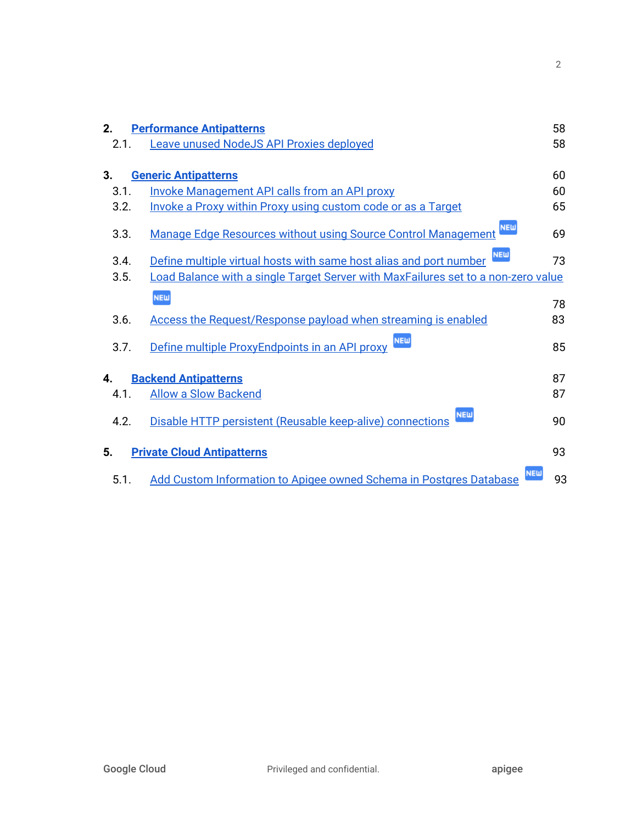| 2.   | <b>Performance Antipatterns</b>                                                   | 58 |
|------|-----------------------------------------------------------------------------------|----|
| 2.1. | <b>Leave unused NodeJS API Proxies deployed</b>                                   | 58 |
| 3.   | <b>Generic Antipatterns</b>                                                       | 60 |
| 3.1. | <b>Invoke Management API calls from an API proxy</b>                              | 60 |
| 3.2. | <b>Invoke a Proxy within Proxy using custom code or as a Target</b>               | 65 |
| 3.3. | <b>NEW</b><br>Manage Edge Resources without using Source Control Management       | 69 |
| 3.4. | <b>NEW</b><br>Define multiple virtual hosts with same host alias and port number  | 73 |
| 3.5. | Load Balance with a single Target Server with MaxFailures set to a non-zero value |    |
|      | <b>NEW</b>                                                                        | 78 |
| 3.6. | Access the Request/Response payload when streaming is enabled                     | 83 |
| 3.7. | <b>NEW</b><br>Define multiple ProxyEndpoints in an API proxy                      | 85 |
| 4.   | <b>Backend Antipatterns</b>                                                       | 87 |
| 4.1. | <b>Allow a Slow Backend</b>                                                       | 87 |
| 4.2. | <b>NEW</b><br>Disable HTTP persistent (Reusable keep-alive) connections           | 90 |
| 5.   | <b>Private Cloud Antipatterns</b>                                                 | 93 |
| 5.1. | <b>NEW</b><br>Add Custom Information to Apigee owned Schema in Postgres Database  | 93 |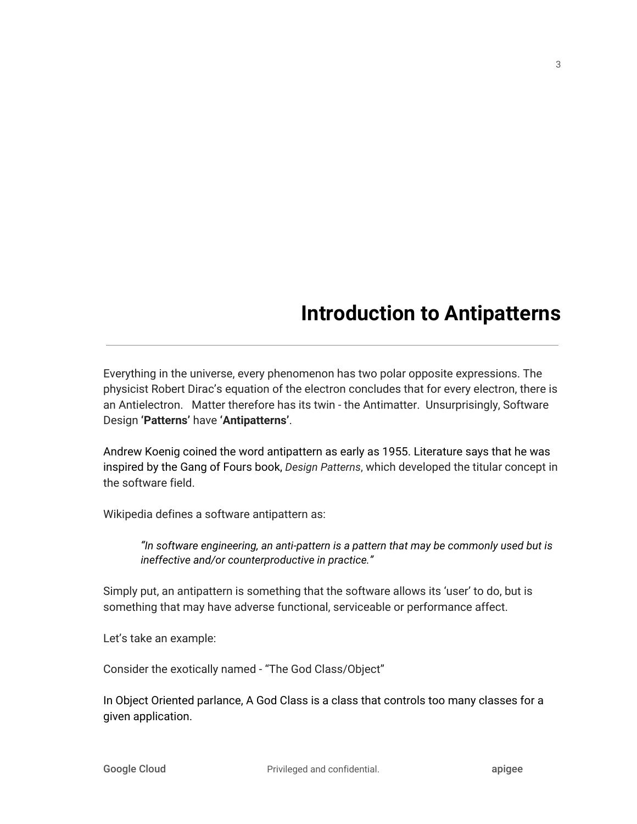# **Introduction to Antipatterns**

<span id="page-3-0"></span>Everything in the universe, every phenomenon has two polar opposite expressions. The physicist Robert Dirac's equation of the electron concludes that for every electron, there is an Antielectron. Matter therefore has its twin - the Antimatter. Unsurprisingly, Software Design **'Patterns'** have **'Antipatterns'**.

Andrew Koenig coined the word antipattern as early as 1955. Literature says that he was inspired by the Gang of Fours book, *Design Patterns*, which developed the titular concept in the software field.

Wikipedia defines a software antipattern as:

*"In software engineering, an anti-pattern is a pattern that may be commonly used but is ineffective and/or counterproductive in practice."*

Simply put, an antipattern is something that the software allows its 'user' to do, but is something that may have adverse functional, serviceable or performance affect.

Let's take an example:

Consider the exotically named - "The God Class/Object"

In Object Oriented parlance, A God Class is a class that controls too many classes for a given application.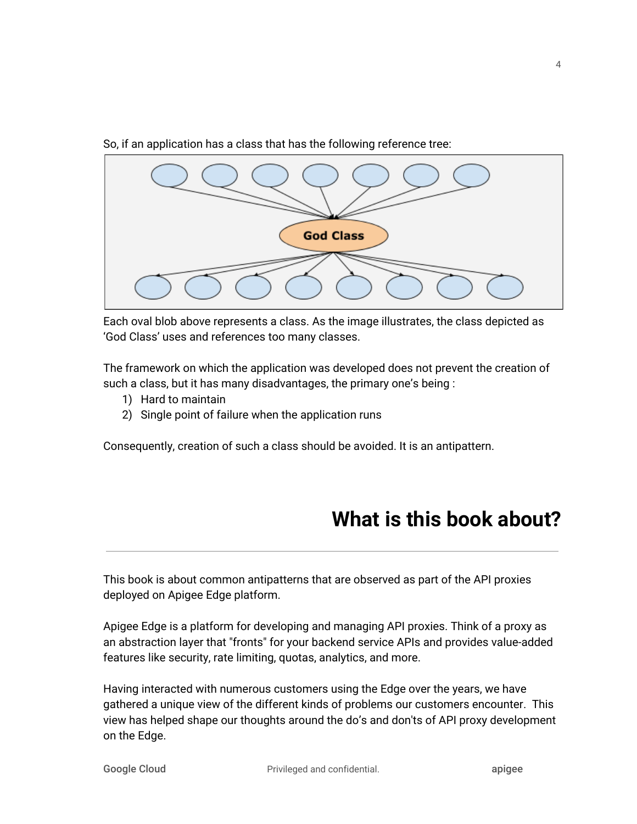

So, if an application has a class that has the following reference tree:

Each oval blob above represents a class. As the image illustrates, the class depicted as 'God Class' uses and references too many classes.

The framework on which the application was developed does not prevent the creation of such a class, but it has many disadvantages, the primary one's being :

- 1) Hard to maintain
- 2) Single point of failure when the application runs

<span id="page-4-0"></span>Consequently, creation of such a class should be avoided. It is an antipattern.

## **What is this book about?**

This book is about common antipatterns that are observed as part of the API proxies deployed on Apigee Edge platform.

Apigee Edge is a platform for developing and managing API proxies. Think of a proxy as an abstraction layer that "fronts" for your backend service APIs and provides value-added features like security, rate limiting, quotas, analytics, and more.

Having interacted with numerous customers using the Edge over the years, we have gathered a unique view of the different kinds of problems our customers encounter. This view has helped shape our thoughts around the do's and don'ts of API proxy development on the Edge.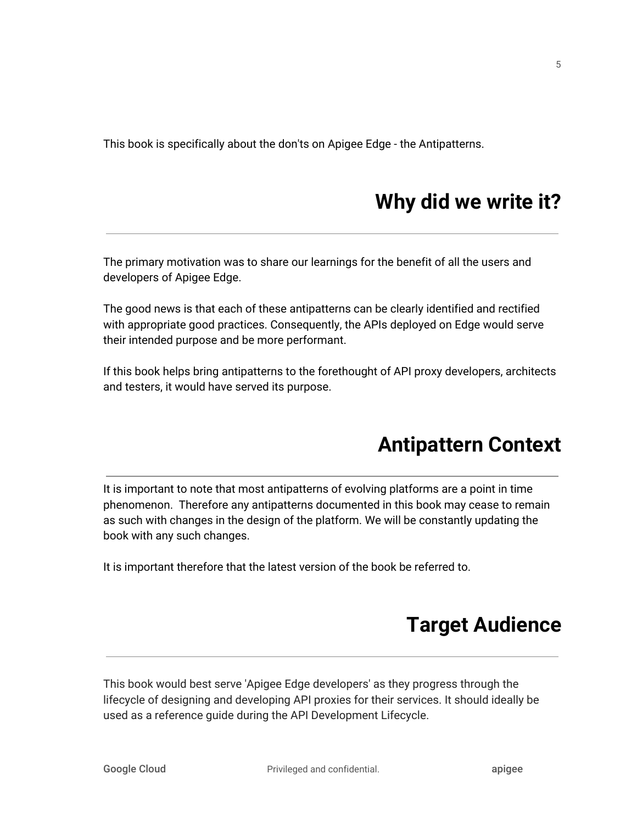<span id="page-5-0"></span>This book is specifically about the don'ts on Apigee Edge - the Antipatterns.

# **Why did we write it?**

The primary motivation was to share our learnings for the benefit of all the users and developers of Apigee Edge.

The good news is that each of these antipatterns can be clearly identified and rectified with appropriate good practices. Consequently, the APIs deployed on Edge would serve their intended purpose and be more performant.

<span id="page-5-1"></span>If this book helps bring antipatterns to the forethought of API proxy developers, architects and testers, it would have served its purpose.

# **Antipattern Context**

It is important to note that most antipatterns of evolving platforms are a point in time phenomenon. Therefore any antipatterns documented in this book may cease to remain as such with changes in the design of the platform. We will be constantly updating the book with any such changes.

<span id="page-5-2"></span>It is important therefore that the latest version of the book be referred to.

## **Target Audience**

This book would best serve 'Apigee Edge developers' as they progress through the lifecycle of designing and developing API proxies for their services. It should ideally be used as a reference guide during the API Development Lifecycle.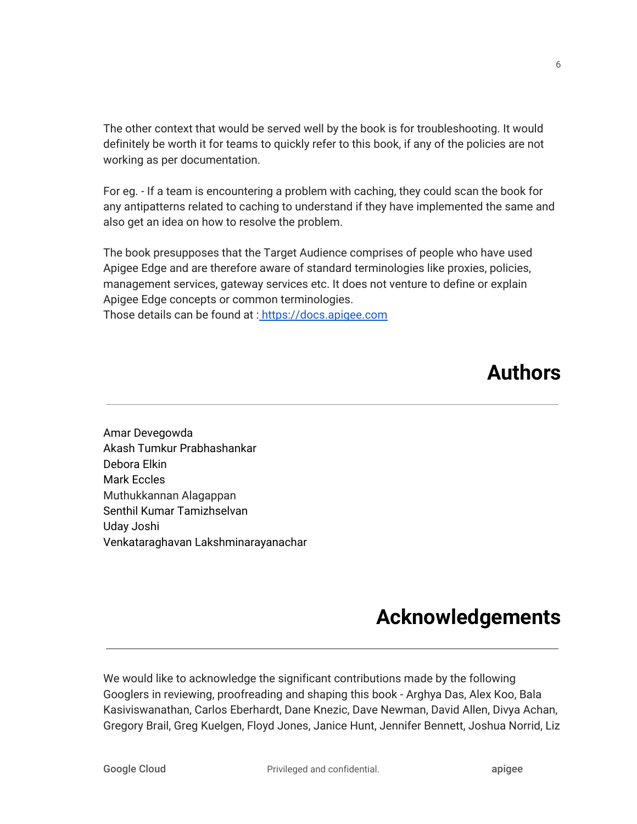The other context that would be served well by the book is for troubleshooting. It would definitely be worth it for teams to quickly refer to this book, if any of the policies are not working as per documentation.

For eg. - If a team is encountering a problem with caching, they could scan the book for any antipatterns related to caching to understand if they have implemented the same and also get an idea on how to resolve the problem.

The book presupposes that the Target Audience comprises of people who have used Apigee Edge and are therefore aware of standard terminologies like proxies, policies, management services, gateway services etc. It does not venture to define or explain Apigee Edge concepts or common terminologies.

<span id="page-6-0"></span>Those details can be found at : [https://docs.apigee.com](https://docs.apigee.com/)

# **Authors**

Amar Devegowda Akash Tumkur Prabhashankar Debora Elkin Mark Eccles Muthukkannan Alagappan Senthil Kumar Tamizhselvan Uday Joshi Venkataraghavan Lakshminarayanachar

# **Acknowledgements**

<span id="page-6-1"></span>We would like to acknowledge the significant contributions made by the following Googlers in reviewing, proofreading and shaping this book - Arghya Das, Alex Koo, Bala Kasiviswanathan, Carlos Eberhardt, Dane Knezic, Dave Newman, David Allen, Divya Achan, Gregory Brail, Greg Kuelgen, Floyd Jones, Janice Hunt, Jennifer Bennett, Joshua Norrid, Liz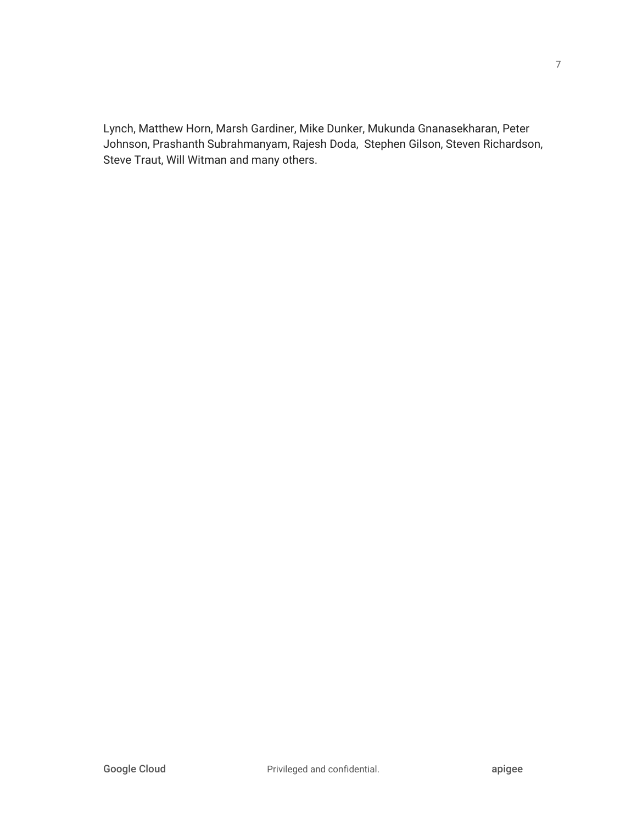Lynch, Matthew Horn, Marsh Gardiner, Mike Dunker, Mukunda Gnanasekharan, Peter Johnson, Prashanth Subrahmanyam, Rajesh Doda, Stephen Gilson, Steven Richardson, Steve Traut, Will Witman and many others.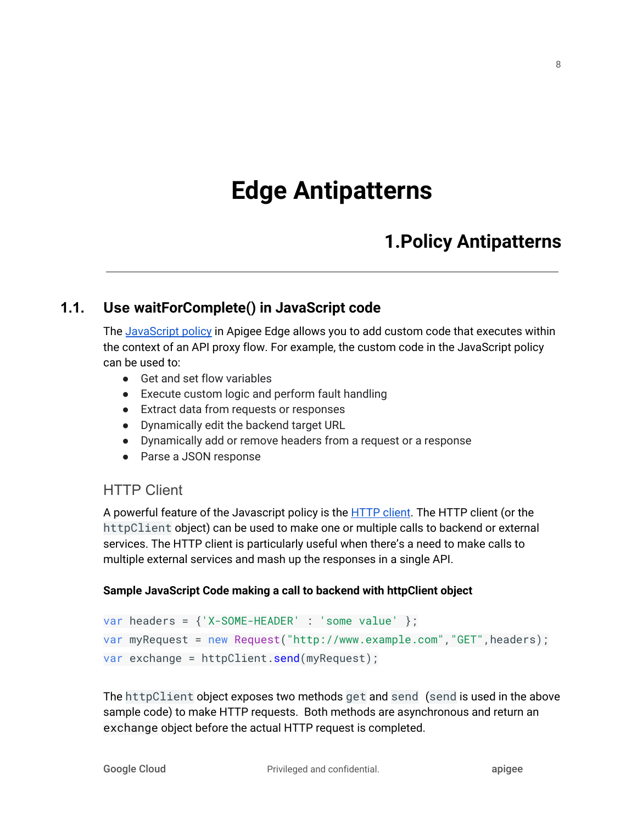# **Edge Antipatterns**

## **1.Policy Antipatterns**

#### <span id="page-8-0"></span>**1.1. Use waitForComplete() in JavaScript code**

<span id="page-8-1"></span>The [JavaScript](https://docs.apigee.com/api-platform/reference/policies/javascript-policy) policy in Apigee Edge allows you to add custom code that executes within the context of an API proxy flow. For example, the custom code in the JavaScript policy can be used to:

- Get and set flow variables
- Execute custom logic and perform fault handling
- Extract data from requests or responses
- Dynamically edit the backend target URL
- Dynamically add or remove headers from a request or a response
- Parse a JSON response

#### HTTP Client

A powerful feature of the Javascript policy is the [HTTP](https://docs.apigee.com/api-platform/reference/javascript-object-model#makingjavascriptcalloutswithhttpclient) client. The HTTP client (or the httpClient object) can be used to make one or multiple calls to backend or external services. The HTTP client is particularly useful when there's a need to make calls to multiple external services and mash up the responses in a single API.

#### **Sample JavaScript Code making a call to backend with httpClient object**

```
var headers = {'X-SOME-HEADER' : 'some value' };
var myRequest = new Request("http://www.example.com","GET",headers);
var exchange = httpClient.send(myRequest);
```
The httpClient object exposes two methods get and send (send is used in the above sample code) to make HTTP requests. Both methods are asynchronous and return an exchange object before the actual HTTP request is completed.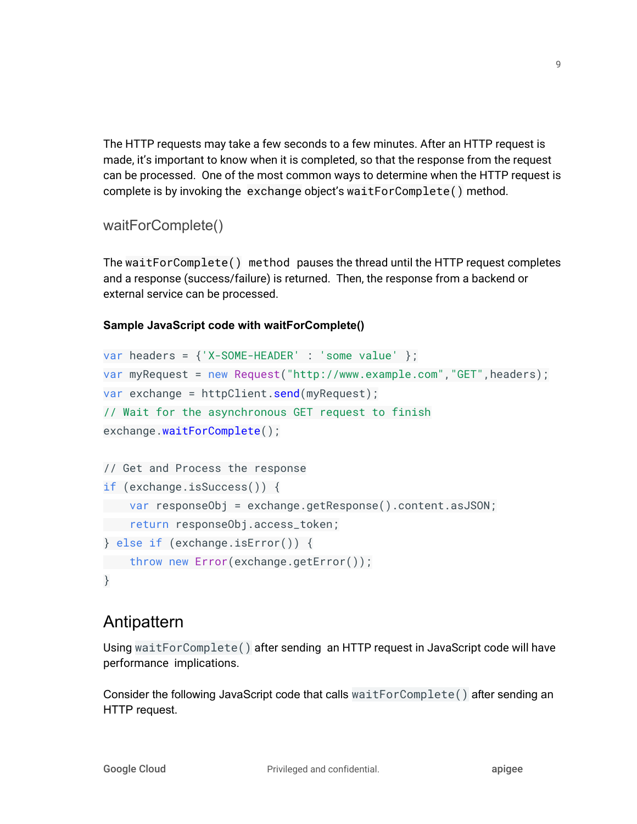The HTTP requests may take a few seconds to a few minutes. After an HTTP request is made, it's important to know when it is completed, so that the response from the request can be processed. One of the most common ways to determine when the HTTP request is complete is by invoking the exchange object's waitForComplete() method.

#### waitForComplete()

The waitForComplete() method pauses the thread until the HTTP request completes and a response (success/failure) is returned. Then, the response from a backend or external service can be processed.

#### **Sample JavaScript code with waitForComplete()**

```
var headers = {'X-SOME-HEADER' : 'some value' };
var myRequest = new Request("http://www.example.com","GET",headers);
var exchange = httpClient.send(myRequest);
// Wait for the asynchronous GET request to finish
exchange.waitForComplete();
// Get and Process the response
if (exchange.isSuccess()) {
 var responseObj = exchange.getResponse().content.asJSON;
 return responseObj.access_token;
} else if (exchange.isError()) {
 throw new Error(exchange.getError());
}
```
### Antipattern

Using waitForComplete() after sending an HTTP request in JavaScript code will have performance implications.

Consider the following JavaScript code that calls waitForComplete() after sending an HTTP request.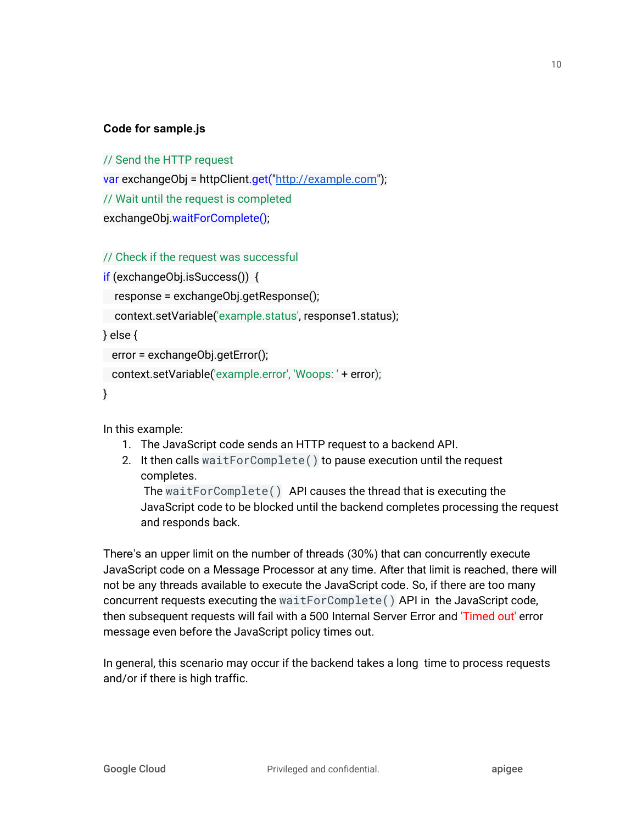#### **Code for sample.js**

// Send the HTTP request

var exchangeObj = httpClient.get("[http://example.com](http://example.com/)");

// Wait until the request is completed

exchangeObj.waitForComplete();

#### // Check if the request was successful

```
if (exchangeObj.isSuccess()) {
```

```
response = exchangeObj.getResponse();
```
context.setVariable('example.status', response1.status);

} else {

```
error = exchangeObj.getError();
```

```
context.setVariable('example.error', 'Woops: ' + error);
```
}

In this example:

- 1. The JavaScript code sends an HTTP request to a backend API.
- 2. It then calls waitForComplete() to pause execution until the request completes.

The waitForComplete() API causes the thread that is executing the JavaScript code to be blocked until the backend completes processing the request and responds back.

There's an upper limit on the number of threads (30%) that can concurrently execute JavaScript code on a Message Processor at any time. After that limit is reached, there will not be any threads available to execute the JavaScript code. So, if there are too many concurrent requests executing the waitForComplete() API in the JavaScript code, then subsequent requests will fail with a 500 Internal Server Error and 'Timed out' error message even before the JavaScript policy times out.

In general, this scenario may occur if the backend takes a long time to process requests and/or if there is high traffic.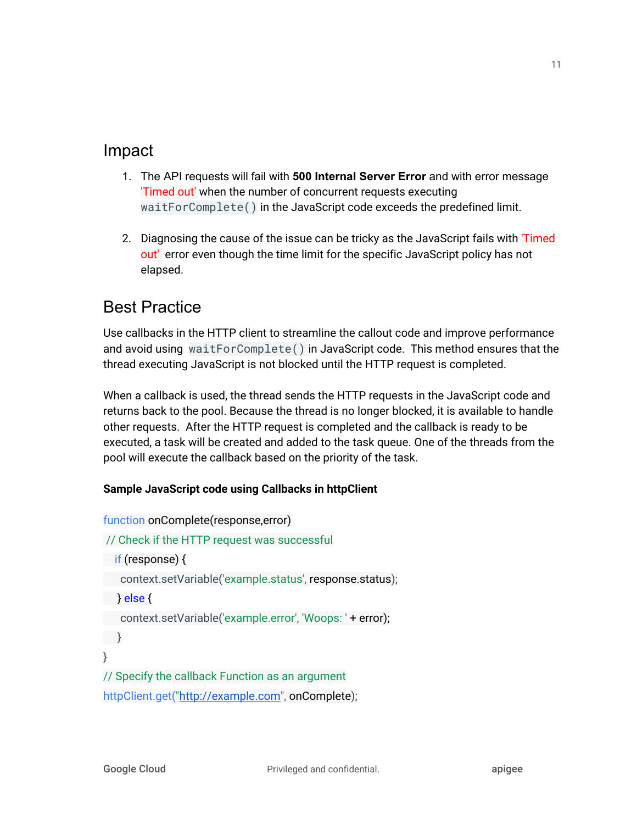### Impact

- 1. The API requests will fail with **500 Internal Server Error** and with error message 'Timed out' when the number of concurrent requests executing waitForComplete() in the JavaScript code exceeds the predefined limit.
- 2. Diagnosing the cause of the issue can be tricky as the JavaScript fails with 'Timed out' error even though the time limit for the specific JavaScript policy has not elapsed.

## Best Practice

Use callbacks in the HTTP client to streamline the callout code and improve performance and avoid using waitForComplete() in JavaScript code. This method ensures that the thread executing JavaScript is not blocked until the HTTP request is completed.

When a callback is used, the thread sends the HTTP requests in the JavaScript code and returns back to the pool. Because the thread is no longer blocked, it is available to handle other requests. After the HTTP request is completed and the callback is ready to be executed, a task will be created and added to the task queue. One of the threads from the pool will execute the callback based on the priority of the task.

#### **Sample JavaScript code using Callbacks in httpClient**

```
function onComplete(response,error)
// Check if the HTTP request was successful
if (response) {
context.setVariable('example.status', response.status);
} else {
context.setVariable('example.error', 'Woops: ' + error);
}
}
// Specify the callback Function as an argument
"http://example.com", onComplete);
```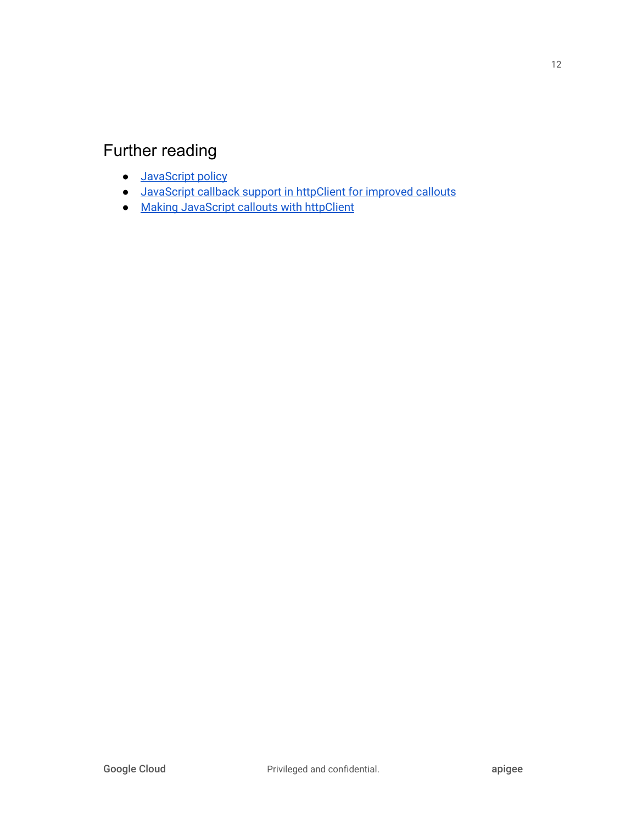## Further reading

- **[JavaScript](https://docs.apigee.com/api-platform/reference/policies/javascript-policy) policy**
- [JavaScript](https://docs.apigee.com/release/notes/180608-apigee-edge-public-cloud-release-notes) callback support in httpClient for improved callouts
- Making [JavaScript](https://docs.apigee.com/api-platform/reference/javascript-object-model#makingjavascriptcalloutswithhttpclient) callouts with httpClient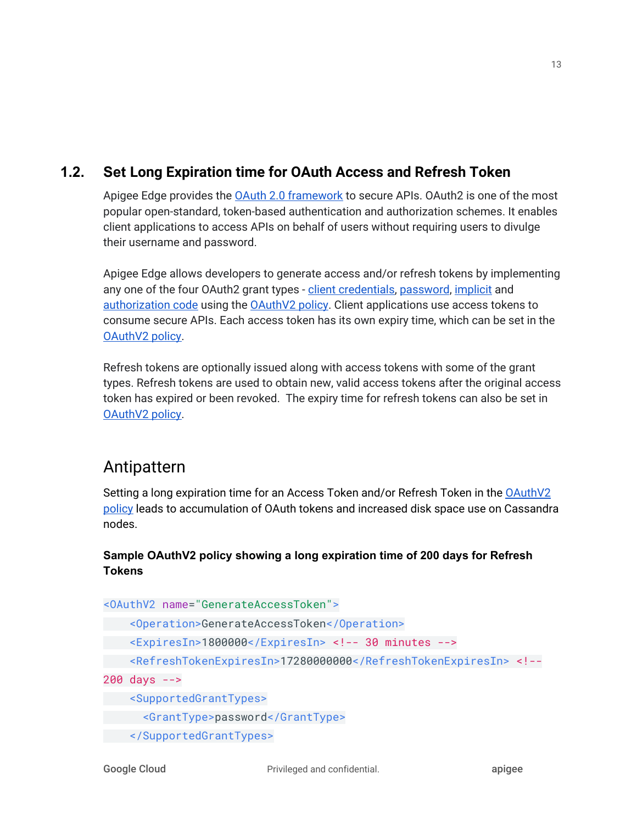### **1.2. Set Long Expiration time for OAuth Access and Refresh Token**

<span id="page-13-0"></span>Apigee Edge provides the OAuth 2.0 [framework](https://docs.apigee.com/api-platform/security/oauth/oauth-home) to secure APIs. OAuth2 is one of the most popular open-standard, token-based authentication and authorization schemes. It enables client applications to access APIs on behalf of users without requiring users to divulge their username and password.

Apigee Edge allows developers to generate access and/or refresh tokens by implementing any one of the four OAuth2 grant types - client [credentials,](https://docs.apigee.com/api-platform/security/oauth/oauth-20-client-credentials-grant-type.html) [password](https://docs.apigee.com/api-platform/security/oauth/implementing-password-grant-type.html), [implicit](https://docs.apigee.com/api-platform/security/oauth/access-tokens.html#requestinganaccesstokenimplicitgranttype) and [authorization](https://docs.apigee.com/api-platform/security/oauth/oauth-v2-policy-authorization-code-grant-type.html) code using the [OAuthV2](https://docs.apigee.com/api-platform/reference/policies/oauthv2-policy.html) policy. Client applications use access tokens to consume secure APIs. Each access token has its own expiry time, which can be set in the OAuthV<sub>2</sub> policy.

Refresh tokens are optionally issued along with access tokens with some of the grant types. Refresh tokens are used to obtain new, valid access tokens after the original access token has expired or been revoked. The expiry time for refresh tokens can also be set in [OAuthV2](https://docs.apigee.com/api-platform/reference/policies/oauthv2-policy.html) policy.

### Antipattern

Setting a long expiration time for an Access Token and/or Refresh Token in the [OAuthV2](https://docs.apigee.com/api-platform/reference/policies/oauthv2-policy.html) [policy](https://docs.apigee.com/api-platform/reference/policies/oauthv2-policy.html) leads to accumulation of OAuth tokens and increased disk space use on Cassandra nodes.

#### **Sample OAuthV2 policy showing a long expiration time of 200 days for Refresh Tokens**

<OAuthV2 name="GenerateAccessToken">

```
 <Operation>GenerateAccessToken</Operation>
```

```
 <ExpiresIn>1800000</ExpiresIn> <!-- 30 minutes -->
```

```
 <RefreshTokenExpiresIn>17280000000</RefreshTokenExpiresIn> <!--
```
200 days -->

<SupportedGrantTypes>

<GrantType>password</GrantType>

</SupportedGrantTypes>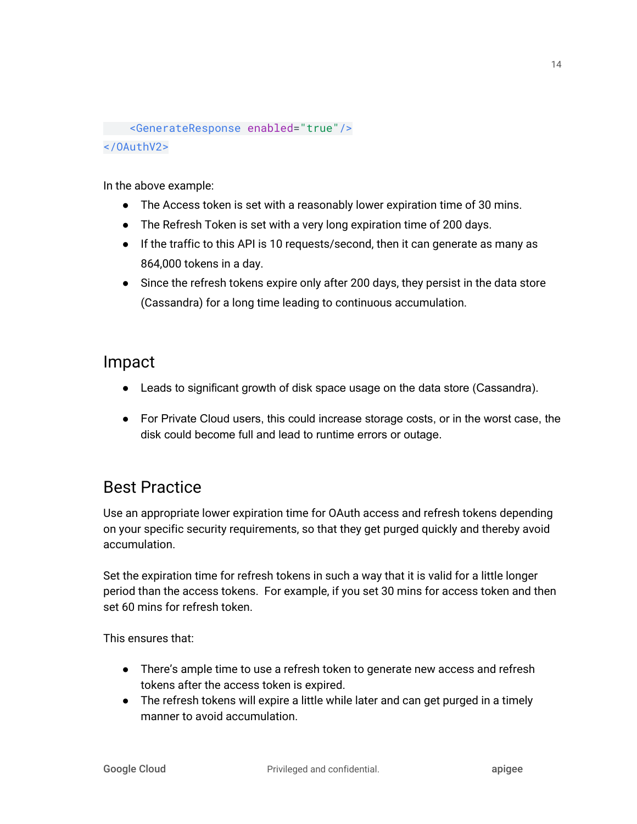<GenerateResponse enabled="true"/> </OAuthV2>

In the above example:

- The Access token is set with a reasonably lower expiration time of 30 mins.
- The Refresh Token is set with a very long expiration time of 200 days.
- If the traffic to this API is 10 requests/second, then it can generate as many as 864,000 tokens in a day.
- Since the refresh tokens expire only after 200 days, they persist in the data store (Cassandra) for a long time leading to continuous accumulation.

### Impact

- Leads to significant growth of disk space usage on the data store (Cassandra).
- For Private Cloud users, this could increase storage costs, or in the worst case, the disk could become full and lead to runtime errors or outage.

## Best Practice

Use an appropriate lower expiration time for OAuth access and refresh tokens depending on your specific security requirements, so that they get purged quickly and thereby avoid accumulation.

Set the expiration time for refresh tokens in such a way that it is valid for a little longer period than the access tokens. For example, if you set 30 mins for access token and then set 60 mins for refresh token.

This ensures that:

- There's ample time to use a refresh token to generate new access and refresh tokens after the access token is expired.
- The refresh tokens will expire a little while later and can get purged in a timely manner to avoid accumulation.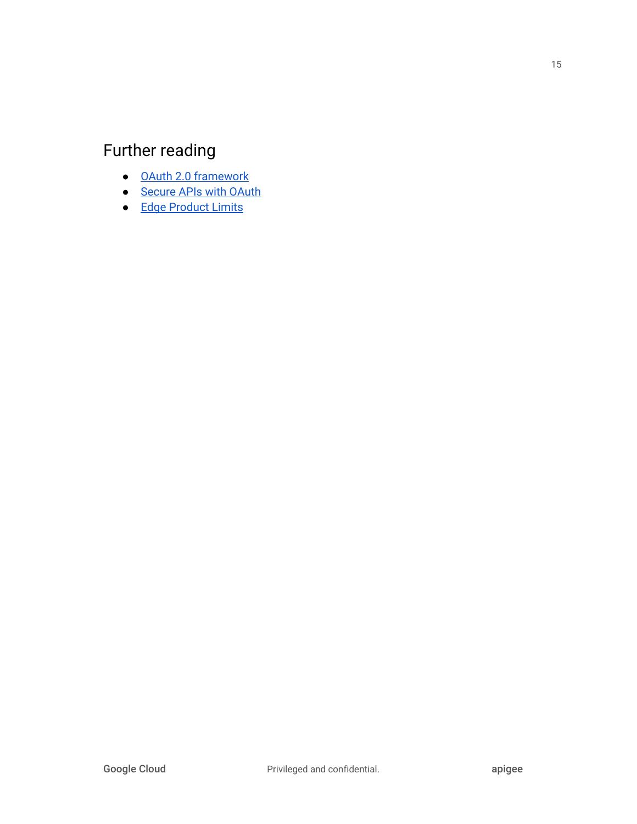## Further reading

- OAuth 2.0 [framework](https://docs.apigee.com/api-platform/security/oauth/oauth-home)
- [Secure](https://docs.apigee.com/api-platform/tutorials/secure-calls-your-api-through-oauth-20-client-credentials) APIs with OAuth
- Edge [Product](https://docs.apigee.com/api-platform/reference/limits) Limits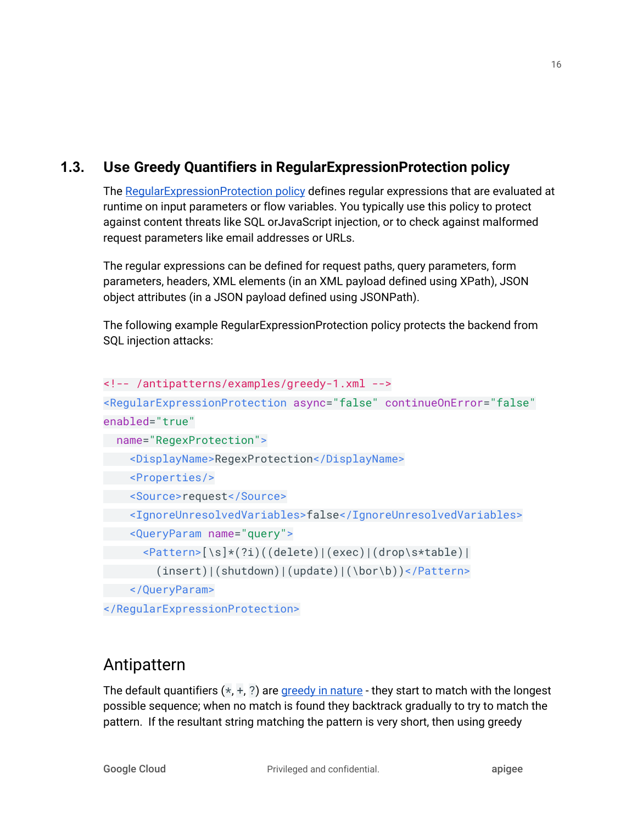### **1.3. Use Greedy Quantifiers in RegularExpressionProtection policy**

<span id="page-16-0"></span>The [RegularExpressionProtection](https://docs.apigee.com/api-platform/reference/policies/regular-expression-protection) policy defines regular expressions that are evaluated at runtime on input parameters or flow variables. You typically use this policy to protect against content threats like SQL orJavaScript injection, or to check against malformed request parameters like email addresses or URLs.

The regular expressions can be defined for request paths, query parameters, form parameters, headers, XML elements (in an XML payload defined using XPath), JSON object attributes (in a JSON payload defined using JSONPath).

The following example RegularExpressionProtection policy protects the backend from SQL injection attacks:

```
<!-- /antipatterns/examples/greedy-1.xml -->
<RegularExpressionProtection async="false" continueOnError="false"
enabled="true"
  name="RegexProtection">
    <DisplayName>RegexProtection</DisplayName>
    <Properties/>
   <Source>request</Source>
    <IgnoreUnresolvedVariables>false</IgnoreUnresolvedVariables>
    <QueryParam name="query">
       <Pattern>[\s]*(?i)((delete)|(exec)|(drop\s*table)|
         (insert)|(shutdown)|(update)|(\bor\b))</Pattern>
    </QueryParam>
```
</RegularExpressionProtection>

## Antipattern

The default quantifiers  $(*, +, ?)$  are [greedy](https://docs.oracle.com/javase/tutorial/essential/regex/quant.html) in nature - they start to match with the longest possible sequence; when no match is found they backtrack gradually to try to match the pattern. If the resultant string matching the pattern is very short, then using greedy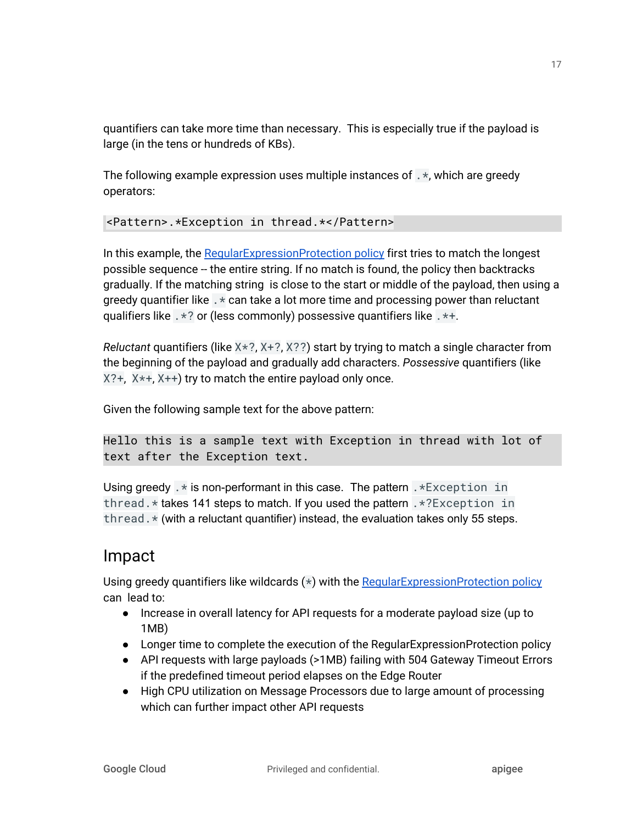quantifiers can take more time than necessary. This is especially true if the payload is large (in the tens or hundreds of KBs).

The following example expression uses multiple instances of .\*, which are greedy operators:

<Pattern>.\*Exception in thread.\*</Pattern>

In this example, the [RegularExpressionProtection](https://docs.apigee.com/api-platform/reference/policies/regular-expression-protection) policy first tries to match the longest possible sequence -- the entire string. If no match is found, the policy then backtracks gradually. If the matching string is close to the start or middle of the payload, then using a greedy quantifier like .\* can take a lot more time and processing power than reluctant qualifiers like .\*? or (less commonly) possessive quantifiers like .\*+.

*Reluctant* quantifiers (like X\*?, X+?, X??) start by trying to match a single character from the beginning of the payload and gradually add characters. *Possessive* quantifiers (like X?+, X\*+, X++) try to match the entire payload only once.

Given the following sample text for the above pattern:

```
Hello this is a sample text with Exception in thread with lot of
text after the Exception text.
```
Using greedy  $\cdot$  is non-performant in this case. The pattern  $\cdot$  \*Exception in thread.\* takes 141 steps to match. If you used the pattern .\*?Exception in thread. $\star$  (with a reluctant quantifier) instead, the evaluation takes only 55 steps.

### Impact

Using greedy quantifiers like wildcards  $(*)$  with the Regular Expression Protection policy can lead to:

- Increase in overall latency for API requests for a moderate payload size (up to 1MB)
- Longer time to complete the execution of the RegularExpressionProtection policy
- API requests with large payloads (>1MB) failing with 504 Gateway Timeout Errors if the predefined timeout period elapses on the Edge Router
- High CPU utilization on Message Processors due to large amount of processing which can further impact other API requests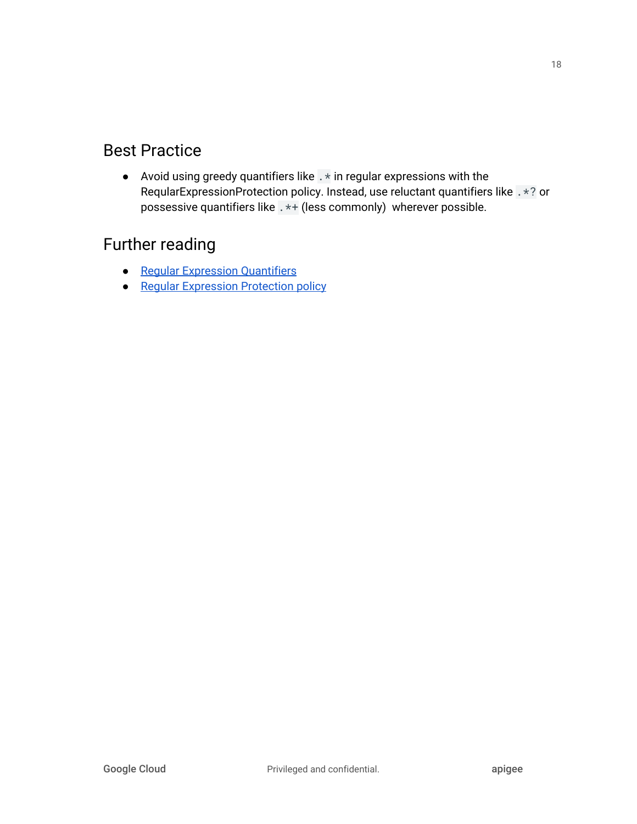## Best Practice

• Avoid using greedy quantifiers like  $\cdot *$  in regular expressions with the ReqularExpressionProtection policy. Instead, use reluctant quantifiers like .\*? or possessive quantifiers like .\*+ (less commonly) wherever possible.

## Further reading

- Regular [Expression](https://docs.oracle.com/javase/tutorial/essential/regex/quant.html) Quantifiers
- Regular [Expression](https://docs.apigee.com/api-platform/reference/policies/regular-expression-protection) Protection policy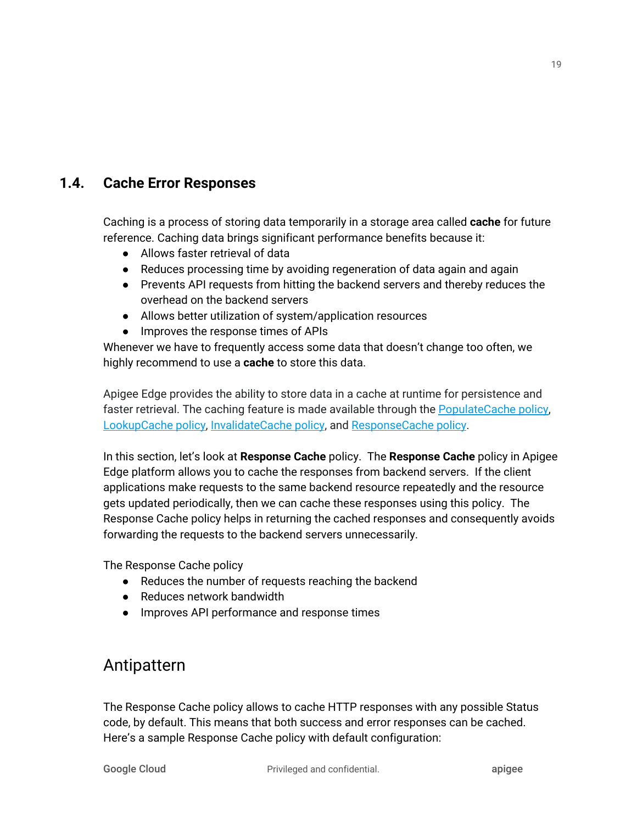#### <span id="page-19-0"></span>**1.4. Cache Error Responses**

Caching is a process of storing data temporarily in a storage area called **cache** for future reference. Caching data brings significant performance benefits because it:

- Allows faster retrieval of data
- Reduces processing time by avoiding regeneration of data again and again
- Prevents API requests from hitting the backend servers and thereby reduces the overhead on the backend servers
- Allows better utilization of system/application resources
- Improves the response times of APIs

Whenever we have to frequently access some data that doesn't change too often, we highly recommend to use a **cache** to store this data.

Apigee Edge provides the ability to store data in a cache at runtime for persistence and faster retrieval. The caching feature is made available through the [PopulateCache](https://docs.apigee.com/api-platform/reference/policies/populate-cache-policy) policy, [LookupCache](https://docs.apigee.com/api-platform/reference/policies/lookup-cache-policy) policy, [InvalidateCache](https://docs.apigee.com/api-platform/reference/policies/invalidate-cache-policy) policy, and [ResponseCache](https://docs.apigee.com/api-platform/reference/policies/response-cache-policy) policy.

In this section, let's look at **Response Cache** policy. The **Response Cache** policy in Apigee Edge platform allows you to cache the responses from backend servers. If the client applications make requests to the same backend resource repeatedly and the resource gets updated periodically, then we can cache these responses using this policy. The Response Cache policy helps in returning the cached responses and consequently avoids forwarding the requests to the backend servers unnecessarily.

The Response Cache policy

- Reduces the number of requests reaching the backend
- Reduces network bandwidth
- Improves API performance and response times

### Antipattern

The Response Cache policy allows to cache HTTP responses with any possible Status code, by default. This means that both success and error responses can be cached. Here's a sample Response Cache policy with default configuration: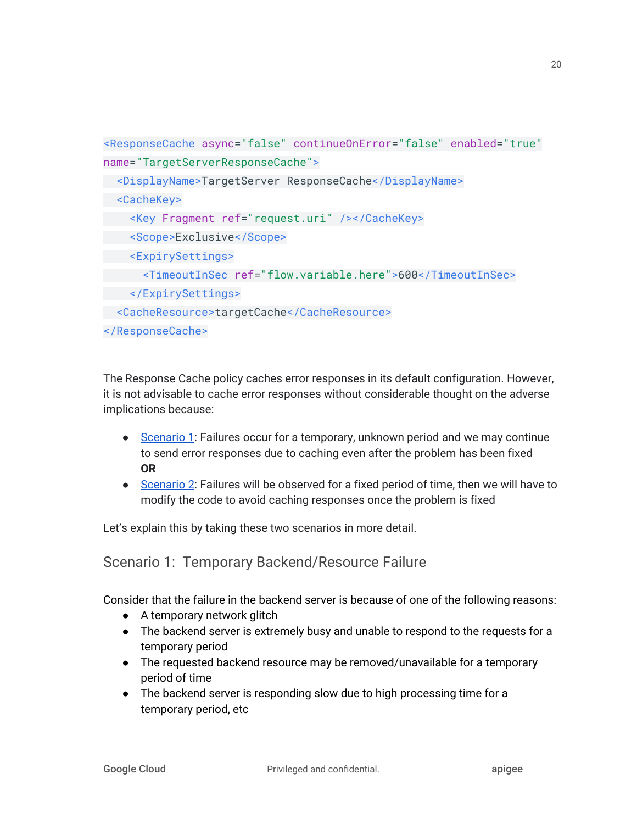```
<ResponseCache async="false" continueOnError="false" enabled="true"
name="TargetServerResponseCache">
 <DisplayName>TargetServer ResponseCache</DisplayName>
 <CacheKey>
    <Key Fragment ref="request.uri" /></CacheKey>
   <Scope>Exclusive</Scope>
   <ExpirySettings>
      <TimeoutInSec ref="flow.variable.here">600</TimeoutInSec>
 </ExpirySettings>
 <CacheResource>targetCache</CacheResource>
</ResponseCache>
```
The Response Cache policy caches error responses in its default configuration. However, it is not advisable to cache error responses without considerable thought on the adverse implications because:

- [Scenario](#page-20-0) 1: Failures occur for a temporary, unknown period and we may continue to send error responses due to caching even after the problem has been fixed **OR**
- [Scenario](#page-21-0) 2: Failures will be observed for a fixed period of time, then we will have to modify the code to avoid caching responses once the problem is fixed

Let's explain this by taking these two scenarios in more detail.

### <span id="page-20-0"></span>Scenario 1: Temporary Backend/Resource Failure

Consider that the failure in the backend server is because of one of the following reasons:

- A temporary network glitch
- The backend server is extremely busy and unable to respond to the requests for a temporary period
- The requested backend resource may be removed/unavailable for a temporary period of time
- The backend server is responding slow due to high processing time for a temporary period, etc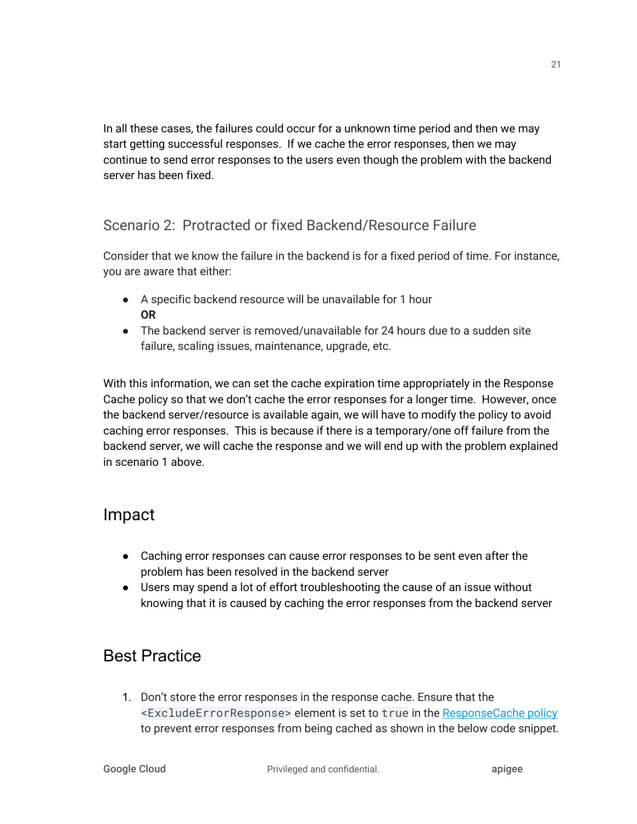In all these cases, the failures could occur for a unknown time period and then we may start getting successful responses. If we cache the error responses, then we may continue to send error responses to the users even though the problem with the backend server has been fixed.

#### <span id="page-21-0"></span>Scenario 2: Protracted or fixed Backend/Resource Failure

Consider that we know the failure in the backend is for a fixed period of time. For instance, you are aware that either:

- A specific backend resource will be unavailable for 1 hour **OR**
- The backend server is removed/unavailable for 24 hours due to a sudden site failure, scaling issues, maintenance, upgrade, etc.

With this information, we can set the cache expiration time appropriately in the Response Cache policy so that we don't cache the error responses for a longer time. However, once the backend server/resource is available again, we will have to modify the policy to avoid caching error responses. This is because if there is a temporary/one off failure from the backend server, we will cache the response and we will end up with the problem explained in scenario 1 above.

### Impact

- Caching error responses can cause error responses to be sent even after the problem has been resolved in the backend server
- Users may spend a lot of effort troubleshooting the cause of an issue without knowing that it is caused by caching the error responses from the backend server

## Best Practice

1. Don't store the error responses in the response cache. Ensure that the <ExcludeErrorResponse> element is set to true in the [ResponseCache](https://docs.apigee.com/api-platform/reference/policies/response-cache-policy) policy to prevent error responses from being cached as shown in the below code snippet.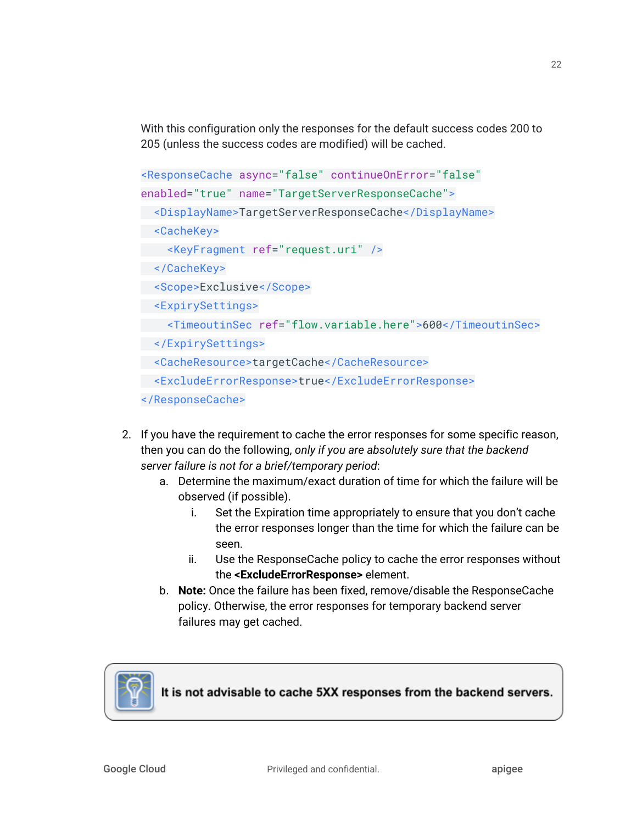With this configuration only the responses for the default success codes 200 to 205 (unless the success codes are modified) will be cached.

```
<ResponseCache async="false" continueOnError="false"
enabled="true" name="TargetServerResponseCache">
  <DisplayName>TargetServerResponseCache</DisplayName>
  <CacheKey>
     <KeyFragment ref="request.uri" />
 </CacheKey>
  <Scope>Exclusive</Scope>
  <ExpirySettings>
     <TimeoutinSec ref="flow.variable.here">600</TimeoutinSec>
 </ExpirySettings>
  <CacheResource>targetCache</CacheResource>
 <ExcludeErrorResponse>true</ExcludeErrorResponse>
</ResponseCache>
```
- 2. If you have the requirement to cache the error responses for some specific reason, then you can do the following, *only if you are absolutely sure that the backend server failure is not for a brief/temporary period*:
	- a. Determine the maximum/exact duration of time for which the failure will be observed (if possible).
		- i. Set the Expiration time appropriately to ensure that you don't cache the error responses longer than the time for which the failure can be seen.
		- ii. Use the ResponseCache policy to cache the error responses without the **<ExcludeErrorResponse>** element.
	- b. **Note:** Once the failure has been fixed, remove/disable the ResponseCache policy. Otherwise, the error responses for temporary backend server failures may get cached.



It is not advisable to cache 5XX responses from the backend servers.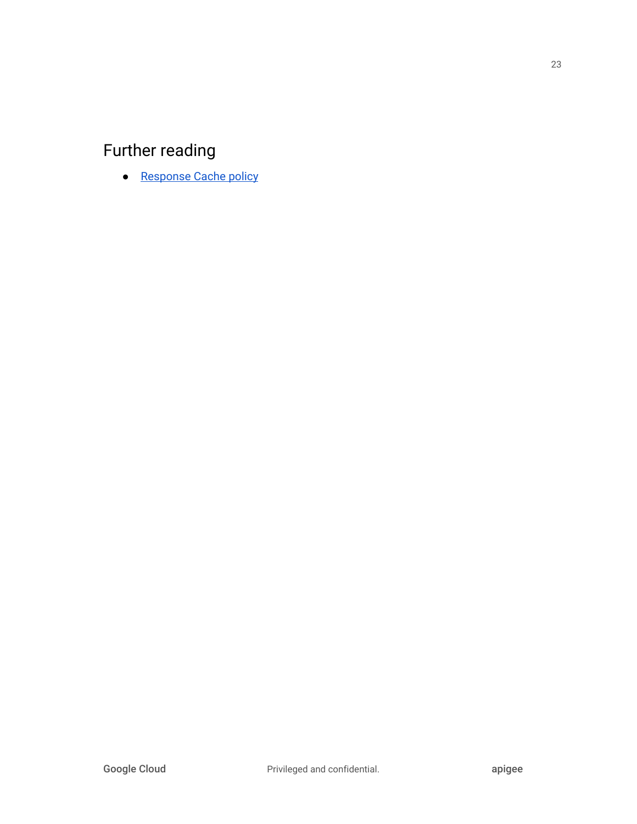## Further reading

● [Response](http://docs.apigee.com/api-services/reference/response-cache-policy) Cache policy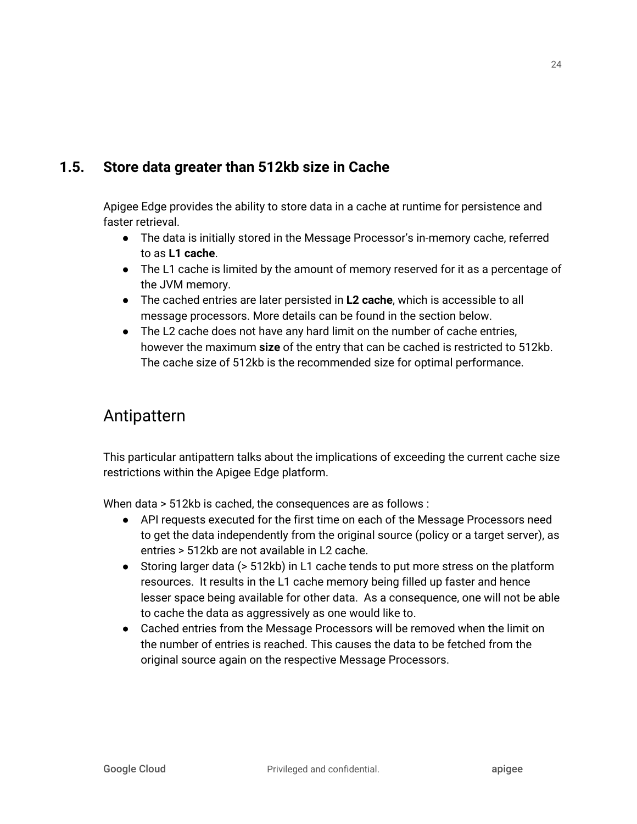### <span id="page-24-0"></span>**1.5. Store data greater than 512kb size in Cache**

Apigee Edge provides the ability to store data in a cache at runtime for persistence and faster retrieval.

- The data is initially stored in the Message Processor's in-memory cache, referred to as **L1 cache**.
- The L1 cache is limited by the amount of memory reserved for it as a percentage of the JVM memory.
- The cached entries are later persisted in **L2 cache**, which is accessible to all message processors. More details can be found in the section below.
- The L2 cache does not have any hard limit on the number of cache entries, however the maximum **size** of the entry that can be cached is restricted to 512kb. The cache size of 512kb is the recommended size for optimal performance.

### Antipattern

This particular antipattern talks about the implications of exceeding the current cache size restrictions within the Apigee Edge platform.

When data > 512kb is cached, the consequences are as follows :

- API requests executed for the first time on each of the Message Processors need to get the data independently from the original source (policy or a target server), as entries > 512kb are not available in L2 cache.
- Storing larger data (> 512kb) in L1 cache tends to put more stress on the platform resources. It results in the L1 cache memory being filled up faster and hence lesser space being available for other data. As a consequence, one will not be able to cache the data as aggressively as one would like to.
- Cached entries from the Message Processors will be removed when the limit on the number of entries is reached. This causes the data to be fetched from the original source again on the respective Message Processors.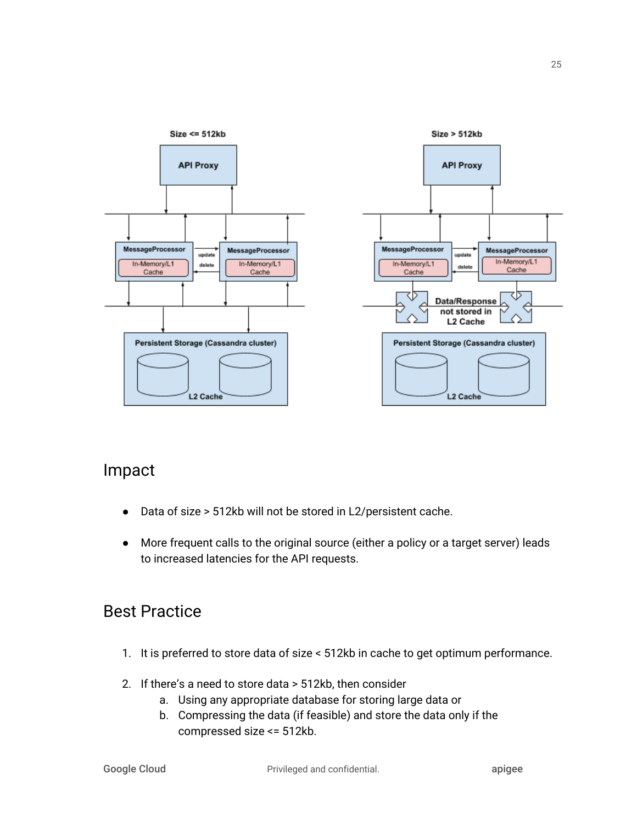

### Impact

- Data of size > 512kb will not be stored in L2/persistent cache.
- More frequent calls to the original source (either a policy or a target server) leads to increased latencies for the API requests.

## Best Practice

- 1. It is preferred to store data of size < 512kb in cache to get optimum performance.
- 2. If there's a need to store data > 512kb, then consider
	- a. Using any appropriate database for storing large data or
		- b. Compressing the data (if feasible) and store the data only if the compressed size <= 512kb.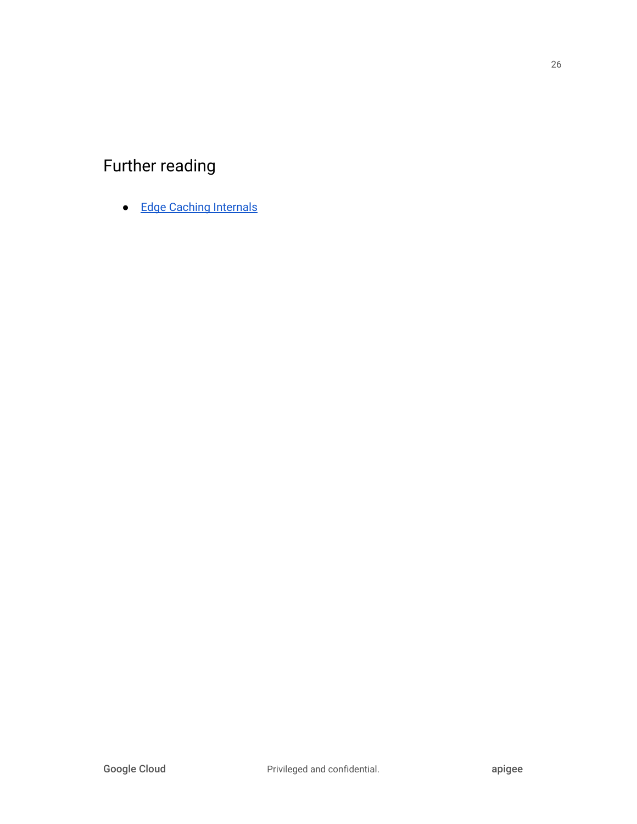# Further reading

● Edge Caching [Internals](http://docs.apigee.com/api-services/content/cache-internals)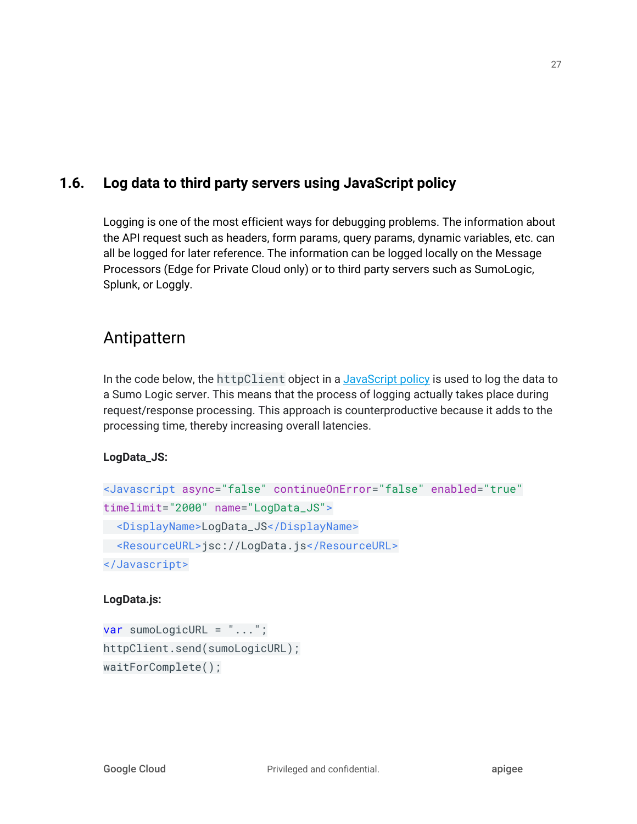### <span id="page-27-0"></span>**1.6. Log data to third party servers using JavaScript policy**

Logging is one of the most efficient ways for debugging problems. The information about the API request such as headers, form params, query params, dynamic variables, etc. can all be logged for later reference. The information can be logged locally on the Message Processors (Edge for Private Cloud only) or to third party servers such as SumoLogic, Splunk, or Loggly.

### Antipattern

In the code below, the httpClient object in a [JavaScript](https://docs.apigee.com/api-platform/reference/policies/javascript-policy) policy is used to log the data to a Sumo Logic server. This means that the process of logging actually takes place during request/response processing. This approach is counterproductive because it adds to the processing time, thereby increasing overall latencies.

#### **LogData\_JS:**

```
<Javascript async="false" continueOnError="false" enabled="true"
timelimit="2000" name="LogData_JS">
 <DisplayName>LogData_JS</DisplayName>
 <ResourceURL>jsc://LogData.js</ResourceURL>
</Javascript>
```
#### **LogData.js:**

```
var sumoLogicURL = "...";
httpClient.send(sumoLogicURL);
waitForComplete();
```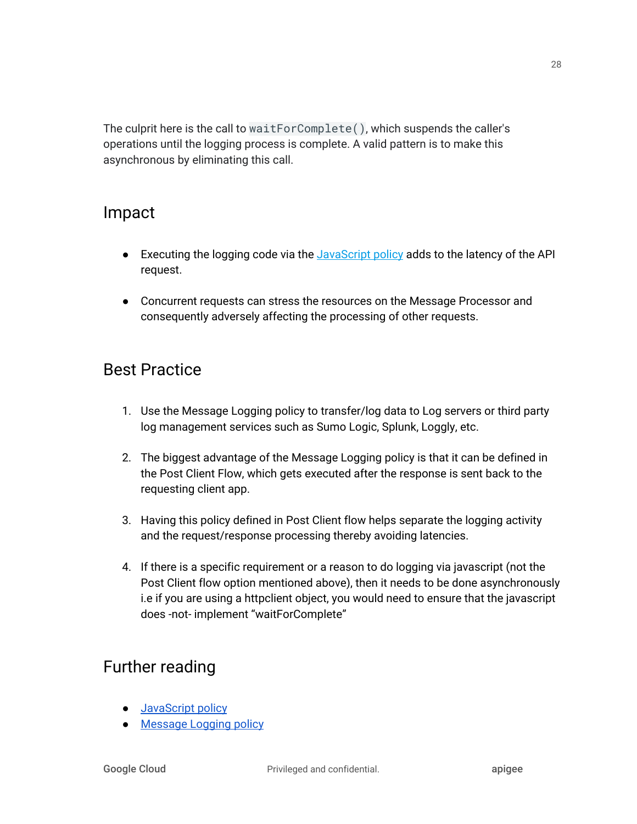The culprit here is the call to waitForComplete(), which suspends the caller's operations until the logging process is complete. A valid pattern is to make this asynchronous by eliminating this call.

### Impact

- Executing the logging code via the [JavaScript](https://docs.apigee.com/api-platform/reference/policies/javascript-policy) policy adds to the latency of the API request.
- Concurrent requests can stress the resources on the Message Processor and consequently adversely affecting the processing of other requests.

## Best Practice

- 1. Use the Message Logging policy to transfer/log data to Log servers or third party log management services such as Sumo Logic, Splunk, Loggly, etc.
- 2. The biggest advantage of the Message Logging policy is that it can be defined in the Post Client Flow, which gets executed after the response is sent back to the requesting client app.
- 3. Having this policy defined in Post Client flow helps separate the logging activity and the request/response processing thereby avoiding latencies.
- 4. If there is a specific requirement or a reason to do logging via javascript (not the Post Client flow option mentioned above), then it needs to be done asynchronously i.e if you are using a httpclient object, you would need to ensure that the javascript does -not- implement "waitForComplete"

## Further reading

- [JavaScript](http://docs.apigee.com/api-services/reference/javascript-policy) policy
- [Message](http://docs.apigee.com/api-services/reference/message-logging-policy) Logging policy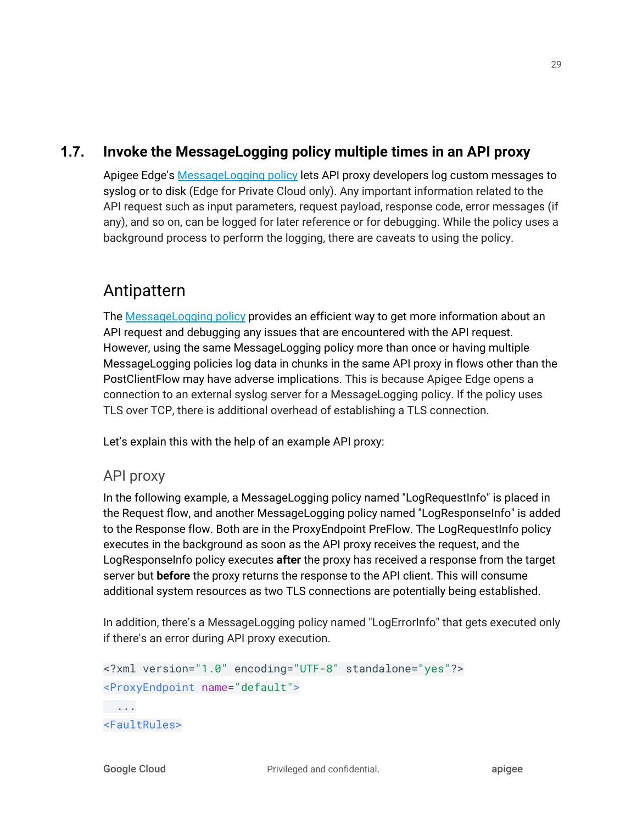#### **1.7. Invoke the MessageLogging policy multiple times in an API proxy**

<span id="page-29-0"></span>Apigee Edge's [MessageLogging](https://docs.apigee.com/api-platform/reference/policies/message-logging-policy) policy lets API proxy developers log custom messages to syslog or to disk (Edge for Private Cloud only). Any important information related to the API request such as input parameters, request payload, response code, error messages (if any), and so on, can be logged for later reference or for debugging. While the policy uses a background process to perform the logging, there are caveats to using the policy.

### Antipattern

The [MessageLogging](https://docs.apigee.com/api-platform/reference/policies/message-logging-policy) policy provides an efficient way to get more information about an API request and debugging any issues that are encountered with the API request. However, using the same MessageLogging policy more than once or having multiple MessageLogging policies log data in chunks in the same API proxy in flows other than the PostClientFlow may have adverse implications. This is because Apigee Edge opens a connection to an external syslog server for a MessageLogging policy. If the policy uses TLS over TCP, there is additional overhead of establishing a TLS connection.

Let's explain this with the help of an example API proxy:

#### API proxy

In the following example, a MessageLogging policy named "LogRequestInfo" is placed in the Request flow, and another MessageLogging policy named "LogResponseInfo" is added to the Response flow. Both are in the ProxyEndpoint PreFlow. The LogRequestInfo policy executes in the background as soon as the API proxy receives the request, and the LogResponseInfo policy executes **after** the proxy has received a response from the target server but **before** the proxy returns the response to the API client. This will consume additional system resources as two TLS connections are potentially being established.

In addition, there's a MessageLogging policy named "LogErrorInfo" that gets executed only if there's an error during API proxy execution.

```
<?xml version="1.0" encoding="UTF-8" standalone="yes"?>
<ProxyEndpoint name="default">
 ...
<FaultRules>
```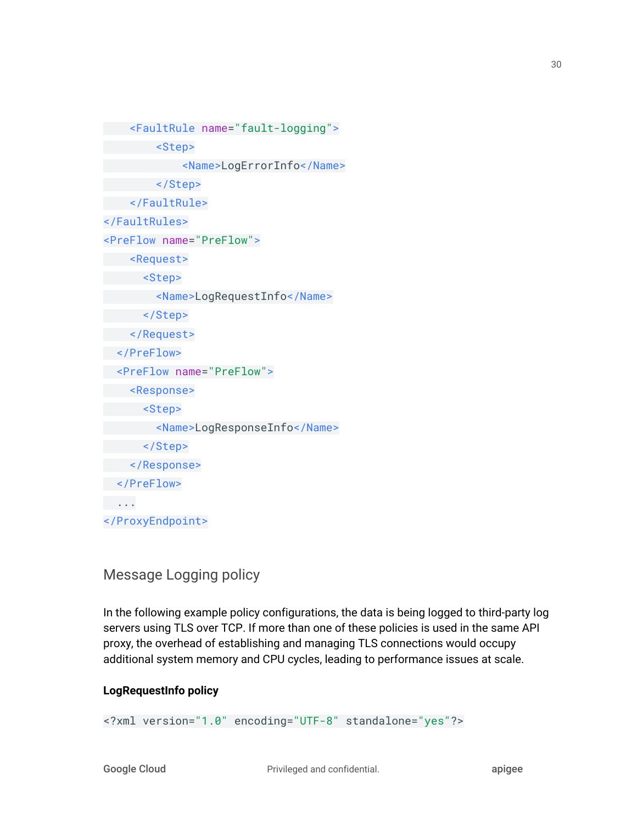```
 <FaultRule name="fault-logging">
         <Step>
              <Name>LogErrorInfo</Name>
         </Step>
     </FaultRule>
</FaultRules>
<PreFlow name="PreFlow">
     <Request>
       <Step>
         <Name>LogRequestInfo</Name>
       </Step>
     </Request>
   </PreFlow>
   <PreFlow name="PreFlow">
     <Response>
       <Step>
         <Name>LogResponseInfo</Name>
       </Step>
     </Response>
  </PreFlow>
 ...
</ProxyEndpoint>
```
#### Message Logging policy

In the following example policy configurations, the data is being logged to third-party log servers using TLS over TCP. If more than one of these policies is used in the same API proxy, the overhead of establishing and managing TLS connections would occupy additional system memory and CPU cycles, leading to performance issues at scale.

#### **LogRequestInfo policy**

<?xml version="1.0" encoding="UTF-8" standalone="yes"?>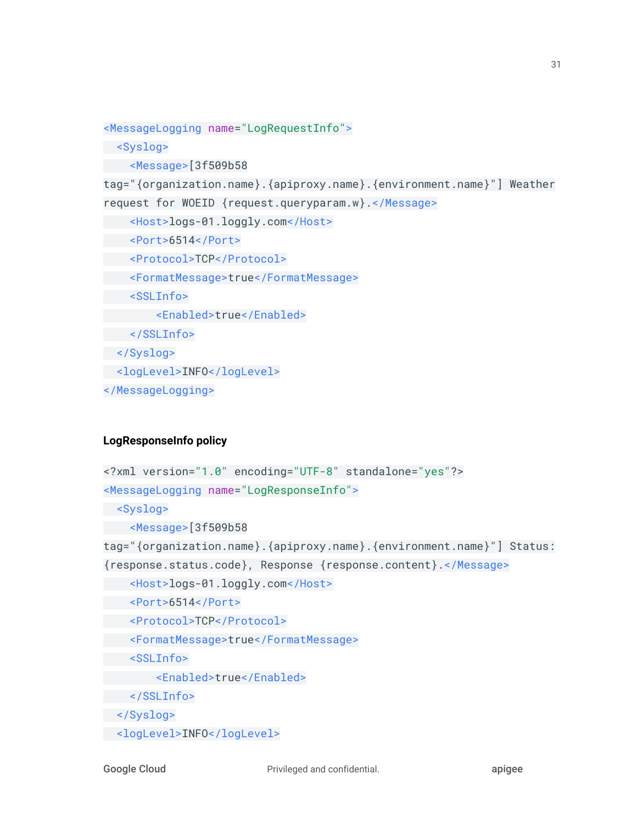```
<MessageLogging name="LogRequestInfo">
 <Syslog>
 <Message>[3f509b58
tag="{organization.name}.{apiproxy.name}.{environment.name}"] Weather
request for WOEID {request.queryparam.w}.</Message>
 <Host>logs-01.loggly.com</Host>
   <Port>6514</Port>
  <Protocol>TCP</Protocol>
   <FormatMessage>true</FormatMessage>
   <SSLInfo>
  <Enabled>true</Enabled>
  </SSLInfo>
 </Syslog>
 <logLevel>INFO</logLevel>
</MessageLogging>
```
#### **LogResponseInfo policy**

```
<?xml version="1.0" encoding="UTF-8" standalone="yes"?>
<MessageLogging name="LogResponseInfo">
 <Syslog>
    <Message>[3f509b58
tag="{organization.name}.{apiproxy.name}.{environment.name}"] Status:
{response.status.code}, Response {response.content}.</Message>
  <Host>logs-01.loggly.com</Host>
  <Port>6514</Port>
  <Protocol>TCP</Protocol>
  <FormatMessage>true</FormatMessage>
   <SSLInfo>
        <Enabled>true</Enabled>
  </SSLInfo>
 </Syslog>
 <logLevel>INFO</logLevel>
```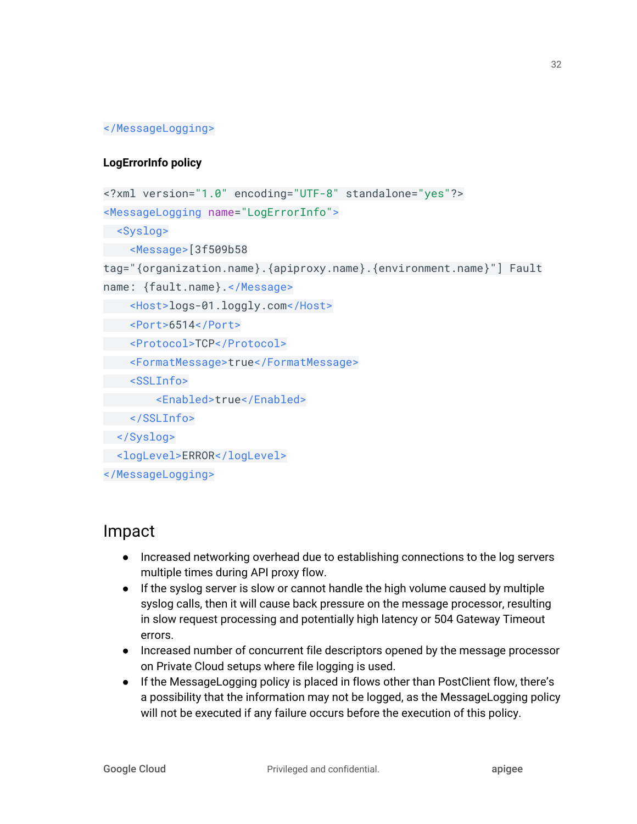#### </MessageLogging>

#### **LogErrorInfo policy**

```
<?xml version="1.0" encoding="UTF-8" standalone="yes"?>
<MessageLogging name="LogErrorInfo">
 <Syslog>
 <Message>[3f509b58
tag="{organization.name}.{apiproxy.name}.{environment.name}"] Fault
name: {fault.name}.</Message>
    <Host>logs-01.loggly.com</Host>
   <Port>6514</Port>
   <Protocol>TCP</Protocol>
    <FormatMessage>true</FormatMessage>
   <SSLInfo>
         <Enabled>true</Enabled>
   </SSLInfo>
 </Syslog>
 <logLevel>ERROR</logLevel>
</MessageLogging>
```
### Impact

- Increased networking overhead due to establishing connections to the log servers multiple times during API proxy flow.
- If the syslog server is slow or cannot handle the high volume caused by multiple syslog calls, then it will cause back pressure on the message processor, resulting in slow request processing and potentially high latency or 504 Gateway Timeout errors.
- Increased number of concurrent file descriptors opened by the message processor on Private Cloud setups where file logging is used.
- If the MessageLogging policy is placed in flows other than PostClient flow, there's a possibility that the information may not be logged, as the MessageLogging policy will not be executed if any failure occurs before the execution of this policy.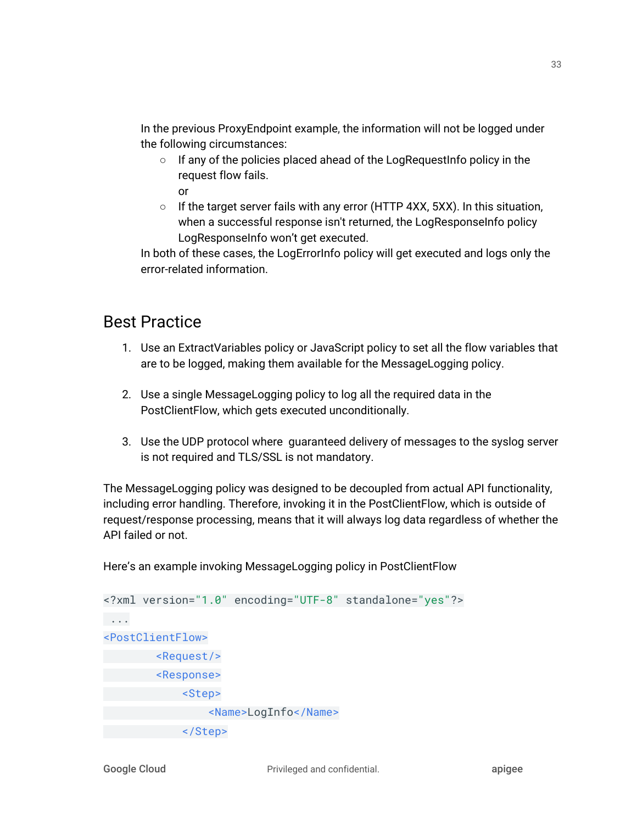In the previous ProxyEndpoint example, the information will not be logged under the following circumstances:

- If any of the policies placed ahead of the LogRequestInfo policy in the request flow fails. or
- If the target server fails with any error (HTTP 4XX, 5XX). In this situation, when a successful response isn't returned, the LogResponseInfo policy LogResponseInfo won't get executed.

In both of these cases, the LogErrorInfo policy will get executed and logs only the error-related information.

### Best Practice

- 1. Use an ExtractVariables policy or JavaScript policy to set all the flow variables that are to be logged, making them available for the MessageLogging policy.
- 2. Use a single MessageLogging policy to log all the required data in the PostClientFlow, which gets executed unconditionally.
- 3. Use the UDP protocol where guaranteed delivery of messages to the syslog server is not required and TLS/SSL is not mandatory.

The MessageLogging policy was designed to be decoupled from actual API functionality, including error handling. Therefore, invoking it in the PostClientFlow, which is outside of request/response processing, means that it will always log data regardless of whether the API failed or not.

Here's an example invoking MessageLogging policy in PostClientFlow

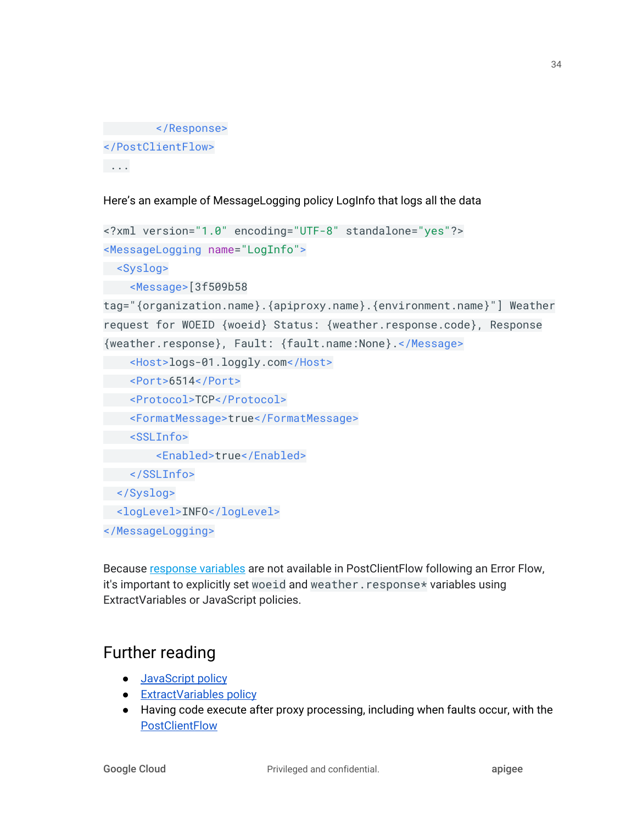```
 </Response>
</PostClientFlow>
 ...
```
Here's an example of MessageLogging policy LogInfo that logs all the data

```
<?xml version="1.0" encoding="UTF-8" standalone="yes"?>
<MessageLogging name="LogInfo">
 <Syslog>
 <Message>[3f509b58
tag="{organization.name}.{apiproxy.name}.{environment.name}"] Weather
request for WOEID {woeid} Status: {weather.response.code}, Response
{weather.response}, Fault: {fault.name:None}.</Message>
    <Host>logs-01.loggly.com</Host>
 <Port>6514</Port>
   <Protocol>TCP</Protocol>
   <FormatMessage>true</FormatMessage>
  <SSLInfo>
        <Enabled>true</Enabled>
  </SSLInfo>
 </Syslog>
 <logLevel>INFO</logLevel>
</MessageLogging>
```
Because [response](https://docs.apigee.com/api-platform/reference/variables-reference.html#response) variables are not available in PostClientFlow following an Error Flow, it's important to explicitly set woeid and weather. response\* variables using ExtractVariables or JavaScript policies.

## Further reading

- [JavaScript](https://docs.apigee.com/api-platform/reference/policies/javascript-policy) policy
- **•** [ExtractVariables](https://docs.apigee.com/api-platform/reference/policies/extract-variables-policy) policy
- Having code execute after proxy processing, including when faults occur, with the **[PostClientFlow](https://docs.apigee.com/api-platform/fundamentals/what-are-flows#designingflowexecutionsequence-havingcodeexecuteaftertheclientreceivesyourproxysresponsewithapostclientflow)**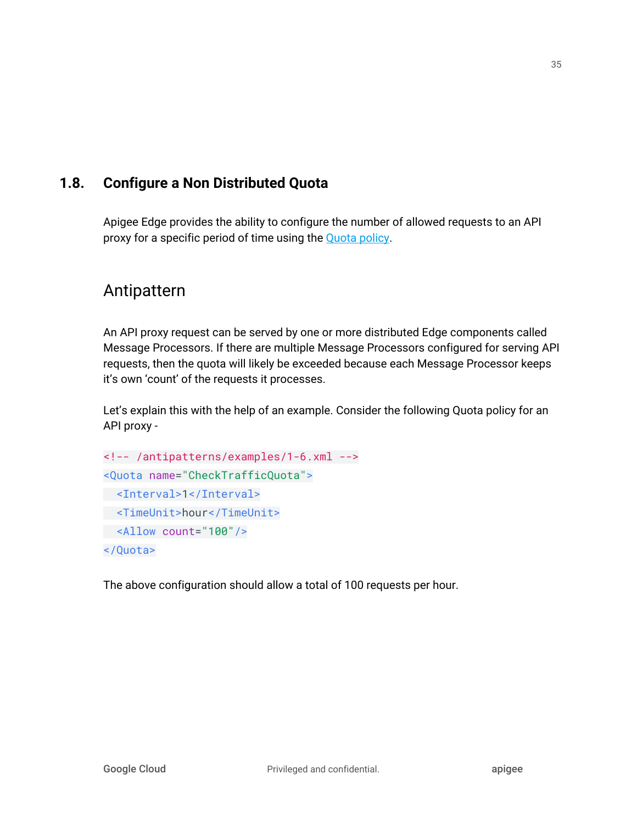#### <span id="page-35-0"></span>**1.8. Configure a Non Distributed Quota**

Apigee Edge provides the ability to configure the number of allowed requests to an API proxy for a specific period of time using the [Quota](https://docs.apigee.com/api-platform/reference/policies/quota-policy) policy.

### Antipattern

An API proxy request can be served by one or more distributed Edge components called Message Processors. If there are multiple Message Processors configured for serving API requests, then the quota will likely be exceeded because each Message Processor keeps it's own 'count' of the requests it processes.

Let's explain this with the help of an example. Consider the following Quota policy for an API proxy -

```
<!-- /antipatterns/examples/1-6.xml -->
<Quota name="CheckTrafficQuota">
 <Interval>1</Interval>
 <TimeUnit>hour</TimeUnit>
 <Allow count="100"/>
</Quota>
```
The above configuration should allow a total of 100 requests per hour.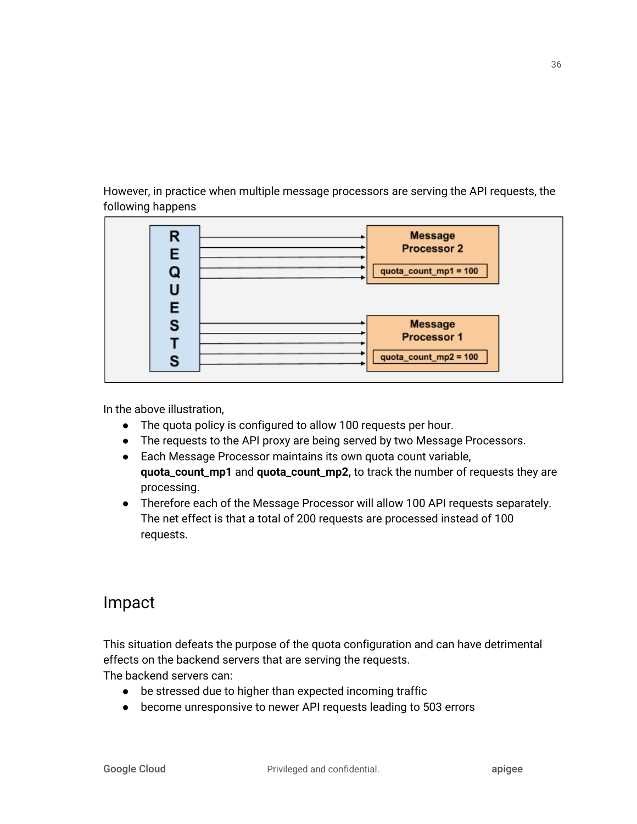However, in practice when multiple message processors are serving the API requests, the following happens



In the above illustration,

- The quota policy is configured to allow 100 requests per hour.
- The requests to the API proxy are being served by two Message Processors.
- Each Message Processor maintains its own quota count variable, **quota\_count\_mp1** and **quota\_count\_mp2,** to track the number of requests they are processing.
- Therefore each of the Message Processor will allow 100 API requests separately. The net effect is that a total of 200 requests are processed instead of 100 requests.

## Impact

This situation defeats the purpose of the quota configuration and can have detrimental effects on the backend servers that are serving the requests.

The backend servers can:

- be stressed due to higher than expected incoming traffic
- become unresponsive to newer API requests leading to 503 errors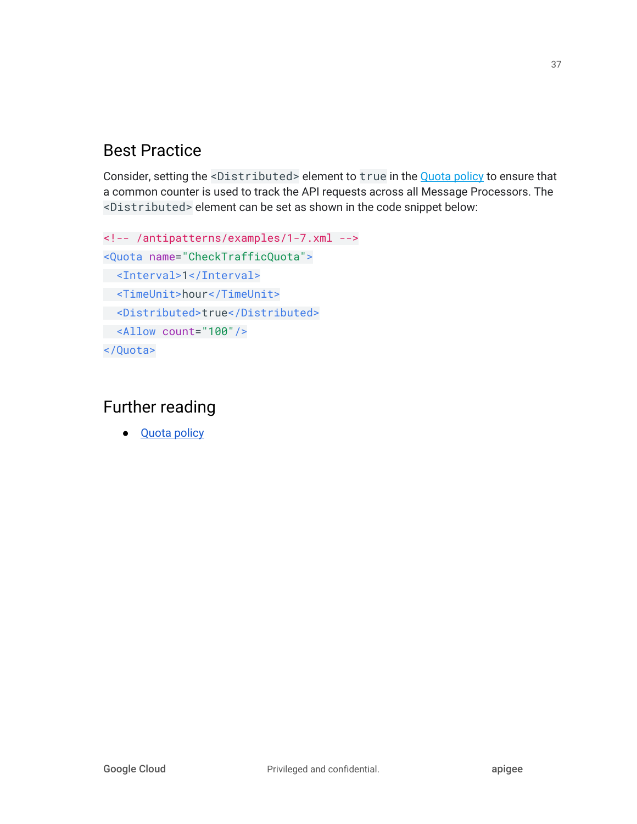# Best Practice

Consider, setting the <Distributed> element to true in the [Quota](https://docs.apigee.com/api-platform/reference/policies/quota-policy) policy to ensure that a common counter is used to track the API requests across all Message Processors. The <Distributed> element can be set as shown in the code snippet below:

```
<!-- /antipatterns/examples/1-7.xml -->
<Quota name="CheckTrafficQuota">
 <Interval>1</Interval>
 <TimeUnit>hour</TimeUnit>
 <Distributed>true</Distributed>
 <Allow count="100"/>
</Quota>
```
# Further reading

● **[Quota](http://docs.apigee.com/api-services/reference/quota-policy) policy**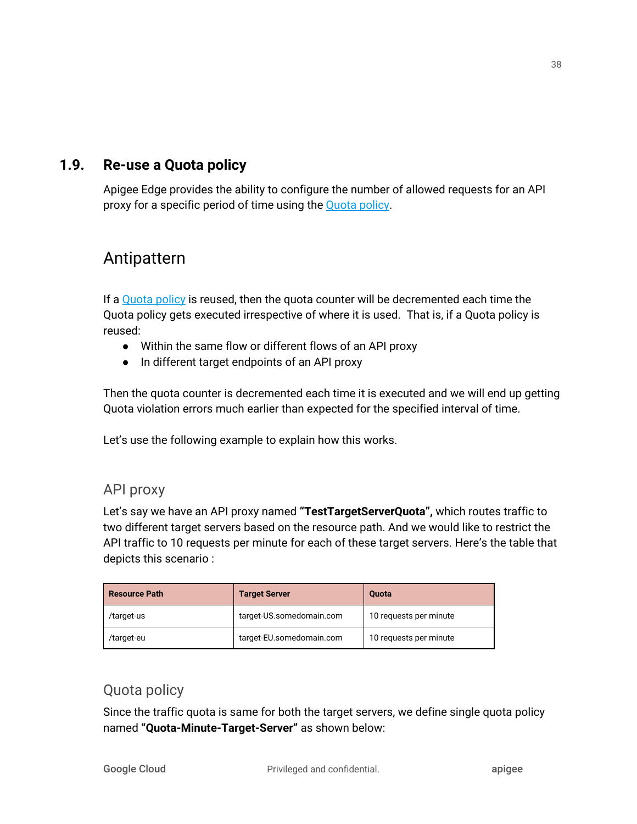### **1.9. Re-use a Quota policy**

Apigee Edge provides the ability to configure the number of allowed requests for an API proxy for a specific period of time using the [Quota](https://docs.apigee.com/api-platform/reference/policies/quota-policy) policy.

## Antipattern

If a [Quota](https://docs.apigee.com/api-platform/reference/policies/quota-policy) policy is reused, then the quota counter will be decremented each time the Quota policy gets executed irrespective of where it is used. That is, if a Quota policy is reused:

- Within the same flow or different flows of an API proxy
- In different target endpoints of an API proxy

Then the quota counter is decremented each time it is executed and we will end up getting Quota violation errors much earlier than expected for the specified interval of time.

Let's use the following example to explain how this works.

### API proxy

Let's say we have an API proxy named **"TestTargetServerQuota",** which routes traffic to two different target servers based on the resource path. And we would like to restrict the API traffic to 10 requests per minute for each of these target servers. Here's the table that depicts this scenario :

| <b>Resource Path</b> | <b>Target Server</b>     | <b>Quota</b>           |
|----------------------|--------------------------|------------------------|
| /target-us           | target-US.somedomain.com | 10 requests per minute |
| /target-eu           | target-EU.somedomain.com | 10 requests per minute |

### Quota policy

Since the traffic quota is same for both the target servers, we define single quota policy named **"Quota-Minute-Target-Server"** as shown below: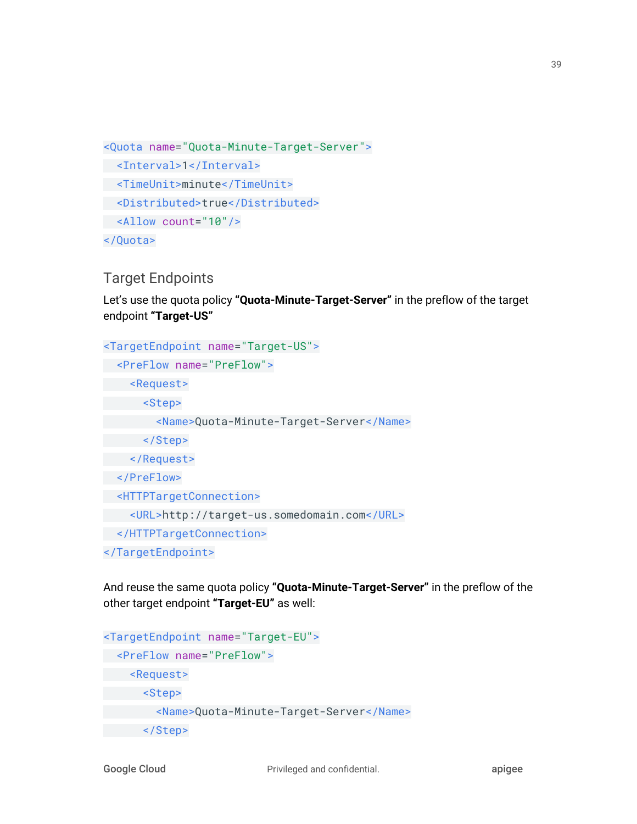```
<Quota name="Quota-Minute-Target-Server">
 <Interval>1</Interval>
 <TimeUnit>minute</TimeUnit>
 <Distributed>true</Distributed>
 <Allow count="10"/>
</Quota>
```
### Target Endpoints

Let's use the quota policy **"Quota-Minute-Target-Server"** in the preflow of the target endpoint **"Target-US"**

```
<TargetEndpoint name="Target-US">
 <PreFlow name="PreFlow">
     <Request>
      <Step>
         <Name>Quota-Minute-Target-Server</Name>
      </Step>
 </Request>
 </PreFlow>
 <HTTPTargetConnection>
     <URL>http://target-us.somedomain.com</URL>
 </HTTPTargetConnection>
</TargetEndpoint>
```
And reuse the same quota policy **"Quota-Minute-Target-Server"** in the preflow of the other target endpoint **"Target-EU"** as well:

```
<TargetEndpoint name="Target-EU">
 <PreFlow name="PreFlow">
     <Request>
       <Step>
         <Name>Quota-Minute-Target-Server</Name>
       </Step>
```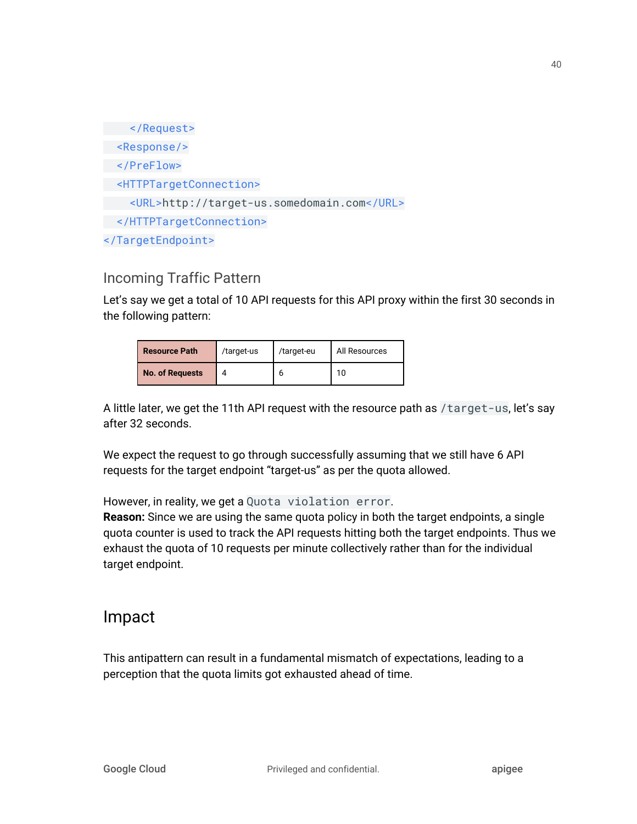</Request> <Response/> </PreFlow> <HTTPTargetConnection> <URL>http://target-us.somedomain.com</URL> </HTTPTargetConnection> </TargetEndpoint>

### Incoming Traffic Pattern

Let's say we get a total of 10 API requests for this API proxy within the first 30 seconds in the following pattern:

| <b>Resource Path</b>   | /target-us | /target-eu | All Resources |
|------------------------|------------|------------|---------------|
| <b>No. of Requests</b> |            |            | 10            |

A little later, we get the 11th API request with the resource path as /target-us, let's say after 32 seconds.

We expect the request to go through successfully assuming that we still have 6 API requests for the target endpoint "target-us" as per the quota allowed.

However, in reality, we get a Quota violation error.

**Reason:** Since we are using the same quota policy in both the target endpoints, a single quota counter is used to track the API requests hitting both the target endpoints. Thus we exhaust the quota of 10 requests per minute collectively rather than for the individual target endpoint.

## Impact

This antipattern can result in a fundamental mismatch of expectations, leading to a perception that the quota limits got exhausted ahead of time.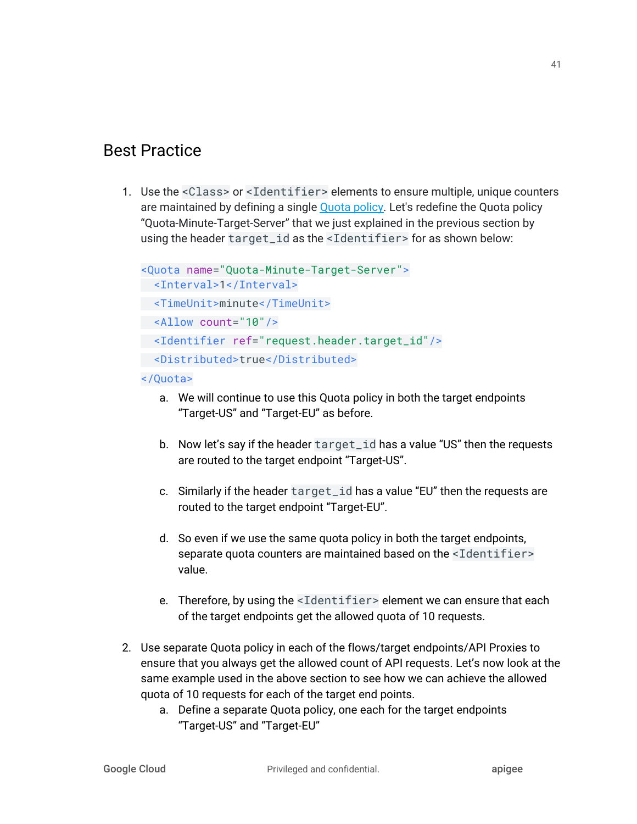# Best Practice

1. Use the <Class> or <Identifier> elements to ensure multiple, unique counters are maintained by defining a single [Quota](https://docs.apigee.com/api-platform/reference/policies/quota-policy) policy. Let's redefine the Quota policy "Quota-Minute-Target-Server" that we just explained in the previous section by using the header target\_id as the <Identifier> for as shown below:

```
<Quota name="Quota-Minute-Target-Server">
  <Interval>1</Interval>
 <TimeUnit>minute</TimeUnit>
 <Allow count="10"/>
 <Identifier ref="request.header.target_id"/>
 <Distributed>true</Distributed>
```
#### </Quota>

- a. We will continue to use this Quota policy in both the target endpoints "Target-US" and "Target-EU" as before.
- b. Now let's say if the header target\_id has a value "US" then the requests are routed to the target endpoint "Target-US".
- c. Similarly if the header target\_id has a value "EU" then the requests are routed to the target endpoint "Target-EU".
- d. So even if we use the same quota policy in both the target endpoints, separate quota counters are maintained based on the <Identifier> value.
- e. Therefore, by using the <Identifier> element we can ensure that each of the target endpoints get the allowed quota of 10 requests.
- 2. Use separate Quota policy in each of the flows/target endpoints/API Proxies to ensure that you always get the allowed count of API requests. Let's now look at the same example used in the above section to see how we can achieve the allowed quota of 10 requests for each of the target end points.
	- a. Define a separate Quota policy, one each for the target endpoints "Target-US" and "Target-EU"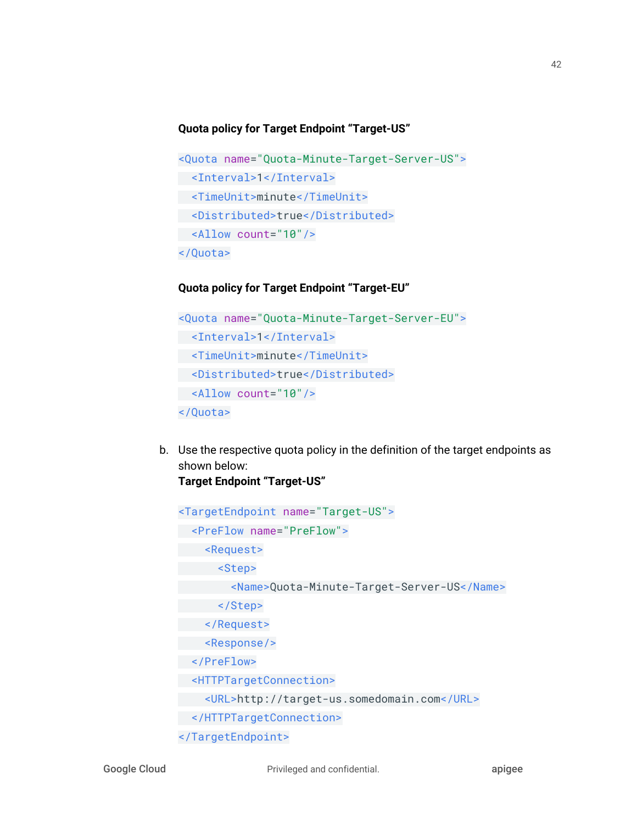#### **Quota policy for Target Endpoint "Target-US"**

```
<Quota name="Quota-Minute-Target-Server-US">
 <Interval>1</Interval>
 <TimeUnit>minute</TimeUnit>
 <Distributed>true</Distributed>
 <Allow count="10"/>
</Quota>
```
#### **Quota policy for Target Endpoint "Target-EU"**

```
<Quota name="Quota-Minute-Target-Server-EU">
 <Interval>1</Interval>
 <TimeUnit>minute</TimeUnit>
 <Distributed>true</Distributed>
 <Allow count="10"/>
</Quota>
```
b. Use the respective quota policy in the definition of the target endpoints as shown below: **Target Endpoint "Target-US"**

```
<TargetEndpoint name="Target-US">
 <PreFlow name="PreFlow">
 <Request>
 <Step>
        <Name>Quota-Minute-Target-Server-US</Name>
   </Step>
 </Request>
 <Response/>
 </PreFlow>
 <HTTPTargetConnection>
 <URL>http://target-us.somedomain.com</URL>
 </HTTPTargetConnection>
</TargetEndpoint>
```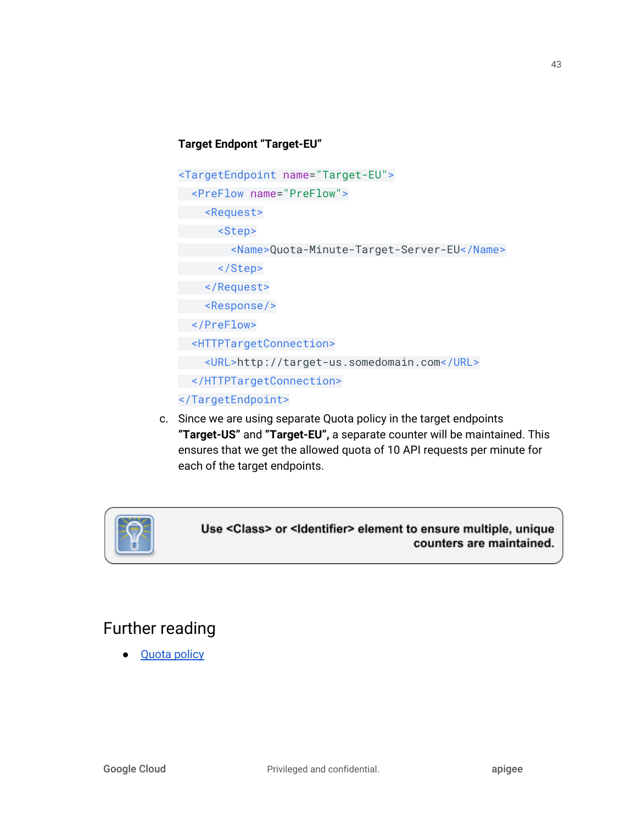#### **Target Endpont "Target-EU"**

```
<TargetEndpoint name="Target-EU">
 <PreFlow name="PreFlow">
     <Request>
      <Step>
         <Name>Quota-Minute-Target-Server-EU</Name>
       </Step>
    </Request>
    <Response/>
 </PreFlow>
 <HTTPTargetConnection>
    <URL>http://target-us.somedomain.com</URL>
 </HTTPTargetConnection>
</TargetEndpoint>
```
c. Since we are using separate Quota policy in the target endpoints **"Target-US"** and **"Target-EU",** a separate counter will be maintained. This ensures that we get the allowed quota of 10 API requests per minute for each of the target endpoints.



Use <Class> or <Identifier> element to ensure multiple, unique counters are maintained.

# Further reading

● **[Quota](http://docs.apigee.com/api-services/reference/quota-policy) policy**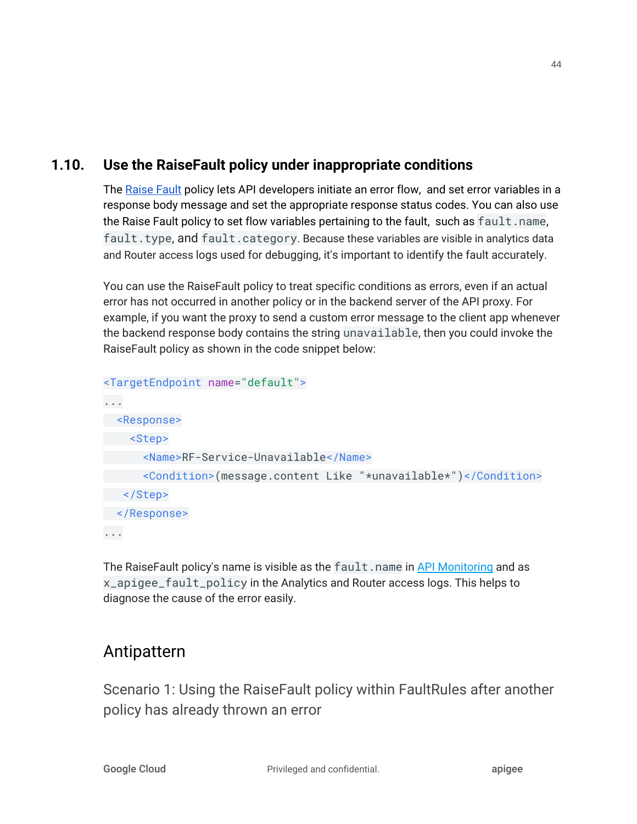## **1.10. Use the RaiseFault policy under inappropriate conditions**

The [Raise](https://docs.apigee.com/api-platform/reference/policies/raise-fault-policy) Fault policy lets API developers initiate an error flow, and set error variables in a response body message and set the appropriate response status codes. You can also use the Raise Fault policy to set flow variables pertaining to the fault, such as  $fault$ . name, fault.type, and fault.category. Because these variables are visible in analytics data and Router access logs used for debugging, it's important to identify the fault accurately.

You can use the RaiseFault policy to treat specific conditions as errors, even if an actual error has not occurred in another policy or in the backend server of the API proxy. For example, if you want the proxy to send a custom error message to the client app whenever the backend response body contains the string unavailable, then you could invoke the RaiseFault policy as shown in the code snippet below:

```
<TargetEndpoint name="default">
...
 <Response>
     <Step>
       <Name>RF-Service-Unavailable</Name>
       <Condition>(message.content Like "*unavailable*")</Condition>
   </Step>
 </Response>
...
```
The RaiseFault policy's name is visible as the fault.name in API [Monitoring](https://docs.apigee.com/api-monitoring) and as x\_apigee\_fault\_policy in the Analytics and Router access logs. This helps to diagnose the cause of the error easily.

# Antipattern

Scenario 1: Using the RaiseFault policy within FaultRules after another policy has already thrown an error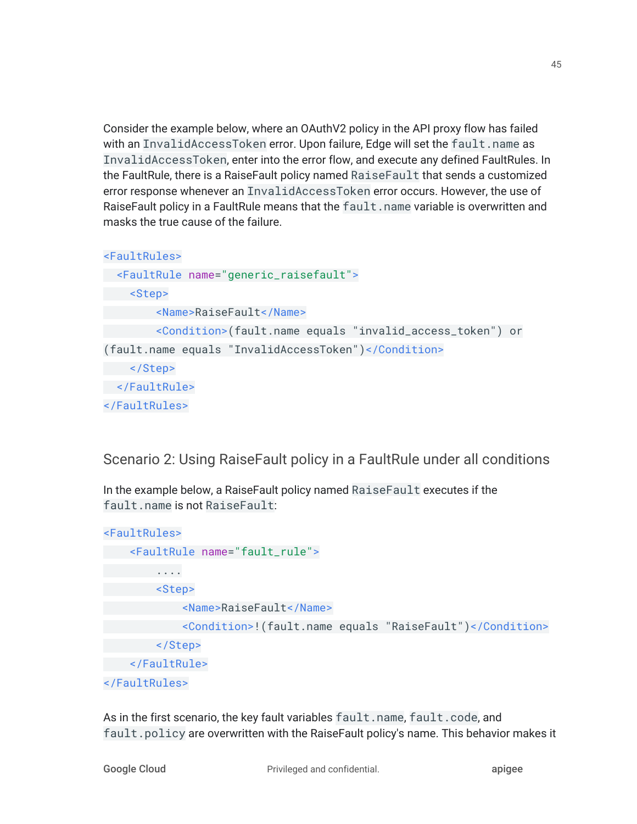Consider the example below, where an OAuthV2 policy in the API proxy flow has failed with an InvalidAccessToken error. Upon failure, Edge will set the fault.name as InvalidAccessToken, enter into the error flow, and execute any defined FaultRules. In the FaultRule, there is a RaiseFault policy named RaiseFault that sends a customized error response whenever an InvalidAccessToken error occurs. However, the use of RaiseFault policy in a FaultRule means that the fault.name variable is overwritten and masks the true cause of the failure.

```
<FaultRules>
  <FaultRule name="generic_raisefault">
     <Step>
         <Name>RaiseFault</Name>
         <Condition>(fault.name equals "invalid_access_token") or
(fault.name equals "InvalidAccessToken")</Condition>
    </Step>
 </FaultRule>
</FaultRules>
```
Scenario 2: Using RaiseFault policy in a FaultRule under all conditions

In the example below, a RaiseFault policy named RaiseFault executes if the fault.name is not RaiseFault:

```
<FaultRules>
     <FaultRule name="fault_rule">
         ....
         <Step>
             <Name>RaiseFault</Name>
             <Condition>!(fault.name equals "RaiseFault")</Condition>
         </Step>
     </FaultRule>
</FaultRules>
```
As in the first scenario, the key fault variables fault.name, fault.code, and fault.policy are overwritten with the RaiseFault policy's name. This behavior makes it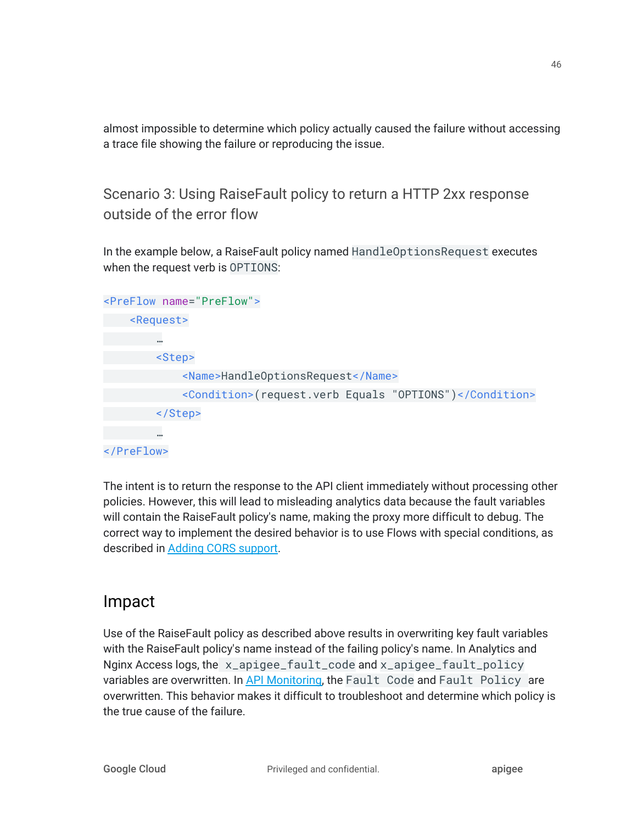almost impossible to determine which policy actually caused the failure without accessing a trace file showing the failure or reproducing the issue.

Scenario 3: Using RaiseFault policy to return a HTTP 2xx response outside of the error flow

In the example below, a RaiseFault policy named HandleOptionsRequest executes when the request verb is OPTIONS:

| <preflow name="PreFlow"></preflow> |                                   |                                                        |
|------------------------------------|-----------------------------------|--------------------------------------------------------|
| <request></request>                |                                   |                                                        |
| 0.01                               |                                   |                                                        |
| <step></step>                      |                                   |                                                        |
|                                    | <name>HandleOptionsRequest</name> |                                                        |
|                                    |                                   | <condition>(request.verb Equals "OPTIONS")</condition> |
|                                    |                                   |                                                        |
|                                    |                                   |                                                        |
|                                    |                                   |                                                        |

The intent is to return the response to the API client immediately without processing other policies. However, this will lead to misleading analytics data because the fault variables will contain the RaiseFault policy's name, making the proxy more difficult to debug. The correct way to implement the desired behavior is to use Flows with special conditions, as described in Adding CORS [support](https://docs.apigee.com/api-platform/develop/adding-cors-support-api-proxy).

# Impact

Use of the RaiseFault policy as described above results in overwriting key fault variables with the RaiseFault policy's name instead of the failing policy's name. In Analytics and Nginx Access logs, the x\_apigee\_fault\_code and x\_apigee\_fault\_policy variables are overwritten. In API [Monitoring,](https://apigee.com/apimonitoring) the Fault Code and Fault Policy are overwritten. This behavior makes it difficult to troubleshoot and determine which policy is the true cause of the failure.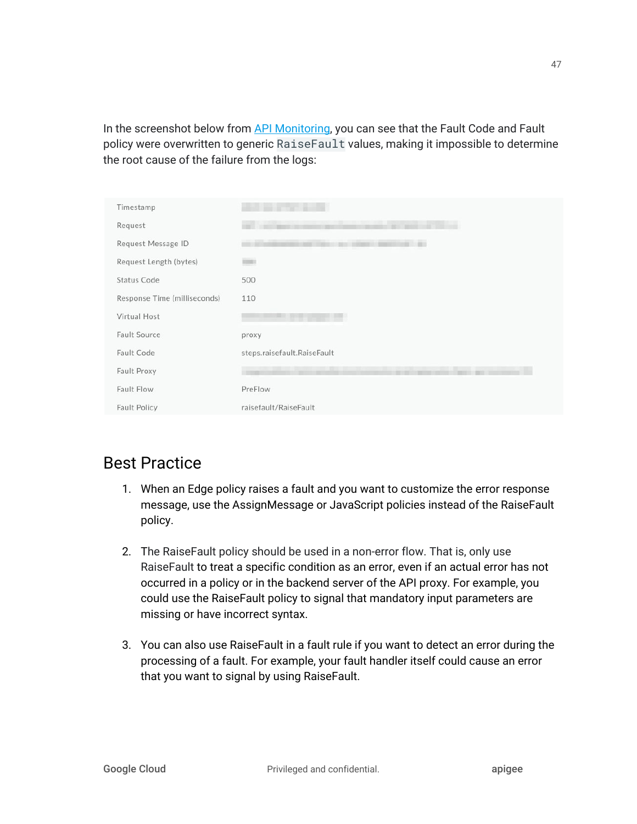In the screenshot below from API [Monitoring](https://apigee.com/apimonitoring), you can see that the Fault Code and Fault policy were overwritten to generic RaiseFault values, making it impossible to determine the root cause of the failure from the logs:

| Timestamp                    |                             |
|------------------------------|-----------------------------|
| Request                      |                             |
| Request Message ID           |                             |
| Request Length (bytes)       | <b>ESSAY</b>                |
| Status Code                  | 500                         |
| Response Time (milliseconds) | 110                         |
| Virtual Host                 |                             |
| Fault Source                 | proxy                       |
| Fault Code                   | steps.raisefault.RaiseFault |
| Fault Proxy                  |                             |
| Fault Flow                   | PreFlow                     |
| <b>Fault Policy</b>          | raisefault/RaiseFault       |

# Best Practice

- 1. When an Edge policy raises a fault and you want to customize the error response message, use the AssignMessage or JavaScript policies instead of the RaiseFault policy.
- 2. The RaiseFault policy should be used in a non-error flow. That is, only use RaiseFault to treat a specific condition as an error, even if an actual error has not occurred in a policy or in the backend server of the API proxy. For example, you could use the RaiseFault policy to signal that mandatory input parameters are missing or have incorrect syntax.
- 3. You can also use RaiseFault in a fault rule if you want to detect an error during the processing of a fault. For example, your fault handler itself could cause an error that you want to signal by using RaiseFault.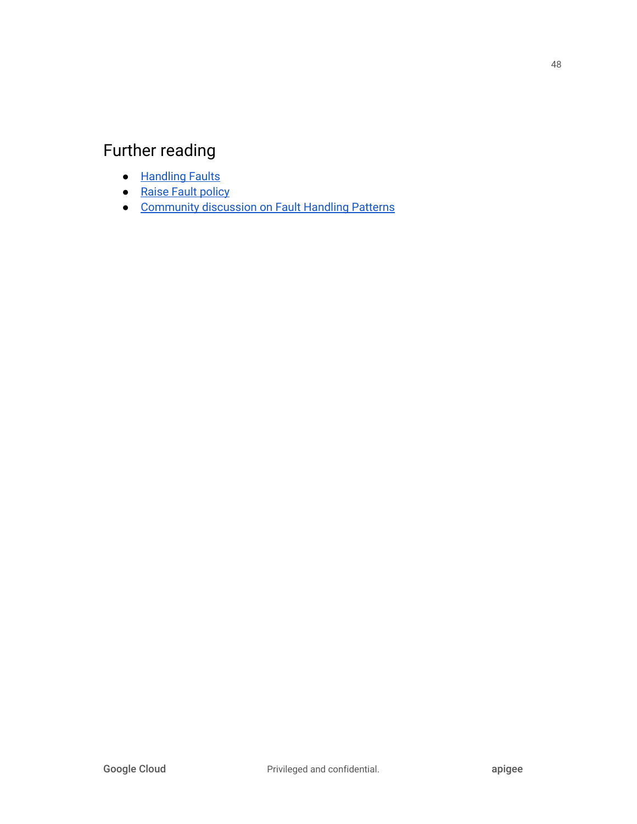# Further reading

- [Handling](https://docs.apigee.com/api-platform/fundamentals/fault-handling.html) Faults
- Raise Fault [policy](https://docs.apigee.com/api-platform/reference/policies/raise-fault-policy)
- [Community](https://community.apigee.com/articles/47312/an-improved-pattern-for-fault-handling.html) discussion on Fault Handling Patterns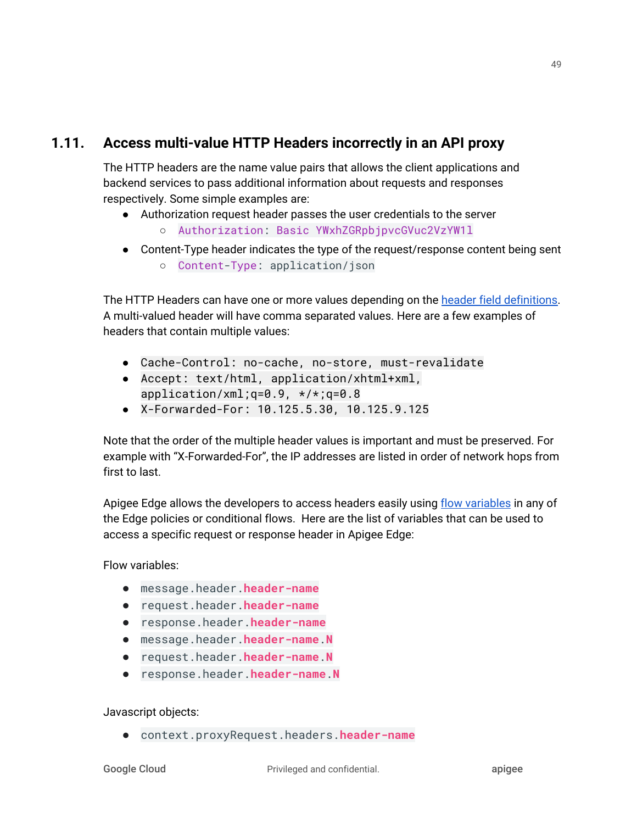### **1.11. Access multi-value HTTP Headers incorrectly in an API proxy**

The HTTP headers are the name value pairs that allows the client applications and backend services to pass additional information about requests and responses respectively. Some simple examples are:

- Authorization request header passes the user credentials to the server ○ Authorization: Basic YWxhZGRpbjpvcGVuc2VzYW1l
- Content-Type header indicates the type of the request/response content being sent
	- Content-Type: application/json

The HTTP Headers can have one or more values depending on the header field [definitions](https://www.w3.org/Protocols/rfc2616/rfc2616-sec14.html). A multi-valued header will have comma separated values. Here are a few examples of headers that contain multiple values:

- Cache-Control: no-cache, no-store, must-revalidate
- Accept: text/html, application/xhtml+xml, application/xml;q=0.9, \*/\*;q=0.8
- X-Forwarded-For: 10.125.5.30, 10.125.9.125

Note that the order of the multiple header values is important and must be preserved. For example with "X-Forwarded-For", the IP addresses are listed in order of network hops from first to last.

Apigee Edge allows the developers to access headers easily using flow [variables](https://docs.apigee.com/api-platform/reference/variables-reference) in any of the Edge policies or conditional flows. Here are the list of variables that can be used to access a specific request or response header in Apigee Edge:

Flow variables:

- message.header.**header-name**
- request.header.**header-name**
- response.header.**header-name**
- message.header.**header-name**.**N**
- request.header.**header-name**.**N**
- response.header.**header-name**.**N**

Javascript objects:

● context.proxyRequest.headers.**header-name**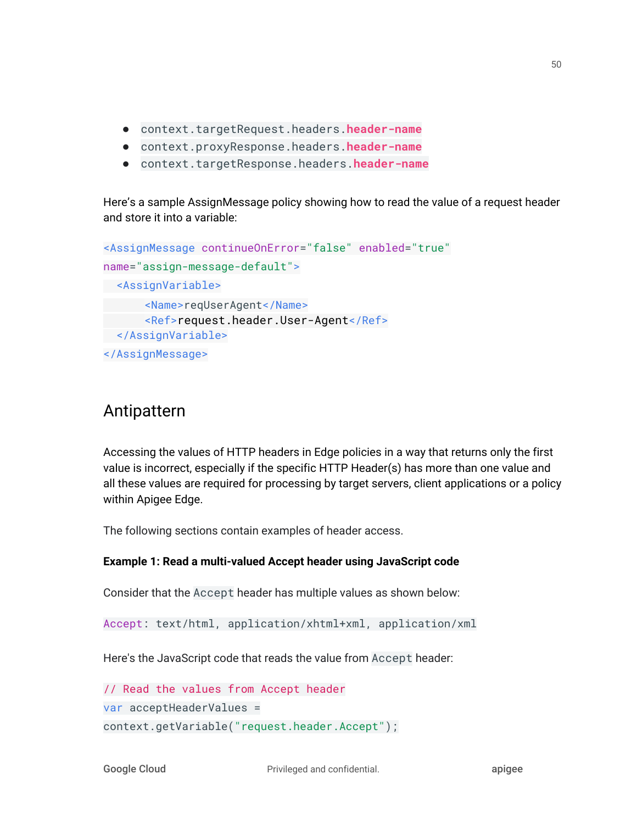- context.targetRequest.headers.**header-name**
- context.proxyResponse.headers.**header-name**
- context.targetResponse.headers.**header-name**

Here's a sample AssignMessage policy showing how to read the value of a request header and store it into a variable:

```
<AssignMessage continueOnError="false" enabled="true"
name="assign-message-default">
 <AssignVariable>
      <Name>reqUserAgent</Name>
      <Ref>request.header.User-Agent</Ref>
 </AssignVariable>
</AssignMessage>
```
## Antipattern

Accessing the values of HTTP headers in Edge policies in a way that returns only the first value is incorrect, especially if the specific HTTP Header(s) has more than one value and all these values are required for processing by target servers, client applications or a policy within Apigee Edge.

The following sections contain examples of header access.

#### **Example 1: Read a multi-valued Accept header using JavaScript code**

Consider that the Accept header has multiple values as shown below:

```
Accept: text/html, application/xhtml+xml, application/xml
```
Here's the JavaScript code that reads the value from Accept header:

```
// Read the values from Accept header
var acceptHeaderValues =
context.getVariable("request.header.Accept");
```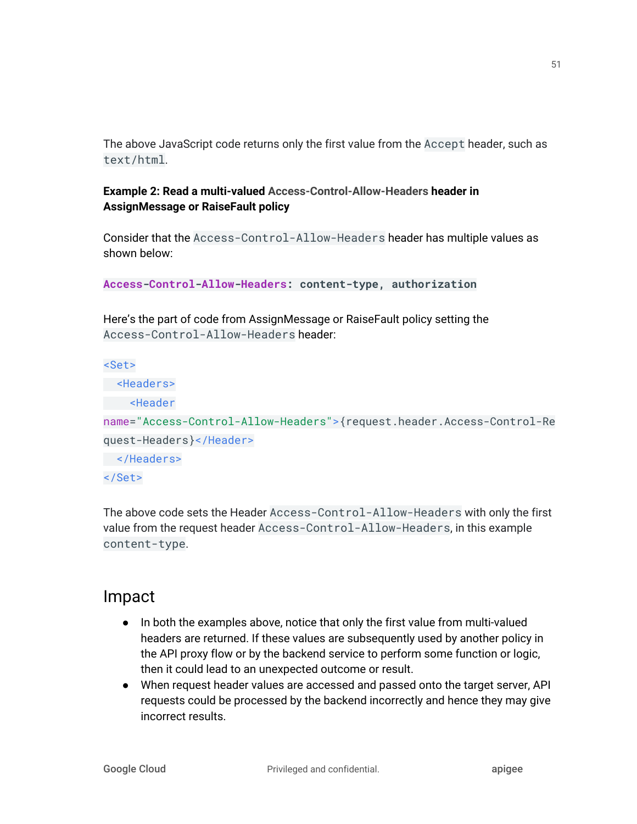The above JavaScript code returns only the first value from the Accept header, such as text/html.

### **Example 2: Read a multi-valued Access-Control-Allow-Headers header in AssignMessage or RaiseFault policy**

Consider that the Access-Control-Allow-Headers header has multiple values as shown below:

**Access-Control-Allow-Headers: content-type, authorization**

Here's the part of code from AssignMessage or RaiseFault policy setting the Access-Control-Allow-Headers header:

<Set>

```
 <Headers>
 <Header
```
name="Access-Control-Allow-Headers">{request.header.Access-Control-Re quest-Headers}</Header>

```
 </Headers>
```
</Set>

The above code sets the Header Access-Control-Allow-Headers with only the first value from the request header Access-Control-Allow-Headers, in this example content-type.

# Impact

- In both the examples above, notice that only the first value from multi-valued headers are returned. If these values are subsequently used by another policy in the API proxy flow or by the backend service to perform some function or logic, then it could lead to an unexpected outcome or result.
- When request header values are accessed and passed onto the target server, API requests could be processed by the backend incorrectly and hence they may give incorrect results.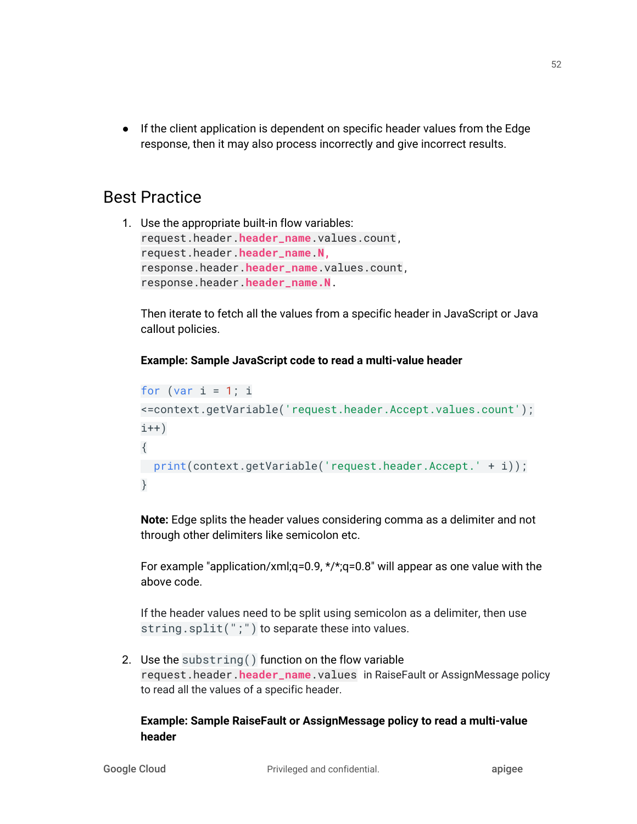● If the client application is dependent on specific header values from the Edge response, then it may also process incorrectly and give incorrect results.

## Best Practice

1. Use the appropriate built-in flow variables: request.header.**header\_name**.values.count, request.header.**header\_name**.**N,** response.header.**header\_name**.values.count, response.header.**header\_name.N**.

Then iterate to fetch all the values from a specific header in JavaScript or Java callout policies.

#### **Example: Sample JavaScript code to read a multi-value header**

```
for (var i = 1; i
<=context.getVariable('request.header.Accept.values.count');
i++)
{
 print(context.getVariable('request.header.Accept.' + i));
}
```
**Note:** Edge splits the header values considering comma as a delimiter and not through other delimiters like semicolon etc.

For example "application/xml;q=0.9, \*/\*;q=0.8" will appear as one value with the above code.

If the header values need to be split using semicolon as a delimiter, then use string.split(";") to separate these into values.

2. Use the substring() function on the flow variable request.header.**header\_name**.values in RaiseFault or AssignMessage policy to read all the values of a specific header.

#### **Example: Sample RaiseFault or AssignMessage policy to read a multi-value header**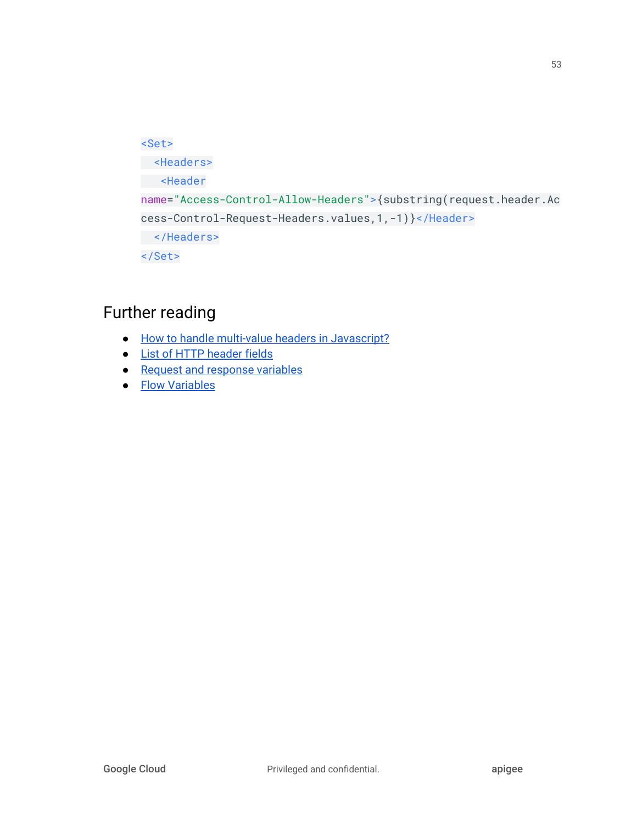```
<Set>
 <Headers>
 <Header
name="Access-Control-Allow-Headers">{substring(request.header.Ac
cess-Control-Request-Headers.values,1,-1)}</Header>
 </Headers>
</Set>
```
# Further reading

- How to handle multi-value headers in [Javascript?](https://community.apigee.com/articles/2319/how-to-handle-multi-value-headers-in-javascript.html)
- **List of HTTP [header](https://en.wikipedia.org/wiki/List_of_HTTP_header_fields) fields**
- Request and [response](https://docs.apigee.com/api-platform/fundamentals/understanding-handling-request-response-data) variables
- Flow [Variables](https://docs.apigee.com/api-platform/reference/variables-reference)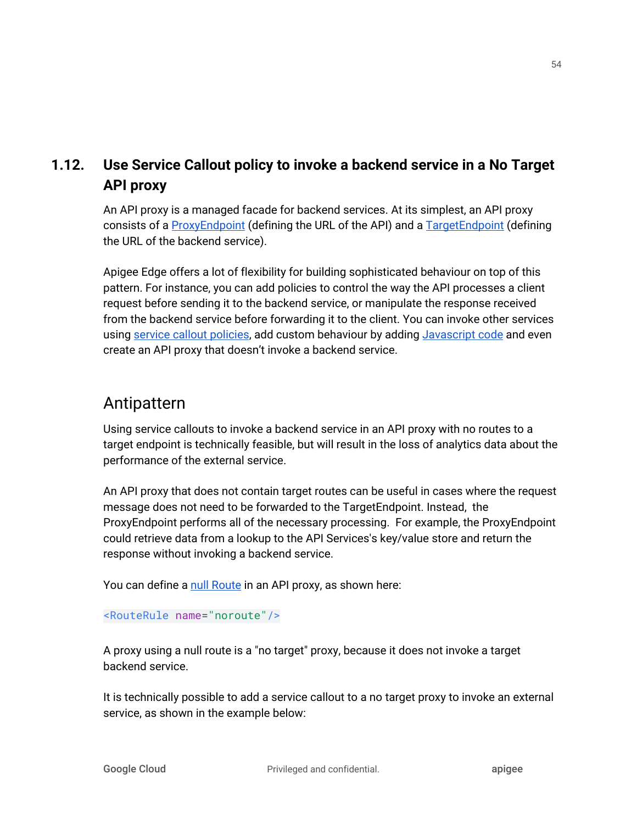## **1.12. Use Service Callout policy to invoke a backend service in a No Target API proxy**

An API proxy is a managed facade for backend services. At its simplest, an API proxy consists of a [ProxyEndpoint](https://docs.apigee.com/api-platform/fundamentals/understanding-apis-and-api-proxies) (defining the URL of the API) and a [TargetEndpoint](https://docs.apigee.com/api-platform/fundamentals/understanding-apis-and-api-proxies) (defining the URL of the backend service).

Apigee Edge offers a lot of flexibility for building sophisticated behaviour on top of this pattern. For instance, you can add policies to control the way the API processes a client request before sending it to the backend service, or manipulate the response received from the backend service before forwarding it to the client. You can invoke other services using service callout [policies](https://docs.apigee.com/api-platform/reference/policies/service-callout-policy), add custom behaviour by adding [Javascript](https://docs.apigee.com/api-platform/reference/policies/javascript-policy) code and even create an API proxy that doesn't invoke a backend service.

## Antipattern

Using service callouts to invoke a backend service in an API proxy with no routes to a target endpoint is technically feasible, but will result in the loss of analytics data about the performance of the external service.

An API proxy that does not contain target routes can be useful in cases where the request message does not need to be forwarded to the TargetEndpoint. Instead, the ProxyEndpoint performs all of the necessary processing. For example, the ProxyEndpoint could retrieve data from a lookup to the API Services's key/value store and return the response without invoking a backend service.

You can define a null [Route](https://docs.apigee.com/api-platform/reference/api-proxy-configuration-reference#proxyendpoint-nullroutes) in an API proxy, as shown here:

#### <RouteRule name="noroute"/>

A proxy using a null route is a "no target" proxy, because it does not invoke a target backend service.

It is technically possible to add a service callout to a no target proxy to invoke an external service, as shown in the example below: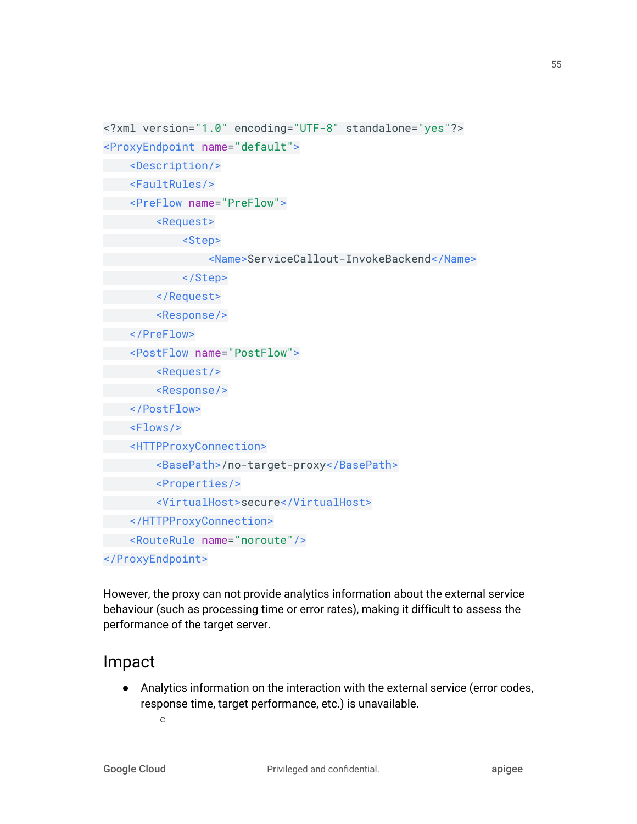```
<?xml version="1.0" encoding="UTF-8" standalone="yes"?>
```

```
<ProxyEndpoint name="default">
```
<Description/>

<FaultRules/>

<PreFlow name="PreFlow">

<Request>

<Step>

<Name>ServiceCallout-InvokeBackend</Name>

</Step>

</Request>

<Response/>

</PreFlow>

<PostFlow name="PostFlow">

<Request/>

<Response/>

</PostFlow>

<Flows/>

<HTTPProxyConnection>

<BasePath>/no-target-proxy</BasePath>

<Properties/>

<VirtualHost>secure</VirtualHost>

</HTTPProxyConnection>

<RouteRule name="noroute"/>

</ProxyEndpoint>

However, the proxy can not provide analytics information about the external service behaviour (such as processing time or error rates), making it difficult to assess the performance of the target server.

## Impact

● Analytics information on the interaction with the external service (error codes, response time, target performance, etc.) is unavailable.

 $\circ$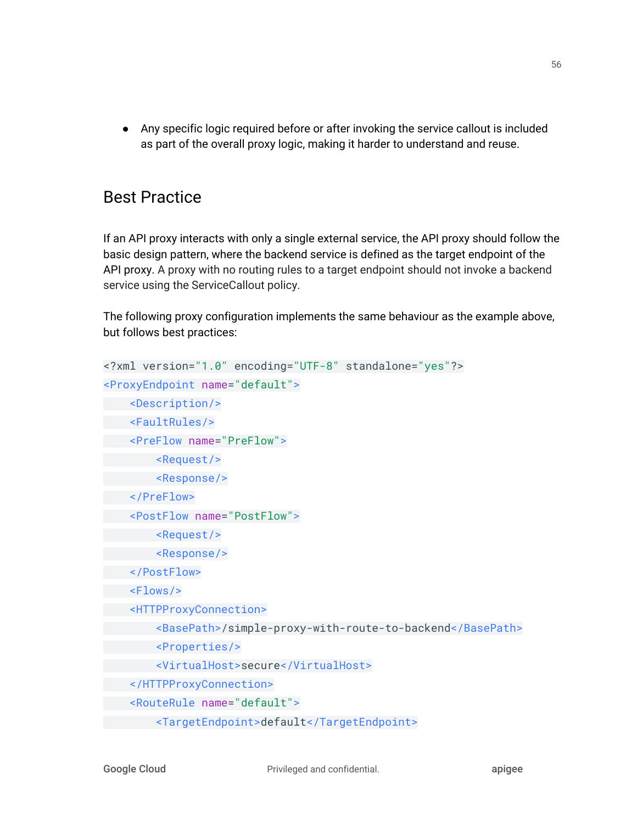● Any specific logic required before or after invoking the service callout is included as part of the overall proxy logic, making it harder to understand and reuse.

# Best Practice

If an API proxy interacts with only a single external service, the API proxy should follow the basic design pattern, where the backend service is defined as the target endpoint of the API proxy. A proxy with no routing rules to a target endpoint should not invoke a backend service using the ServiceCallout policy.

The following proxy configuration implements the same behaviour as the example above, but follows best practices:

```
<?xml version="1.0" encoding="UTF-8" standalone="yes"?>
<ProxyEndpoint name="default">
     <Description/>
     <FaultRules/>
    <PreFlow name="PreFlow">
         <Request/>
         <Response/>
     </PreFlow>
     <PostFlow name="PostFlow">
         <Request/>
         <Response/>
     </PostFlow>
     <Flows/>
     <HTTPProxyConnection>
         <BasePath>/simple-proxy-with-route-to-backend</BasePath>
         <Properties/>
         <VirtualHost>secure</VirtualHost>
     </HTTPProxyConnection>
     <RouteRule name="default">
         <TargetEndpoint>default</TargetEndpoint>
```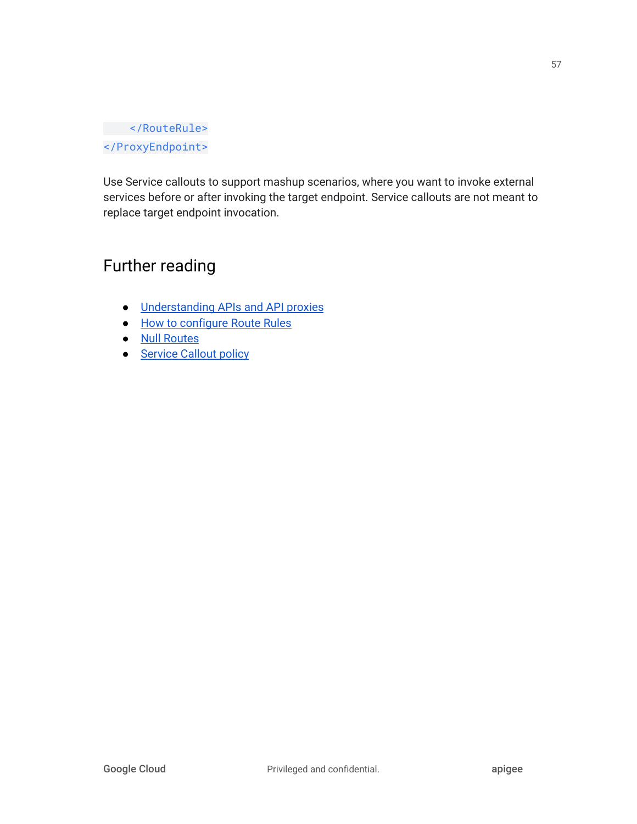### </RouteRule> </ProxyEndpoint>

Use Service callouts to support mashup scenarios, where you want to invoke external services before or after invoking the target endpoint. Service callouts are not meant to replace target endpoint invocation.

# Further reading

- [Understanding](https://docs.apigee.com/api-platform/fundamentals/understanding-apis-and-api-proxies) APIs and API proxies
- How to [configure](https://docs.apigee.com/api-platform/reference/api-proxy-configuration-reference#proxyendpoint-howtoconfigurerouterules) Route Rules
- Null [Routes](https://docs.apigee.com/api-platform/reference/api-proxy-configuration-reference#proxyendpoint-nullroutes)
- **[Service](https://docs.apigee.com/api-platform/reference/policies/service-callout-policy.html) Callout policy**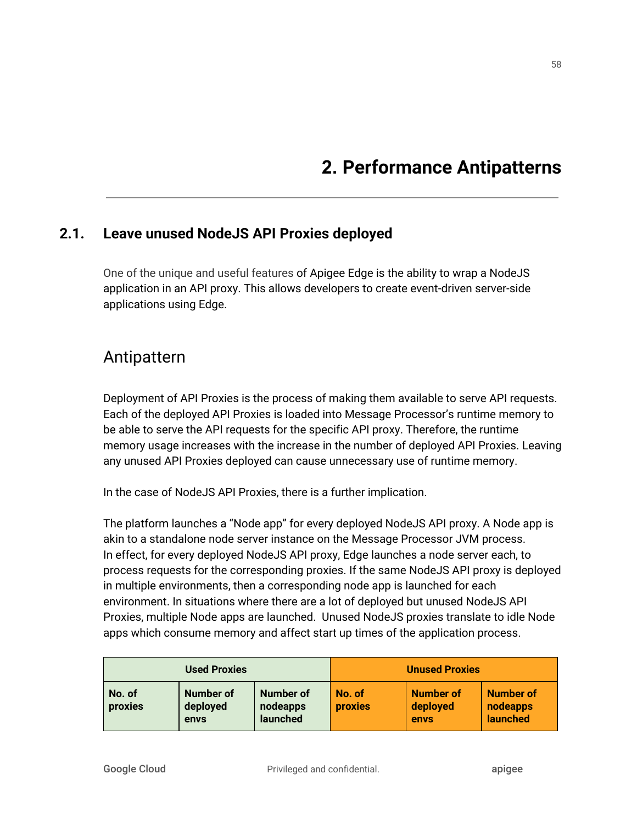# **2. Performance Antipatterns**

### **2.1. Leave unused NodeJS API Proxies deployed**

One of the unique and useful features of Apigee Edge is the ability to wrap a NodeJS application in an API proxy. This allows developers to create event-driven server-side applications using Edge.

## Antipattern

Deployment of API Proxies is the process of making them available to serve API requests. Each of the deployed API Proxies is loaded into Message Processor's runtime memory to be able to serve the API requests for the specific API proxy. Therefore, the runtime memory usage increases with the increase in the number of deployed API Proxies. Leaving any unused API Proxies deployed can cause unnecessary use of runtime memory.

In the case of NodeJS API Proxies, there is a further implication.

The platform launches a "Node app" for every deployed NodeJS API proxy. A Node app is akin to a standalone node server instance on the Message Processor JVM process. In effect, for every deployed NodeJS API proxy, Edge launches a node server each, to process requests for the corresponding proxies. If the same NodeJS API proxy is deployed in multiple environments, then a corresponding node app is launched for each environment. In situations where there are a lot of deployed but unused NodeJS API Proxies, multiple Node apps are launched. Unused NodeJS proxies translate to idle Node apps which consume memory and affect start up times of the application process.

| <b>Used Proxies</b> |                               | <b>Unused Proxies</b>                    |                          |                                      |                                          |
|---------------------|-------------------------------|------------------------------------------|--------------------------|--------------------------------------|------------------------------------------|
| No. of<br>proxies   | Number of<br>deployed<br>envs | <b>Number of</b><br>nodeapps<br>launched | No. of<br><b>proxies</b> | <b>Number of</b><br>deployed<br>envs | <b>Number of</b><br>nodeapps<br>launched |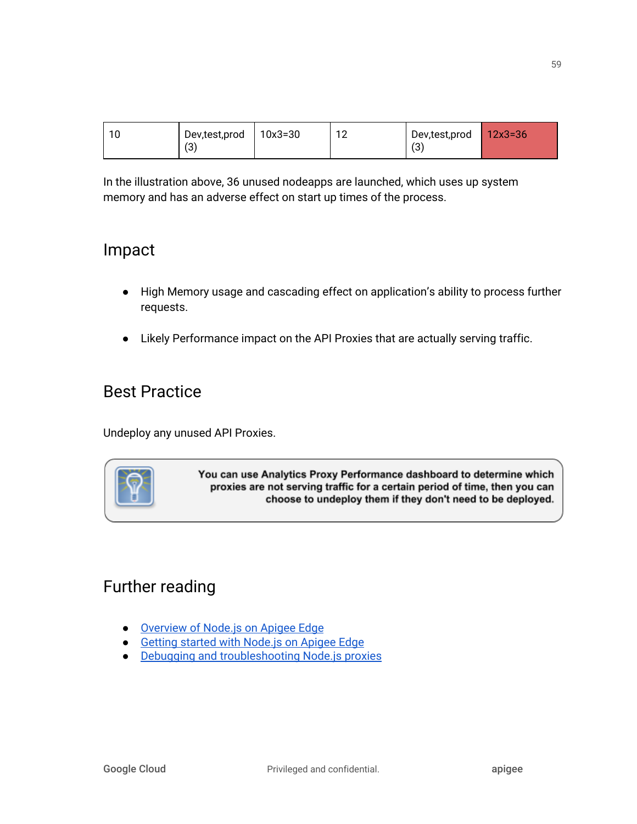| $\sim$ | Dev,test,prod | $10x3 = 30$ | 10<br>ے ا | Dev,test,prod   | $12x3=36$ |
|--------|---------------|-------------|-----------|-----------------|-----------|
|        | (3            |             |           | $\sqrt{2}$<br>ں |           |

In the illustration above, 36 unused nodeapps are launched, which uses up system memory and has an adverse effect on start up times of the process.

## Impact

- High Memory usage and cascading effect on application's ability to process further requests.
- Likely Performance impact on the API Proxies that are actually serving traffic.

# Best Practice

Undeploy any unused API Proxies.



You can use Analytics Proxy Performance dashboard to determine which proxies are not serving traffic for a certain period of time, then you can choose to undeploy them if they don't need to be deployed.

# Further reading

- [Overview](http://docs.apigee.com/api-services/content/overview-nodejs-apigee-edge) of Node.js on Apigee Edge
- Getting started with [Node.js](http://docs.apigee.com/api-services/content/getting-started-nodejs-apigee-edge) on Apigee Edge
- Debugging and [troubleshooting](http://docs.apigee.com/api-services/content/debugging-nodejs-proxies) Node.js proxies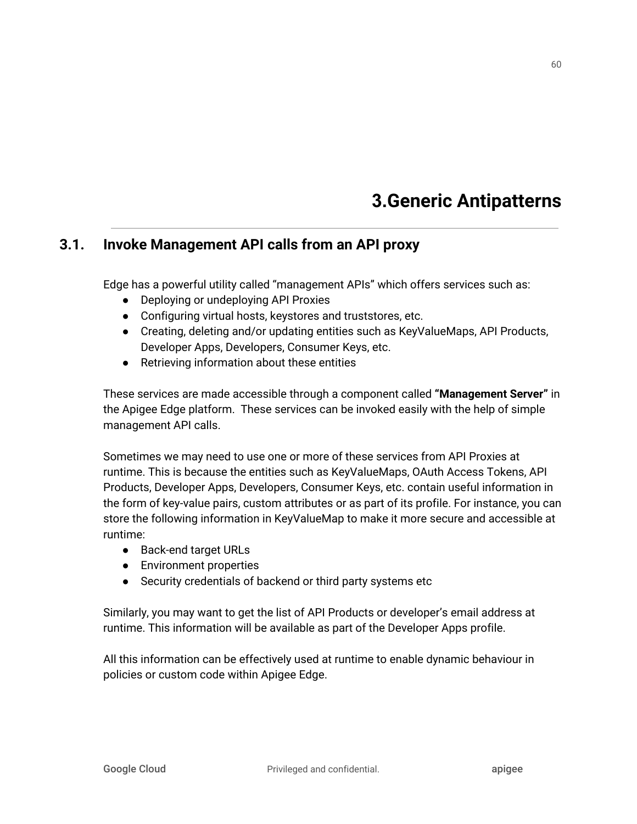# **3.Generic Antipatterns**

### **3.1. Invoke Management API calls from an API proxy**

Edge has a powerful utility called "management APIs" which offers services such as:

- Deploying or undeploying API Proxies
- Configuring virtual hosts, keystores and truststores, etc.
- Creating, deleting and/or updating entities such as KeyValueMaps, API Products, Developer Apps, Developers, Consumer Keys, etc.
- Retrieving information about these entities

These services are made accessible through a component called **"Management Server"** in the Apigee Edge platform. These services can be invoked easily with the help of simple management API calls.

Sometimes we may need to use one or more of these services from API Proxies at runtime. This is because the entities such as KeyValueMaps, OAuth Access Tokens, API Products, Developer Apps, Developers, Consumer Keys, etc. contain useful information in the form of key-value pairs, custom attributes or as part of its profile. For instance, you can store the following information in KeyValueMap to make it more secure and accessible at runtime:

- Back-end target URLs
- Environment properties
- Security credentials of backend or third party systems etc

Similarly, you may want to get the list of API Products or developer's email address at runtime. This information will be available as part of the Developer Apps profile.

All this information can be effectively used at runtime to enable dynamic behaviour in policies or custom code within Apigee Edge.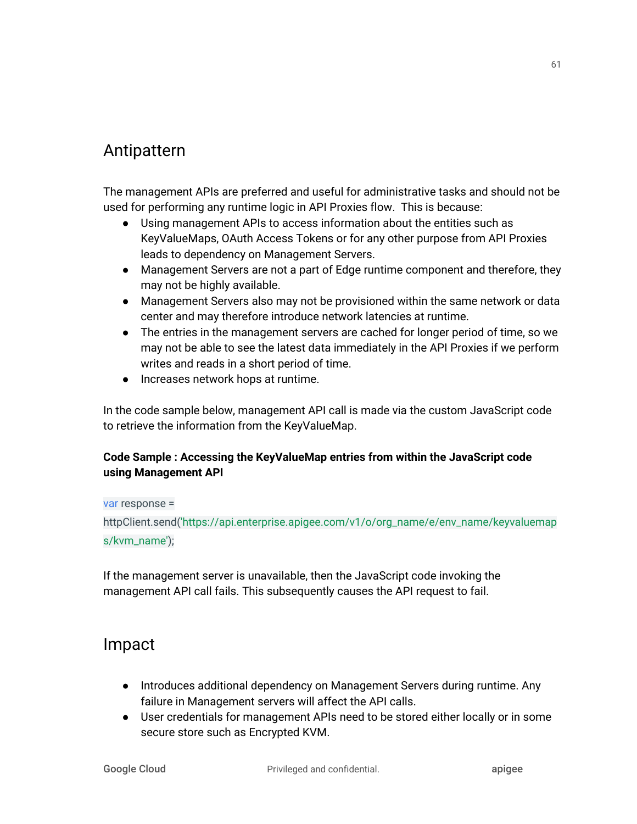## Antipattern

The management APIs are preferred and useful for administrative tasks and should not be used for performing any runtime logic in API Proxies flow. This is because:

- Using management APIs to access information about the entities such as KeyValueMaps, OAuth Access Tokens or for any other purpose from API Proxies leads to dependency on Management Servers.
- Management Servers are not a part of Edge runtime component and therefore, they may not be highly available.
- Management Servers also may not be provisioned within the same network or data center and may therefore introduce network latencies at runtime.
- The entries in the management servers are cached for longer period of time, so we may not be able to see the latest data immediately in the API Proxies if we perform writes and reads in a short period of time.
- Increases network hops at runtime.

In the code sample below, management API call is made via the custom JavaScript code to retrieve the information from the KeyValueMap.

### **Code Sample : Accessing the KeyValueMap entries from within the JavaScript code using Management API**

#### var response =

httpClient.send('https://api.enterprise.apigee.com/v1/o/org\_name/e/env\_name/keyvaluemap s/kvm\_name');

If the management server is unavailable, then the JavaScript code invoking the management API call fails. This subsequently causes the API request to fail.

## Impact

- Introduces additional dependency on Management Servers during runtime. Any failure in Management servers will affect the API calls.
- User credentials for management APIs need to be stored either locally or in some secure store such as Encrypted KVM.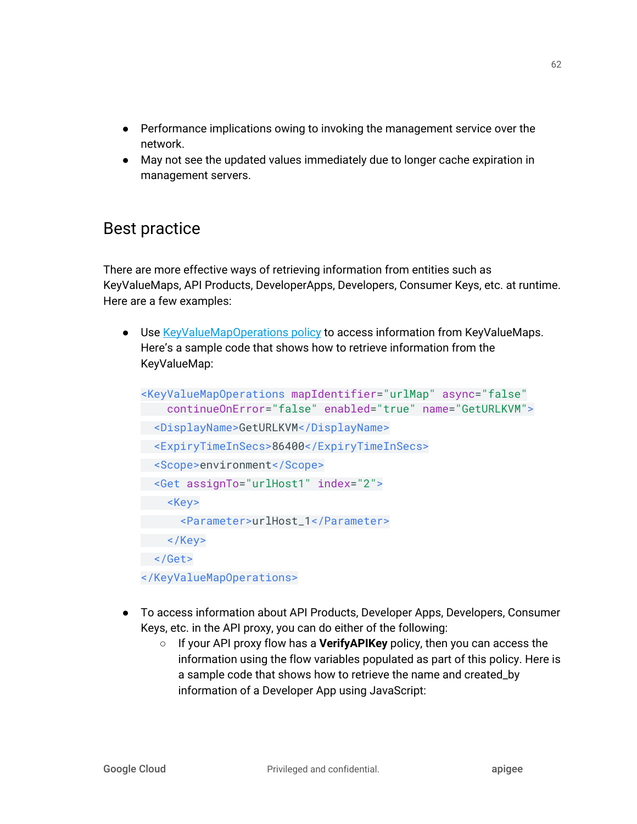- Performance implications owing to invoking the management service over the network.
- May not see the updated values immediately due to longer cache expiration in management servers.

# Best practice

There are more effective ways of retrieving information from entities such as KeyValueMaps, API Products, DeveloperApps, Developers, Consumer Keys, etc. at runtime. Here are a few examples:

● Use [KeyValueMapOperations](https://docs.apigee.com/api-platform/reference/policies/key-value-map-operations-policy) policy to access information from KeyValueMaps. Here's a sample code that shows how to retrieve information from the KeyValueMap:

```
<KeyValueMapOperations mapIdentifier="urlMap" async="false"
     continueOnError="false" enabled="true" name="GetURLKVM">
 <DisplayName>GetURLKVM</DisplayName>
 <ExpiryTimeInSecs>86400</ExpiryTimeInSecs>
 <Scope>environment</Scope>
  <Get assignTo="urlHost1" index="2">
     <Key>
       <Parameter>urlHost_1</Parameter>
  \langle/Key>
 </Get>
</KeyValueMapOperations>
```
- To access information about API Products, Developer Apps, Developers, Consumer Keys, etc. in the API proxy, you can do either of the following:
	- If your API proxy flow has a **VerifyAPIKey** policy, then you can access the information using the flow variables populated as part of this policy. Here is a sample code that shows how to retrieve the name and created\_by information of a Developer App using JavaScript: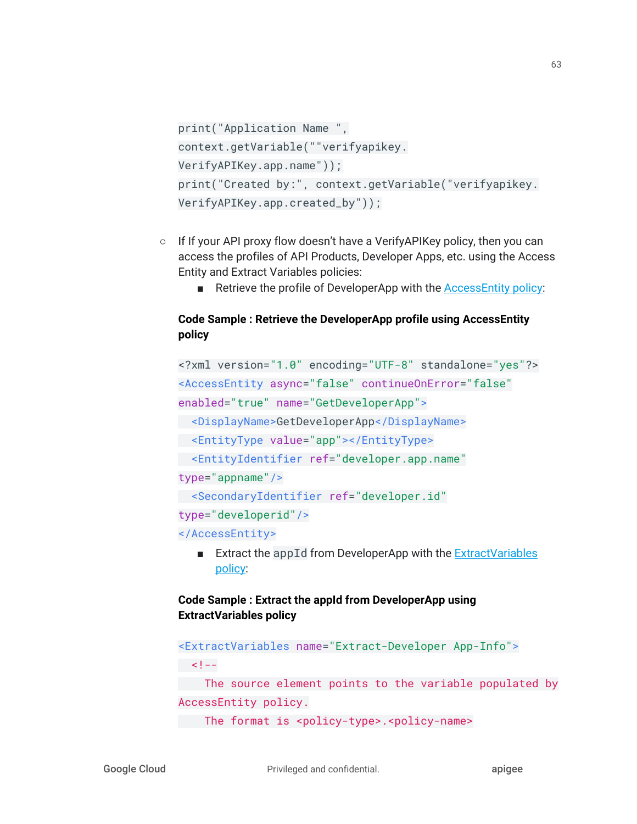```
print("Application Name ",
context.getVariable(""verifyapikey.
VerifyAPIKey.app.name"));
print("Created by:", context.getVariable("verifyapikey.
VerifyAPIKey.app.created_by"));
```
- If If your API proxy flow doesn't have a VerifyAPIKey policy, then you can access the profiles of API Products, Developer Apps, etc. using the Access Entity and Extract Variables policies:
	- Retrieve the profile of DeveloperApp with the [AccessEntity](https://docs.apigee.com/api-platform/reference/policies/access-entity-policy) policy:

#### **Code Sample : Retrieve the DeveloperApp profile using AccessEntity policy**

```
<?xml version="1.0" encoding="UTF-8" standalone="yes"?>
<AccessEntity async="false" continueOnError="false"
enabled="true" name="GetDeveloperApp">
 <DisplayName>GetDeveloperApp</DisplayName>
 <EntityType value="app"></EntityType>
 <EntityIdentifier ref="developer.app.name"
type="appname"/>
 <SecondaryIdentifier ref="developer.id"
type="developerid"/>
</AccessEntity>
```
■ Extract the appId from DeveloperApp with the **[ExtractVariables](https://docs.apigee.com/api-platform/reference/policies/extract-variables-policy)** [policy](https://docs.apigee.com/api-platform/reference/policies/extract-variables-policy):

### **Code Sample : Extract the appId from DeveloperApp using ExtractVariables policy**

```
<ExtractVariables name="Extract-Developer App-Info">
| - 1 < | - 1 The source element points to the variable populated by
AccessEntity policy.
The format is <policy-type>.<policy-name>
```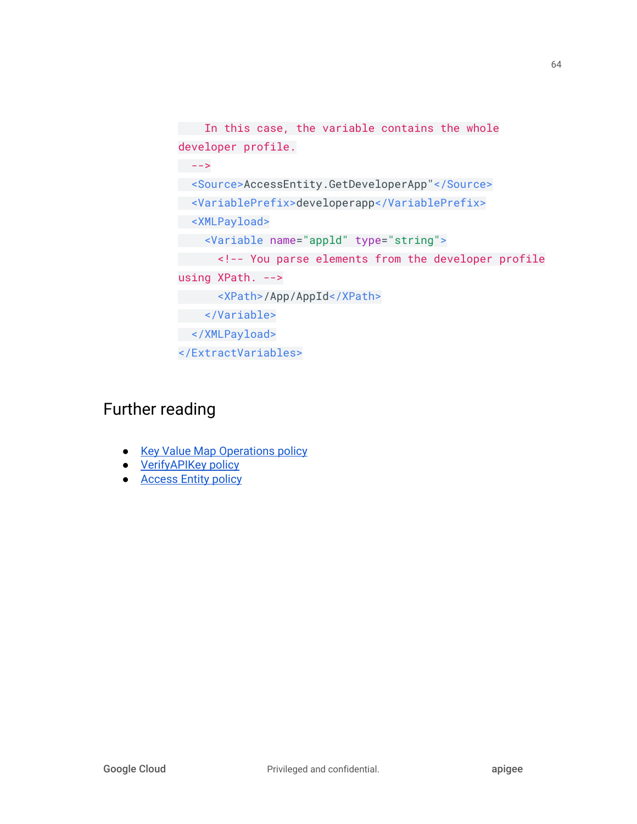```
In this case, the variable contains the whole
developer profile.
- - > <Source>AccessEntity.GetDeveloperApp"</Source>
 <VariablePrefix>developerapp</VariablePrefix>
 <XMLPayload>
 <Variable name="appld" type="string">
 <!-- You parse elements from the developer profile
using XPath. -->
 <XPath>/App/AppId</XPath>
 </Variable>
 </XMLPayload>
</ExtractVariables>
```
# Further reading

- Key Value Map [Operations](http://docs.apigee.com/api-services/reference/key-value-map-operations-policy) policy
- <u>[VerifyAPIKey](http://docs.apigee.com/api-services/reference/verify-api-key-policy) policy</u>
- **[Access](http://docs.apigee.com/api-services/reference/access-entity-policy) Entity policy**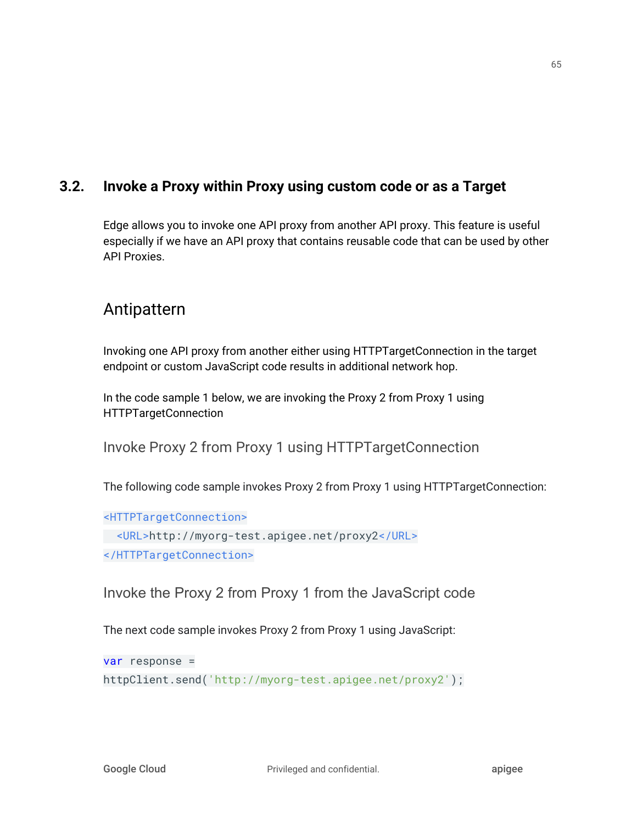### **3.2. Invoke a Proxy within Proxy using custom code or as a Target**

Edge allows you to invoke one API proxy from another API proxy. This feature is useful especially if we have an API proxy that contains reusable code that can be used by other API Proxies.

# Antipattern

Invoking one API proxy from another either using HTTPTargetConnection in the target endpoint or custom JavaScript code results in additional network hop.

In the code sample 1 below, we are invoking the Proxy 2 from Proxy 1 using HTTPTargetConnection

Invoke Proxy 2 from Proxy 1 using HTTPTargetConnection

The following code sample invokes Proxy 2 from Proxy 1 using HTTPTargetConnection:

<HTTPTargetConnection>

```
 <URL>http://myorg-test.apigee.net/proxy2</URL>
</HTTPTargetConnection>
```
Invoke the Proxy 2 from Proxy 1 from the JavaScript code

The next code sample invokes Proxy 2 from Proxy 1 using JavaScript:

var response =

httpClient.send('http://myorg-test.apigee.net/proxy2');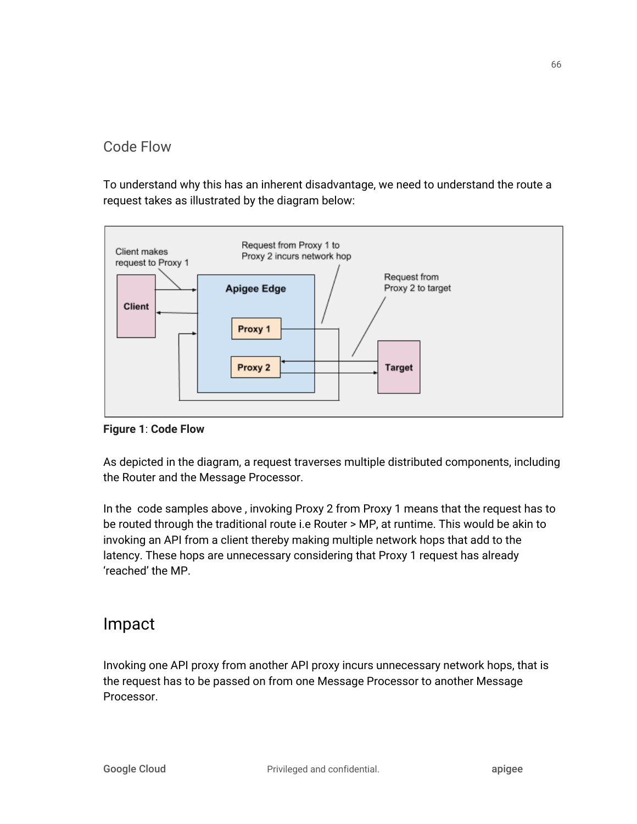## Code Flow

To understand why this has an inherent disadvantage, we need to understand the route a request takes as illustrated by the diagram below:



**Figure 1**: **Code Flow**

As depicted in the diagram, a request traverses multiple distributed components, including the Router and the Message Processor.

In the code samples above , invoking Proxy 2 from Proxy 1 means that the request has to be routed through the traditional route i.e Router > MP, at runtime. This would be akin to invoking an API from a client thereby making multiple network hops that add to the latency. These hops are unnecessary considering that Proxy 1 request has already 'reached' the MP.

# Impact

Invoking one API proxy from another API proxy incurs unnecessary network hops, that is the request has to be passed on from one Message Processor to another Message Processor.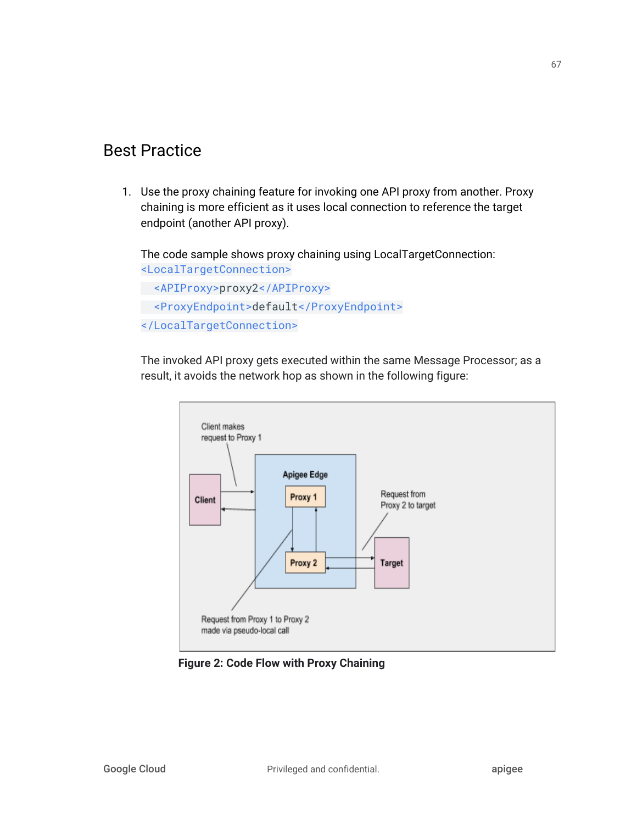## Best Practice

1. Use the proxy chaining feature for invoking one API proxy from another. Proxy chaining is more efficient as it uses local connection to reference the target endpoint (another API proxy).

The code sample shows proxy chaining using LocalTargetConnection: <LocalTargetConnection>

```
 <APIProxy>proxy2</APIProxy>
 <ProxyEndpoint>default</ProxyEndpoint>
</LocalTargetConnection>
```
The invoked API proxy gets executed within the same Message Processor; as a result, it avoids the network hop as shown in the following figure:



**Figure 2: Code Flow with Proxy Chaining**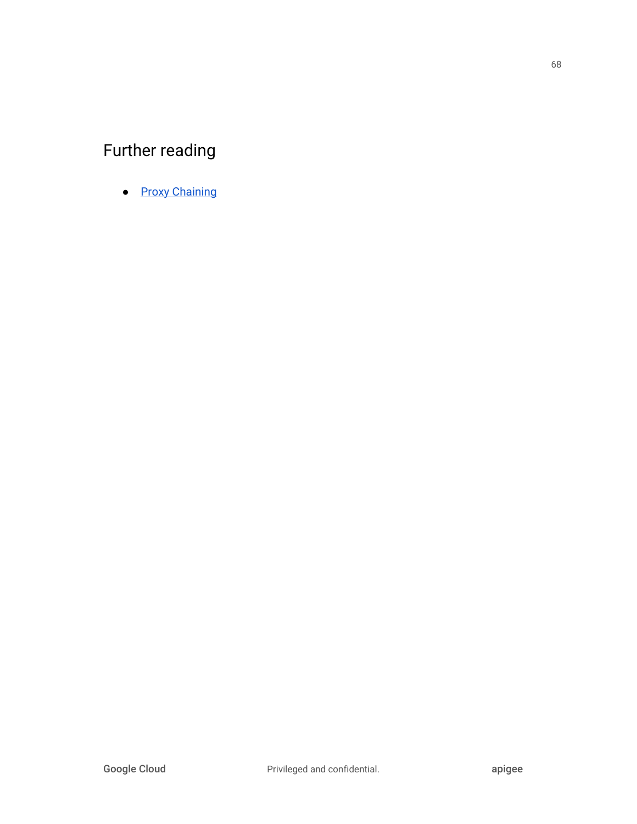# Further reading

● **Proxy [Chaining](http://docs.apigee.com/api-services/content/connecting-proxies-other-proxies)**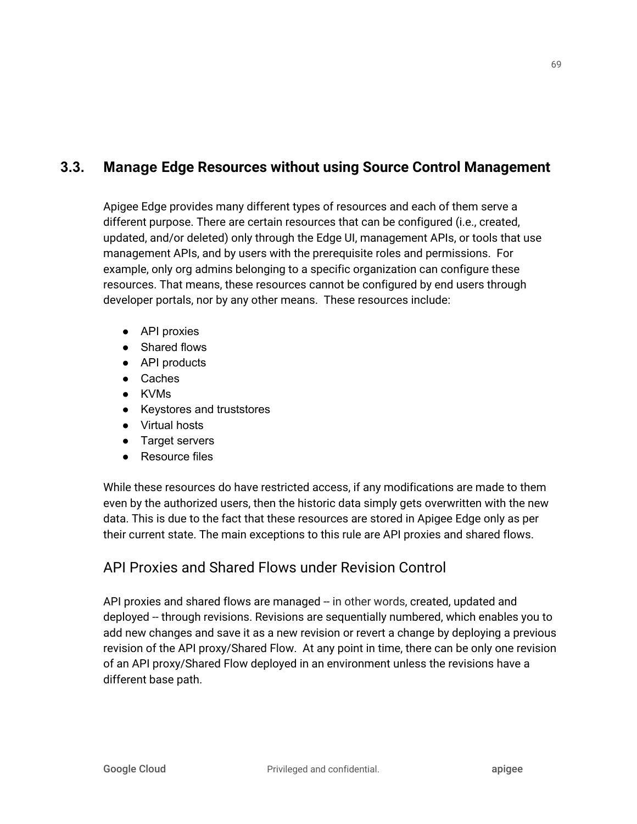## **3.3. Manage Edge Resources without using Source Control Management**

Apigee Edge provides many different types of resources and each of them serve a different purpose. There are certain resources that can be configured (i.e., created, updated, and/or deleted) only through the Edge UI, management APIs, or tools that use management APIs, and by users with the prerequisite roles and permissions. For example, only org admins belonging to a specific organization can configure these resources. That means, these resources cannot be configured by end users through developer portals, nor by any other means. These resources include:

- API proxies
- Shared flows
- API products
- Caches
- KVMs
- Keystores and truststores
- Virtual hosts
- Target servers
- Resource files

While these resources do have restricted access, if any modifications are made to them even by the authorized users, then the historic data simply gets overwritten with the new data. This is due to the fact that these resources are stored in Apigee Edge only as per their current state. The main exceptions to this rule are API proxies and shared flows.

### API Proxies and Shared Flows under Revision Control

API proxies and shared flows are managed -- in other words, created, updated and deployed -- through revisions. Revisions are sequentially numbered, which enables you to add new changes and save it as a new revision or revert a change by deploying a previous revision of the API proxy/Shared Flow. At any point in time, there can be only one revision of an API proxy/Shared Flow deployed in an environment unless the revisions have a different base path.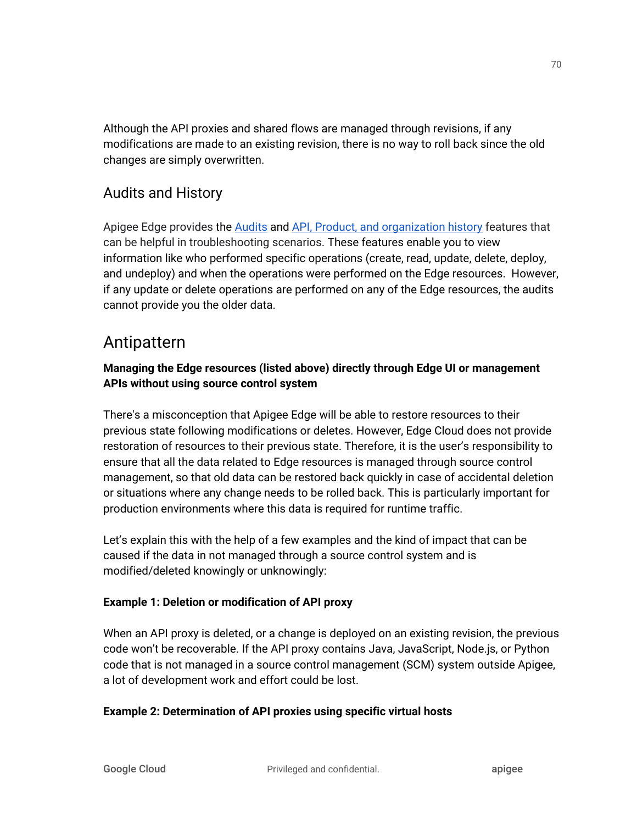Although the API proxies and shared flows are managed through revisions, if any modifications are made to an existing revision, there is no way to roll back since the old changes are simply overwritten.

### Audits and History

Apigee Edge provides the [Audits](https://apidocs.apigee.com/api/audits-0) and API, Product, and [organization](https://docs.apigee.com/api-platform/debug/view-api-history) history features that can be helpful in troubleshooting scenarios. These features enable you to view information like who performed specific operations (create, read, update, delete, deploy, and undeploy) and when the operations were performed on the Edge resources. However, if any update or delete operations are performed on any of the Edge resources, the audits cannot provide you the older data.

## Antipattern

### **Managing the Edge resources (listed above) directly through Edge UI or management APIs without using source control system**

There's a misconception that Apigee Edge will be able to restore resources to their previous state following modifications or deletes. However, Edge Cloud does not provide restoration of resources to their previous state. Therefore, it is the user's responsibility to ensure that all the data related to Edge resources is managed through source control management, so that old data can be restored back quickly in case of accidental deletion or situations where any change needs to be rolled back. This is particularly important for production environments where this data is required for runtime traffic.

Let's explain this with the help of a few examples and the kind of impact that can be caused if the data in not managed through a source control system and is modified/deleted knowingly or unknowingly:

### **Example 1: Deletion or modification of API proxy**

When an API proxy is deleted, or a change is deployed on an existing revision, the previous code won't be recoverable. If the API proxy contains Java, JavaScript, Node.js, or Python code that is not managed in a source control management (SCM) system outside Apigee, a lot of development work and effort could be lost.

### **Example 2: Determination of API proxies using specific virtual hosts**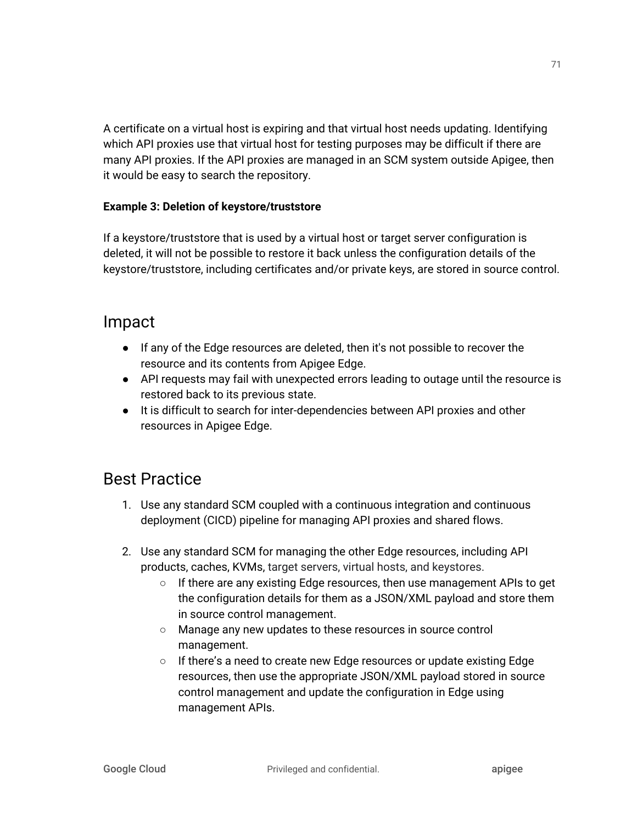A certificate on a virtual host is expiring and that virtual host needs updating. Identifying which API proxies use that virtual host for testing purposes may be difficult if there are many API proxies. If the API proxies are managed in an SCM system outside Apigee, then it would be easy to search the repository.

#### **Example 3: Deletion of keystore/truststore**

If a keystore/truststore that is used by a virtual host or target server configuration is deleted, it will not be possible to restore it back unless the configuration details of the keystore/truststore, including certificates and/or private keys, are stored in source control.

## Impact

- If any of the Edge resources are deleted, then it's not possible to recover the resource and its contents from Apigee Edge.
- API requests may fail with unexpected errors leading to outage until the resource is restored back to its previous state.
- It is difficult to search for inter-dependencies between API proxies and other resources in Apigee Edge.

# Best Practice

- 1. Use any standard SCM coupled with a continuous integration and continuous deployment (CICD) pipeline for managing API proxies and shared flows.
- 2. Use any standard SCM for managing the other Edge resources, including API products, caches, KVMs, target servers, virtual hosts, and keystores.
	- If there are any existing Edge resources, then use management APIs to get the configuration details for them as a JSON/XML payload and store them in source control management.
	- Manage any new updates to these resources in source control management.
	- If there's a need to create new Edge resources or update existing Edge resources, then use the appropriate JSON/XML payload stored in source control management and update the configuration in Edge using management APIs.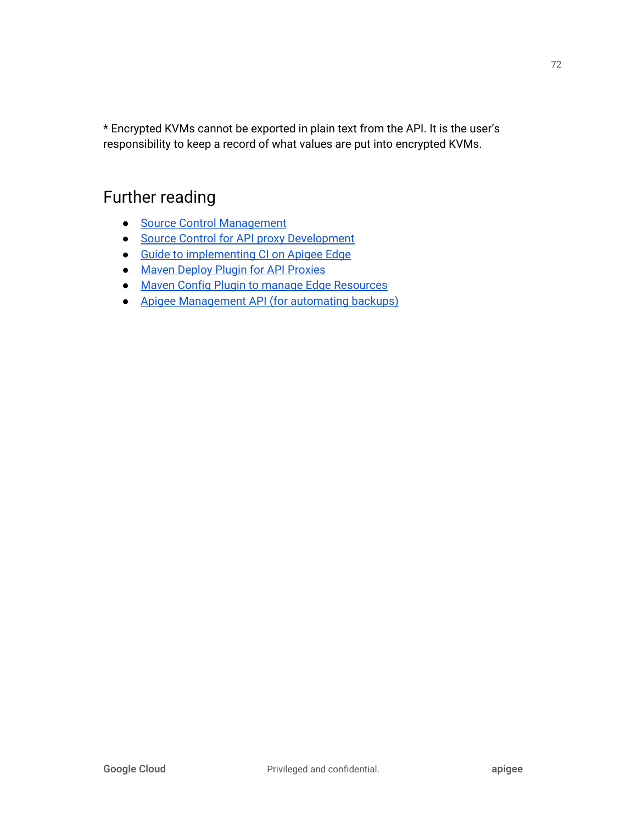\* Encrypted KVMs cannot be exported in plain text from the API. It is the user's responsibility to keep a record of what values are put into encrypted KVMs.

- Source Control [Management](https://assessment-tools.ca.com/tools/continuous-delivery-tools/en/source-control-management-tools)
- Source Control for API proxy [Development](https://community.apigee.com/articles/34868/source-control-for-api-proxy-development.html)
- Guide to [implementing](https://community.apigee.com/articles/35173/continuous-integration-for-api-proxies.html) CI on Apigee Edge
- Maven Deploy Plugin for API [Proxies](https://github.com/apigee/apigee-deploy-maven-plugin)
- Maven Config Plugin to manage Edge [Resources](https://github.com/apigee/apigee-config-maven-plugin)
- Apigee [Management](https://apidocs.apigee.com/management/apis) API (for automating backups)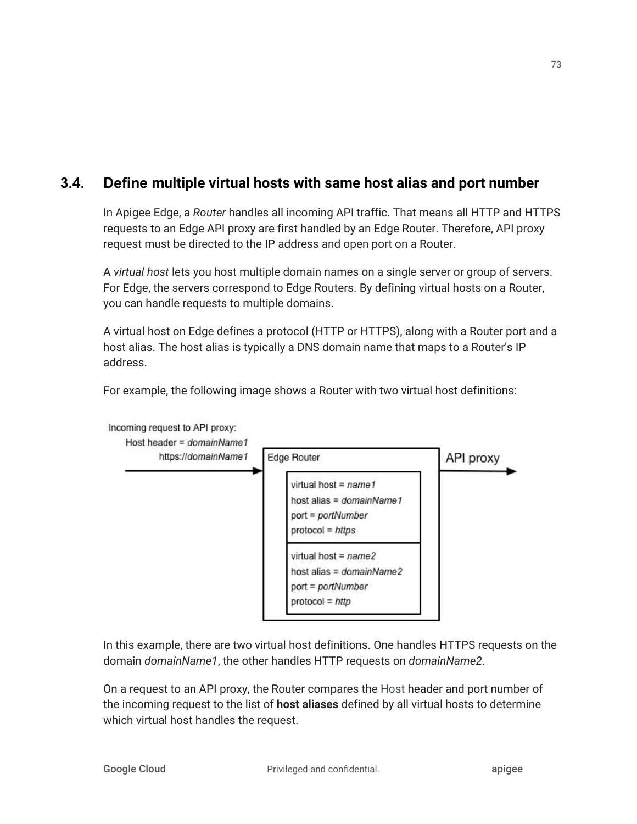### **3.4. Define multiple virtual hosts with same host alias and port number**

In Apigee Edge, a *Router* handles all incoming API traffic. That means all HTTP and HTTPS requests to an Edge API proxy are first handled by an Edge Router. Therefore, API proxy request must be directed to the IP address and open port on a Router.

A *virtual host* lets you host multiple domain names on a single server or group of servers. For Edge, the servers correspond to Edge Routers. By defining virtual hosts on a Router, you can handle requests to multiple domains.

A virtual host on Edge defines a protocol (HTTP or HTTPS), along with a Router port and a host alias. The host alias is typically a DNS domain name that maps to a Router's IP address.

For example, the following image shows a Router with two virtual host definitions:



Incoming request to API proxy:

In this example, there are two virtual host definitions. One handles HTTPS requests on the domain *domainName1*, the other handles HTTP requests on *domainName2*.

On a request to an API proxy, the Router compares the Host header and port number of the incoming request to the list of **host aliases** defined by all virtual hosts to determine which virtual host handles the request.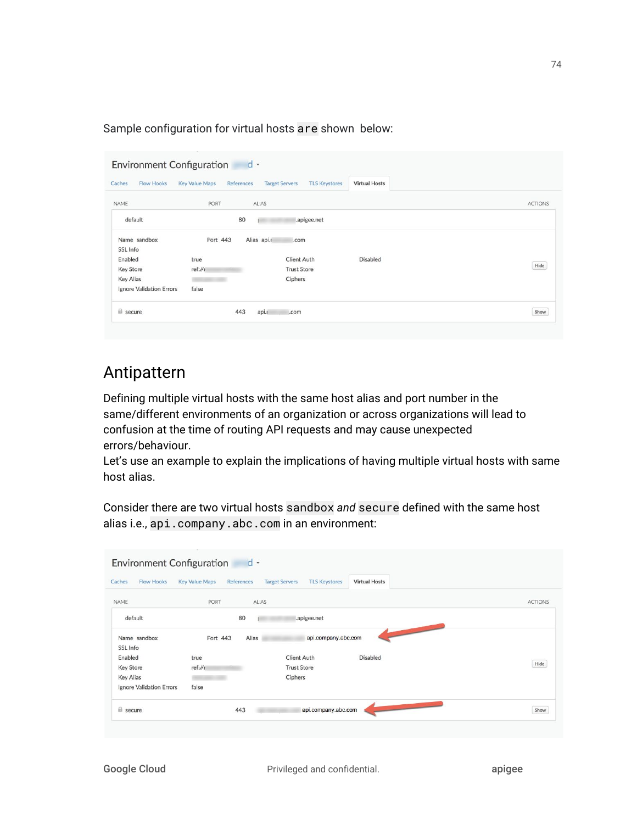Sample configuration for virtual hosts are shown below:

|                          | <b>Key Value Maps</b><br>References | <b>Target Servers</b><br><b>TLS Keystores</b> | <b>Virtual Hosts</b> |                |
|--------------------------|-------------------------------------|-----------------------------------------------|----------------------|----------------|
| NAME                     | PORT                                | ALIAS                                         |                      | <b>ACTIONS</b> |
| default                  | 80                                  | .apigee.net                                   |                      |                |
| Name sandbox             | Port 443                            | Alias api.r<br>.com                           |                      |                |
| SSL Info                 |                                     |                                               |                      |                |
| Enabled                  | true                                | <b>Client Auth</b>                            | <b>Disabled</b>      |                |
| <b>Key Store</b>         | ref://1                             | <b>Trust Store</b>                            |                      | Hide           |
| <b>Key Alias</b>         |                                     | Ciphers                                       |                      |                |
|                          | false                               |                                               |                      |                |
| Ignore Validation Errors |                                     |                                               |                      |                |

## Antipattern

Defining multiple virtual hosts with the same host alias and port number in the same/different environments of an organization or across organizations will lead to confusion at the time of routing API requests and may cause unexpected errors/behaviour.

Let's use an example to explain the implications of having multiple virtual hosts with same host alias.

Consider there are two virtual hosts sandbox *and* secure defined with the same host alias i.e., api.company.abc.com in an environment:

| <b>Environment Configuration</b>                                     |                                     | $d$ -                                               |                            |                |
|----------------------------------------------------------------------|-------------------------------------|-----------------------------------------------------|----------------------------|----------------|
| Caches<br><b>Flow Hooks</b>                                          | <b>Key Value Maps</b><br>References | <b>Target Servers</b><br><b>TLS Keystores</b>       | <b>Virtual Hosts</b>       |                |
| NAME                                                                 | PORT                                | ALIAS                                               |                            | <b>ACTIONS</b> |
| default                                                              | 80                                  | .apigee.net                                         |                            |                |
| Name sandbox<br>SSL Info                                             | Port 443<br>Alias                   | api.company.abc.com                                 | <b>COMPANY AND INCOME.</b> |                |
| Enabled<br><b>Key Store</b><br>Key Alias<br>Ignore Validation Errors | true<br>ref://1<br>false            | <b>Client Auth</b><br><b>Trust Store</b><br>Ciphers | <b>Disabled</b>            | Hide           |
| a secure                                                             | 443                                 | api.company.abc.com                                 |                            | Show           |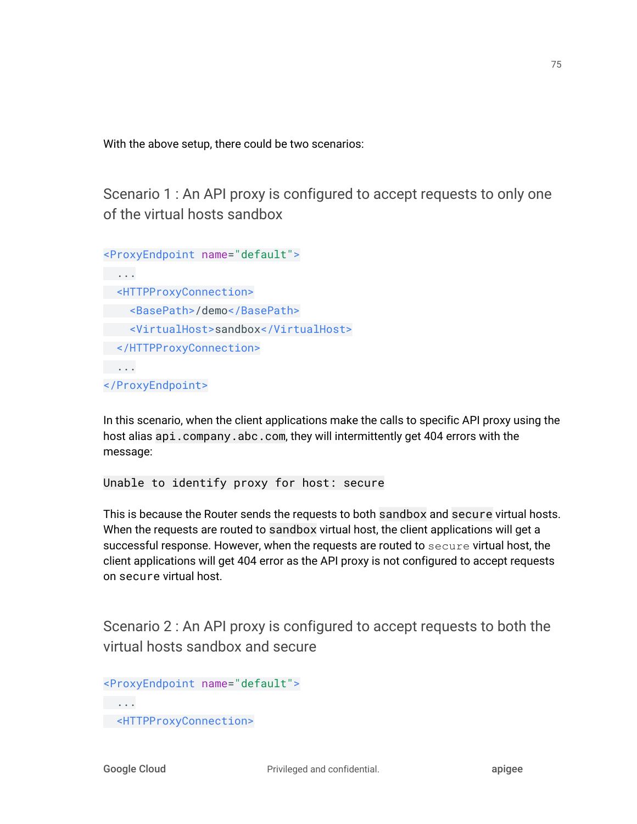With the above setup, there could be two scenarios:

Scenario 1 : An API proxy is configured to accept requests to only one of the virtual hosts sandbox

```
<ProxyEndpoint name="default">
 ...
 <HTTPProxyConnection>
 <BasePath>/demo</BasePath>
   <VirtualHost>sandbox</VirtualHost>
 </HTTPProxyConnection>
 ...
</ProxyEndpoint>
```
In this scenario, when the client applications make the calls to specific API proxy using the host alias api.company.abc.com, they will intermittently get 404 errors with the message:

Unable to identify proxy for host: secure

This is because the Router sends the requests to both sandbox and secure virtual hosts. When the requests are routed to sandbox virtual host, the client applications will get a successful response. However, when the requests are routed to secure virtual host, the client applications will get 404 error as the API proxy is not configured to accept requests on secure virtual host.

Scenario 2 : An API proxy is configured to accept requests to both the virtual hosts sandbox and secure

```
<ProxyEndpoint name="default">
 ...
 <HTTPProxyConnection>
```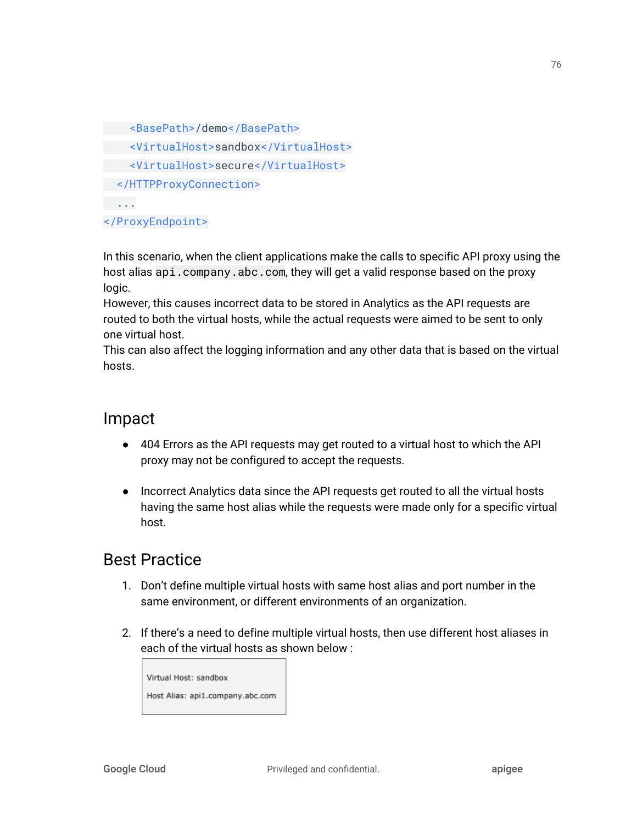```
 <BasePath>/demo</BasePath>
    <VirtualHost>sandbox</VirtualHost>
   <VirtualHost>secure</VirtualHost>
 </HTTPProxyConnection>
 ...
</ProxyEndpoint>
```
In this scenario, when the client applications make the calls to specific API proxy using the host alias api.company.abc.com, they will get a valid response based on the proxy logic.

However, this causes incorrect data to be stored in Analytics as the API requests are routed to both the virtual hosts, while the actual requests were aimed to be sent to only one virtual host.

This can also affect the logging information and any other data that is based on the virtual hosts.

### Impact

- 404 Errors as the API requests may get routed to a virtual host to which the API proxy may not be configured to accept the requests.
- Incorrect Analytics data since the API requests get routed to all the virtual hosts having the same host alias while the requests were made only for a specific virtual host.

## Best Practice

- 1. Don't define multiple virtual hosts with same host alias and port number in the same environment, or different environments of an organization.
- 2. If there's a need to define multiple virtual hosts, then use different host aliases in each of the virtual hosts as shown below :

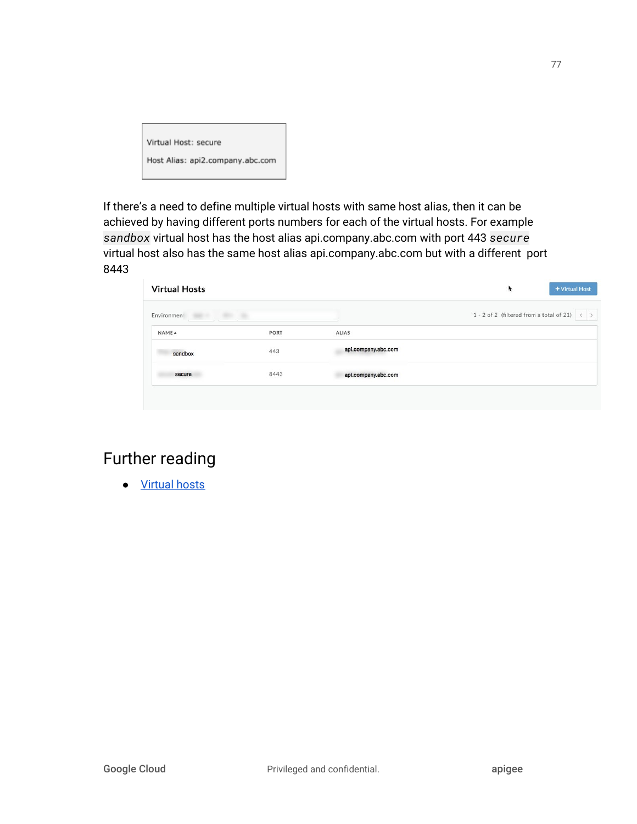| Virtual Host: secure             |
|----------------------------------|
| Host Alias: api2.company.abc.com |

If there's a need to define multiple virtual hosts with same host alias, then it can be achieved by having different ports numbers for each of the virtual hosts. For example *sandbox* virtual host has the host alias api.company.abc.com with port 443 *secure* virtual host also has the same host alias api.company.abc.com but with a different port 8443

| <b>Virtual Hosts</b>    |      |                     | ¥                                        | + Virtual Host |
|-------------------------|------|---------------------|------------------------------------------|----------------|
| Environmen <sup>®</sup> |      |                     | 1 - 2 of 2 (filtered from a total of 21) | $\langle$ >    |
| NAME 4                  | PORT | ALIAS               |                                          |                |
| sandbox                 | 443  | api.company.abc.com |                                          |                |
| secure                  | 8443 | api.company.abc.com |                                          |                |
|                         |      |                     |                                          |                |

# Further reading

● [Virtual](https://docs.apigee.com/api-platform/fundamentals/virtual-hosts) hosts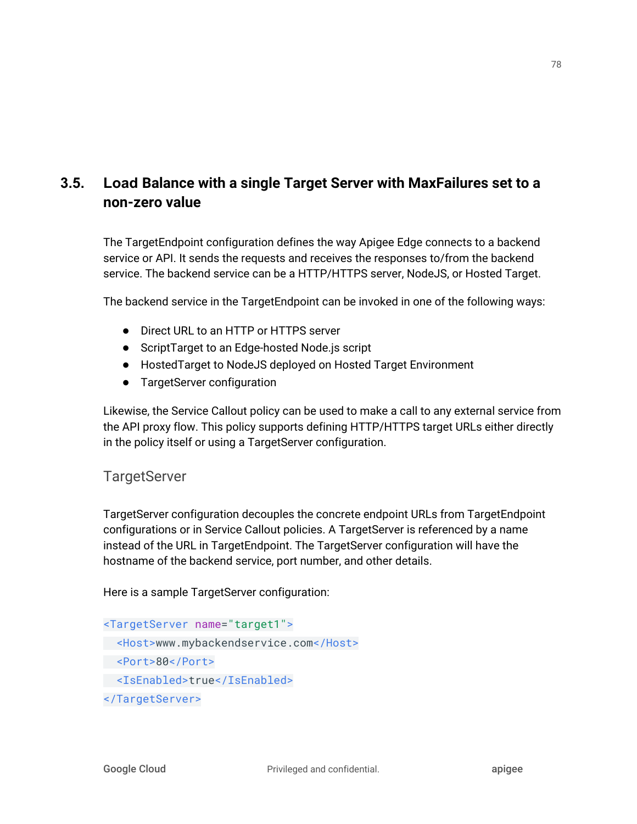### **3.5. Load Balance with a single Target Server with MaxFailures set to a non-zero value**

The TargetEndpoint configuration defines the way Apigee Edge connects to a backend service or API. It sends the requests and receives the responses to/from the backend service. The backend service can be a HTTP/HTTPS server, NodeJS, or Hosted Target.

The backend service in the TargetEndpoint can be invoked in one of the following ways:

- Direct URL to an HTTP or HTTPS server
- ScriptTarget to an Edge-hosted Node.js script
- HostedTarget to NodeJS deployed on Hosted Target Environment
- TargetServer configuration

Likewise, the Service Callout policy can be used to make a call to any external service from the API proxy flow. This policy supports defining HTTP/HTTPS target URLs either directly in the policy itself or using a TargetServer configuration.

### **TargetServer**

TargetServer configuration decouples the concrete endpoint URLs from TargetEndpoint configurations or in Service Callout policies. A TargetServer is referenced by a name instead of the URL in TargetEndpoint. The TargetServer configuration will have the hostname of the backend service, port number, and other details.

Here is a sample TargetServer configuration:

```
<TargetServer name="target1">
 <Host>www.mybackendservice.com</Host>
 <Port>80</Port>
 <IsEnabled>true</IsEnabled>
</TargetServer>
```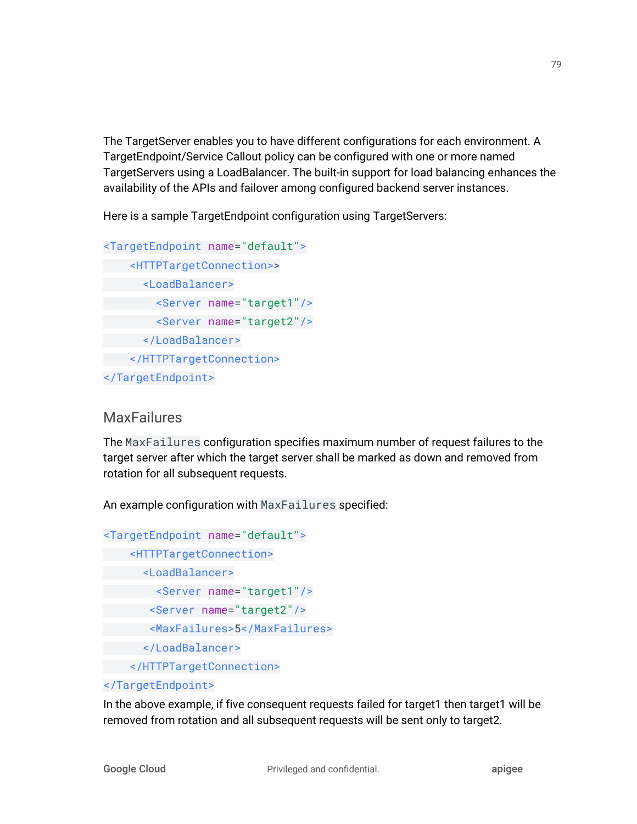The TargetServer enables you to have different configurations for each environment. A TargetEndpoint/Service Callout policy can be configured with one or more named TargetServers using a LoadBalancer. The built-in support for load balancing enhances the availability of the APIs and failover among configured backend server instances.

Here is a sample TargetEndpoint configuration using TargetServers:

```
<TargetEndpoint name="default">
     <HTTPTargetConnection>>
       <LoadBalancer>
         <Server name="target1"/>
         <Server name="target2"/>
       </LoadBalancer>
     </HTTPTargetConnection>
</TargetEndpoint>
```
### **MaxFailures**

The MaxFailures configuration specifies maximum number of request failures to the target server after which the target server shall be marked as down and removed from rotation for all subsequent requests.

An example configuration with MaxFailures specified:

```
<TargetEndpoint name="default">
     <HTTPTargetConnection>
     <LoadBalancer>
         <Server name="target1"/>
        <Server name="target2"/>
        <MaxFailures>5</MaxFailures>
       </LoadBalancer>
     </HTTPTargetConnection>
```
#### </TargetEndpoint>

In the above example, if five consequent requests failed for target1 then target1 will be removed from rotation and all subsequent requests will be sent only to target2.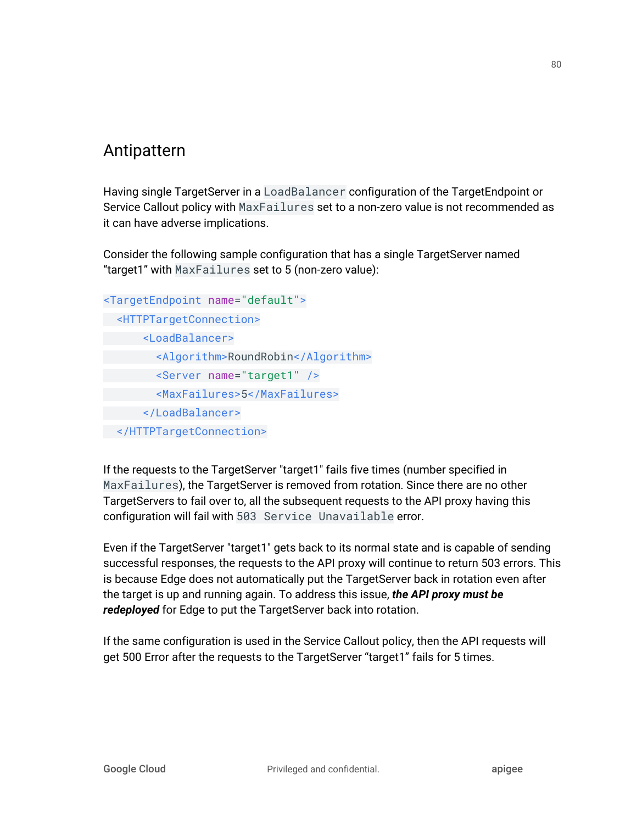## Antipattern

Having single TargetServer in a LoadBalancer configuration of the TargetEndpoint or Service Callout policy with MaxFailures set to a non-zero value is not recommended as it can have adverse implications.

Consider the following sample configuration that has a single TargetServer named "target1" with MaxFailures set to 5 (non-zero value):

```
<TargetEndpoint name="default">
  <HTTPTargetConnection>
       <LoadBalancer>
         <Algorithm>RoundRobin</Algorithm>
         <Server name="target1" />
         <MaxFailures>5</MaxFailures>
       </LoadBalancer>
 </HTTPTargetConnection>
```
If the requests to the TargetServer "target1" fails five times (number specified in MaxFailures), the TargetServer is removed from rotation. Since there are no other TargetServers to fail over to, all the subsequent requests to the API proxy having this configuration will fail with 503 Service Unavailable error.

Even if the TargetServer "target1" gets back to its normal state and is capable of sending successful responses, the requests to the API proxy will continue to return 503 errors. This is because Edge does not automatically put the TargetServer back in rotation even after the target is up and running again. To address this issue, *the API proxy must be redeployed* for Edge to put the TargetServer back into rotation.

If the same configuration is used in the Service Callout policy, then the API requests will get 500 Error after the requests to the TargetServer "target1" fails for 5 times.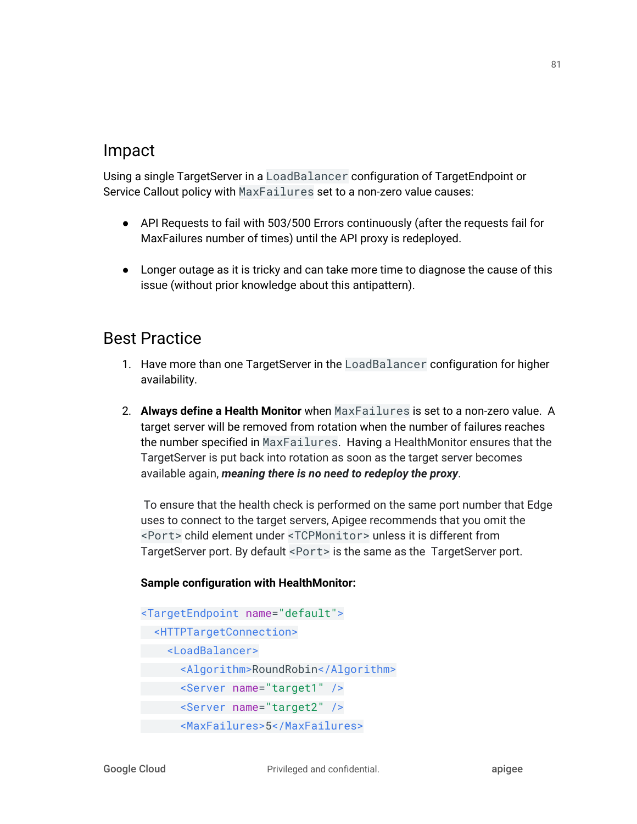### Impact

Using a single TargetServer in a LoadBalancer configuration of TargetEndpoint or Service Callout policy with MaxFailures set to a non-zero value causes:

- API Requests to fail with 503/500 Errors continuously (after the requests fail for MaxFailures number of times) until the API proxy is redeployed.
- Longer outage as it is tricky and can take more time to diagnose the cause of this issue (without prior knowledge about this antipattern).

## Best Practice

- 1. Have more than one TargetServer in the LoadBalancer configuration for higher availability.
- 2. **Always define a Health Monitor** when MaxFailures is set to a non-zero value. A target server will be removed from rotation when the number of failures reaches the number specified in MaxFailures. Having a HealthMonitor ensures that the TargetServer is put back into rotation as soon as the target server becomes available again, *meaning there is no need to redeploy the proxy*.

To ensure that the health check is performed on the same port number that Edge uses to connect to the target servers, Apigee recommends that you omit the <Port> child element under <TCPMonitor> unless it is different from TargetServer port. By default <Port> is the same as the TargetServer port.

#### **Sample configuration with HealthMonitor:**

```
<TargetEndpoint name="default">
 <HTTPTargetConnection>
    <LoadBalancer>
       <Algorithm>RoundRobin</Algorithm>
       <Server name="target1" />
       <Server name="target2" />
       <MaxFailures>5</MaxFailures>
```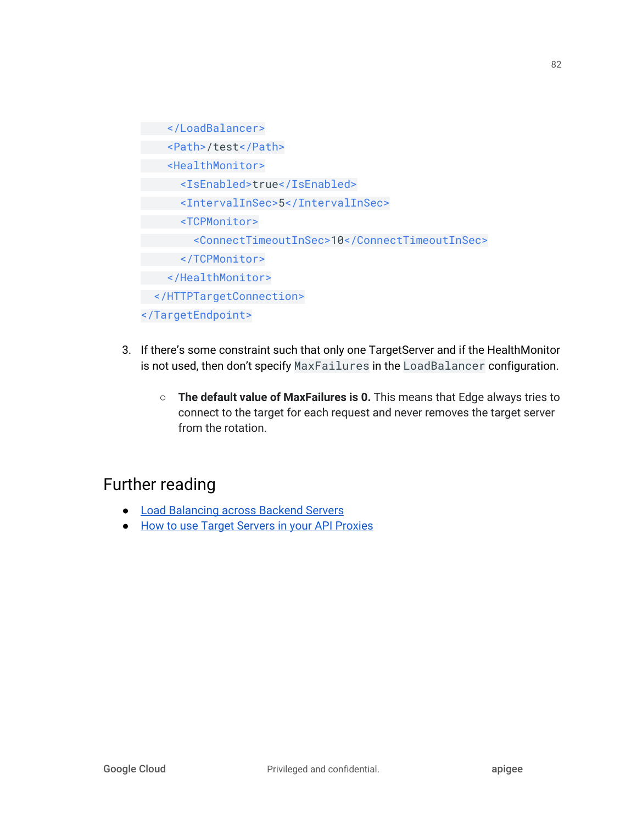</LoadBalancer> <Path>/test</Path> <HealthMonitor> <IsEnabled>true</IsEnabled> <IntervalInSec>5</IntervalInSec> <TCPMonitor> <ConnectTimeoutInSec>10</ConnectTimeoutInSec> </TCPMonitor> </HealthMonitor> </HTTPTargetConnection> </TargetEndpoint>

- 3. If there's some constraint such that only one TargetServer and if the HealthMonitor is not used, then don't specify MaxFailures in the LoadBalancer configuration.
	- **The default value of MaxFailures is 0.** This means that Edge always tries to connect to the target for each request and never removes the target server from the rotation.

- **●** Load [Balancing](https://docs.apigee.com/api-platform/deploy/load-balancing-across-backend-servers) across Backend Servers
- How to use Target [Servers](https://community.apigee.com/articles/17980/how-to-use-target-servers-in-your-api-proxies.html) in your API Proxies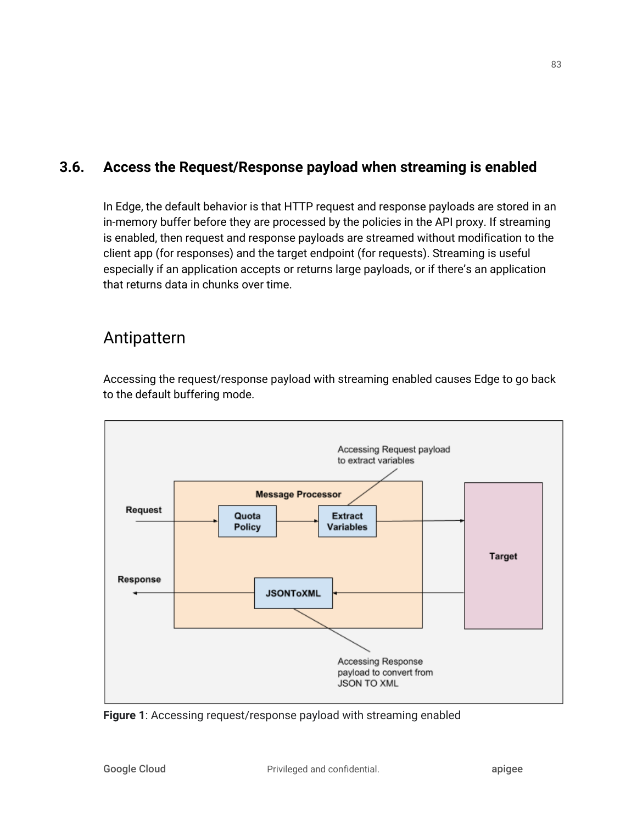### **3.6. Access the Request/Response payload when streaming is enabled**

In Edge, the default behavior is that HTTP request and response payloads are stored in an in-memory buffer before they are processed by the policies in the API proxy. If streaming is enabled, then request and response payloads are streamed without modification to the client app (for responses) and the target endpoint (for requests). Streaming is useful especially if an application accepts or returns large payloads, or if there's an application that returns data in chunks over time.

### Antipattern

Accessing the request/response payload with streaming enabled causes Edge to go back to the default buffering mode.



**Figure 1**: Accessing request/response payload with streaming enabled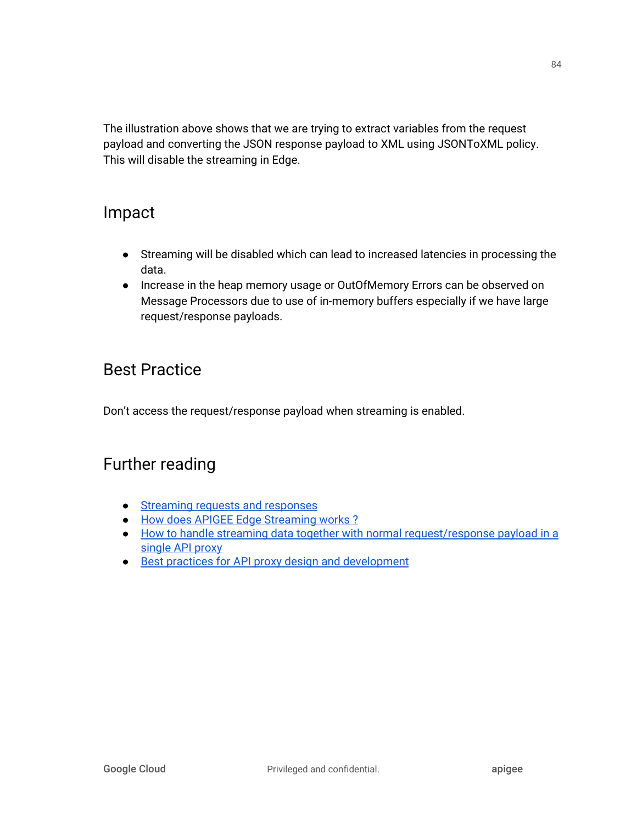The illustration above shows that we are trying to extract variables from the request payload and converting the JSON response payload to XML using JSONToXML policy. This will disable the streaming in Edge.

### Impact

- Streaming will be disabled which can lead to increased latencies in processing the data.
- Increase in the heap memory usage or OutOfMemory Errors can be observed on Message Processors due to use of in-memory buffers especially if we have large request/response payloads.

## Best Practice

Don't access the request/response payload when streaming is enabled.

- Streaming requests and [responses](http://docs.apigee.com/api-services/content/enabling-streaming)
- How does APIGEE Edge [Streaming](https://community.apigee.com/questions/29759/how-does-apigee-edge-streaming-works.html) works ?
- How to handle streaming data together with normal [request/response](https://community.apigee.com/questions/8806/how-to-handle-streaming-data-together-with-normal.html) payload in a [single](https://community.apigee.com/questions/8806/how-to-handle-streaming-data-together-with-normal.html) API proxy
- Best practices for API proxy design and [development](http://docs.apigee.com/api-services/content/best-practices-api-proxy-design-and-development)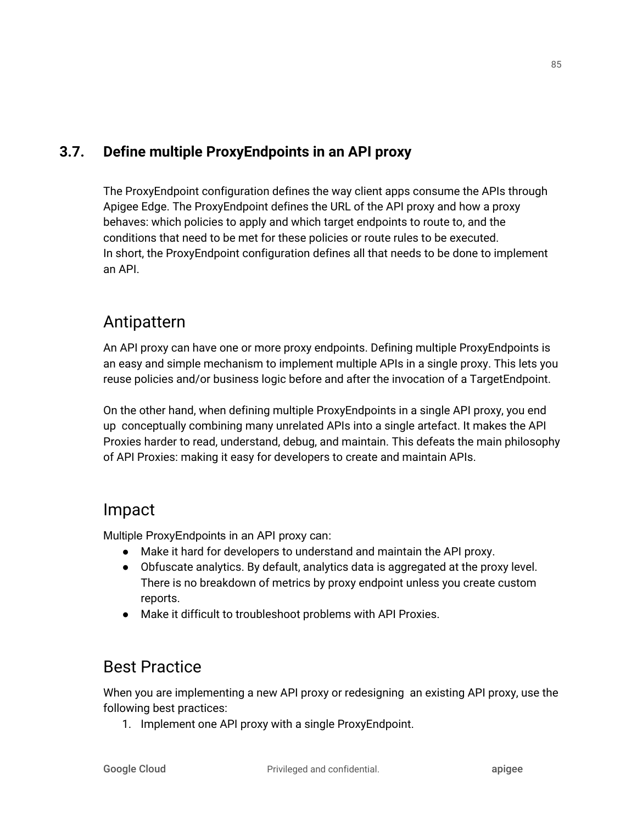### **3.7. Define multiple ProxyEndpoints in an API proxy**

The ProxyEndpoint configuration defines the way client apps consume the APIs through Apigee Edge. The ProxyEndpoint defines the URL of the API proxy and how a proxy behaves: which policies to apply and which target endpoints to route to, and the conditions that need to be met for these policies or route rules to be executed. In short, the ProxyEndpoint configuration defines all that needs to be done to implement an API.

### Antipattern

An API proxy can have one or more proxy endpoints. Defining multiple ProxyEndpoints is an easy and simple mechanism to implement multiple APIs in a single proxy. This lets you reuse policies and/or business logic before and after the invocation of a TargetEndpoint.

On the other hand, when defining multiple ProxyEndpoints in a single API proxy, you end up conceptually combining many unrelated APIs into a single artefact. It makes the API Proxies harder to read, understand, debug, and maintain. This defeats the main philosophy of API Proxies: making it easy for developers to create and maintain APIs.

### Impact

Multiple ProxyEndpoints in an API proxy can:

- Make it hard for developers to understand and maintain the API proxy.
- Obfuscate analytics. By default, analytics data is aggregated at the proxy level. There is no breakdown of metrics by proxy endpoint unless you create custom reports.
- Make it difficult to troubleshoot problems with API Proxies.

# Best Practice

When you are implementing a new API proxy or redesigning an existing API proxy, use the following best practices:

1. Implement one API proxy with a single ProxyEndpoint.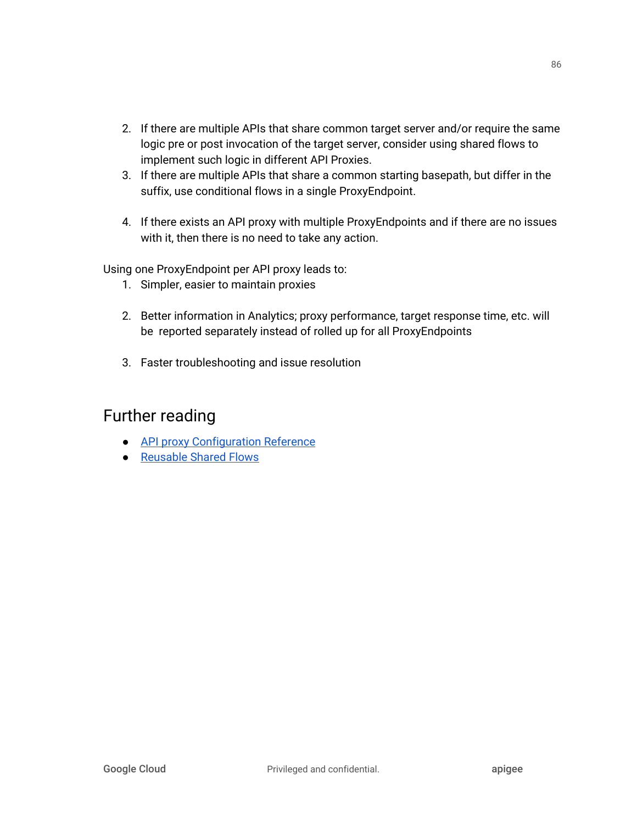- 2. If there are multiple APIs that share common target server and/or require the same logic pre or post invocation of the target server, consider using shared flows to implement such logic in different API Proxies.
- 3. If there are multiple APIs that share a common starting basepath, but differ in the suffix, use conditional flows in a single ProxyEndpoint.
- 4. If there exists an API proxy with multiple ProxyEndpoints and if there are no issues with it, then there is no need to take any action.

Using one ProxyEndpoint per API proxy leads to:

- 1. Simpler, easier to maintain proxies
- 2. Better information in Analytics; proxy performance, target response time, etc. will be reported separately instead of rolled up for all ProxyEndpoints
- 3. Faster troubleshooting and issue resolution

- API proxy [Configuration](https://docs.apigee.com/api-platform/reference/api-proxy-configuration-reference) Reference
- [Reusable](https://docs.apigee.com/api-platform/fundamentals/shared-flows) Shared Flows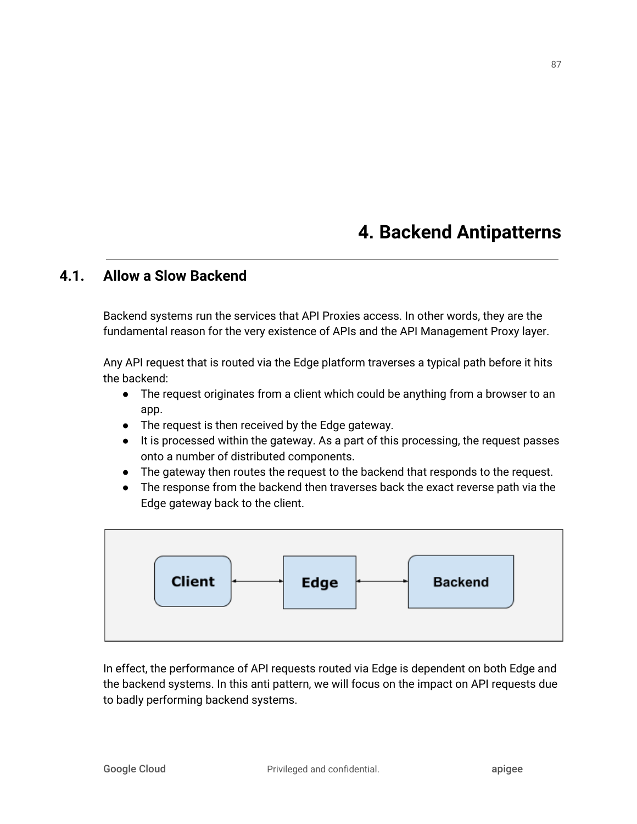# **4. Backend Antipatterns**

### **4.1. Allow a Slow Backend**

Backend systems run the services that API Proxies access. In other words, they are the fundamental reason for the very existence of APIs and the API Management Proxy layer.

Any API request that is routed via the Edge platform traverses a typical path before it hits the backend:

- The request originates from a client which could be anything from a browser to an app.
- The request is then received by the Edge gateway.
- It is processed within the gateway. As a part of this processing, the request passes onto a number of distributed components.
- The gateway then routes the request to the backend that responds to the request.
- The response from the backend then traverses back the exact reverse path via the Edge gateway back to the client.



In effect, the performance of API requests routed via Edge is dependent on both Edge and the backend systems. In this anti pattern, we will focus on the impact on API requests due to badly performing backend systems.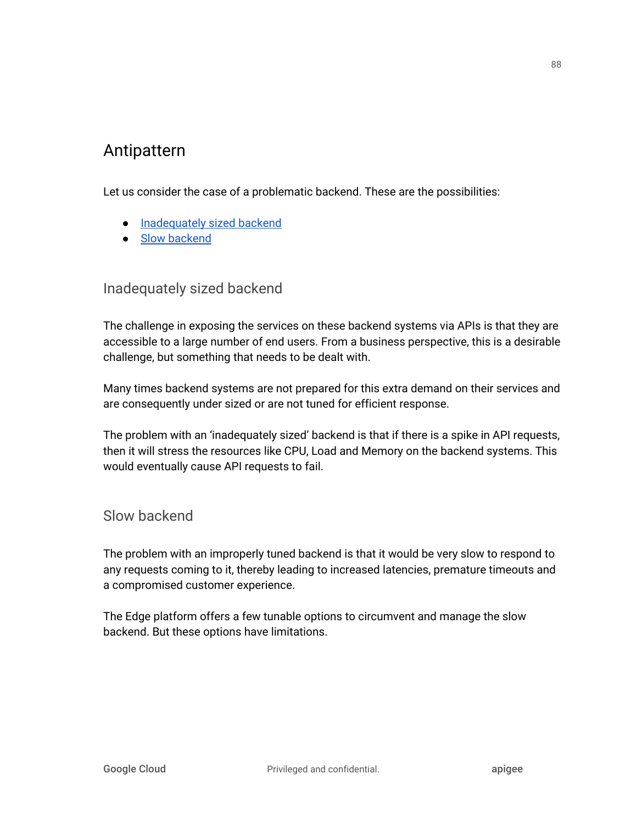## Antipattern

Let us consider the case of a problematic backend. These are the possibilities:

- [Inadequately](#page-88-0) sized backend
- Slow [backend](#page-88-1)

### <span id="page-88-0"></span>Inadequately sized backend

The challenge in exposing the services on these backend systems via APIs is that they are accessible to a large number of end users. From a business perspective, this is a desirable challenge, but something that needs to be dealt with.

Many times backend systems are not prepared for this extra demand on their services and are consequently under sized or are not tuned for efficient response.

The problem with an 'inadequately sized' backend is that if there is a spike in API requests, then it will stress the resources like CPU, Load and Memory on the backend systems. This would eventually cause API requests to fail.

<span id="page-88-1"></span>Slow backend

The problem with an improperly tuned backend is that it would be very slow to respond to any requests coming to it, thereby leading to increased latencies, premature timeouts and a compromised customer experience.

The Edge platform offers a few tunable options to circumvent and manage the slow backend. But these options have limitations.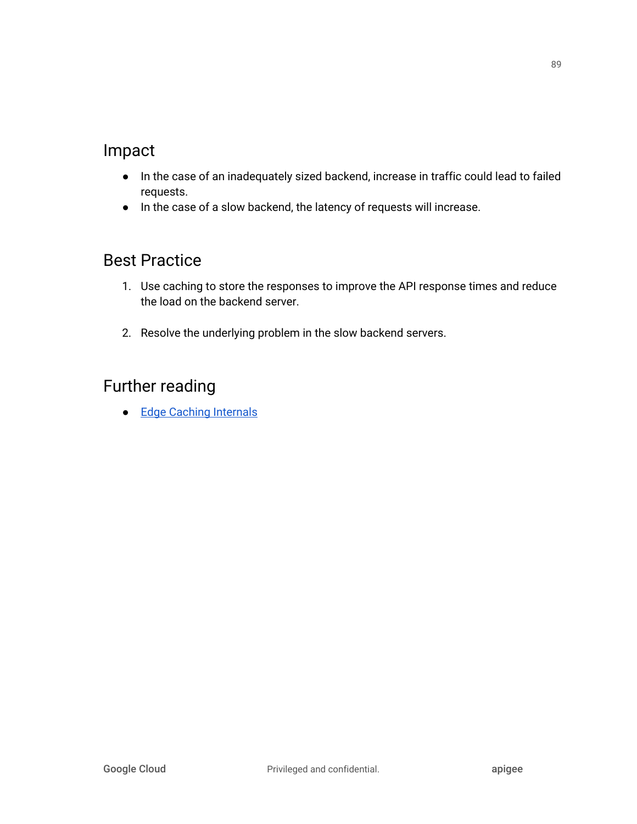## Impact

- In the case of an inadequately sized backend, increase in traffic could lead to failed requests.
- In the case of a slow backend, the latency of requests will increase.

## Best Practice

- 1. Use caching to store the responses to improve the API response times and reduce the load on the backend server.
- 2. Resolve the underlying problem in the slow backend servers.

## Further reading

● Edge Caching [Internals](http://docs.apigee.com/api-services/content/cache-internals)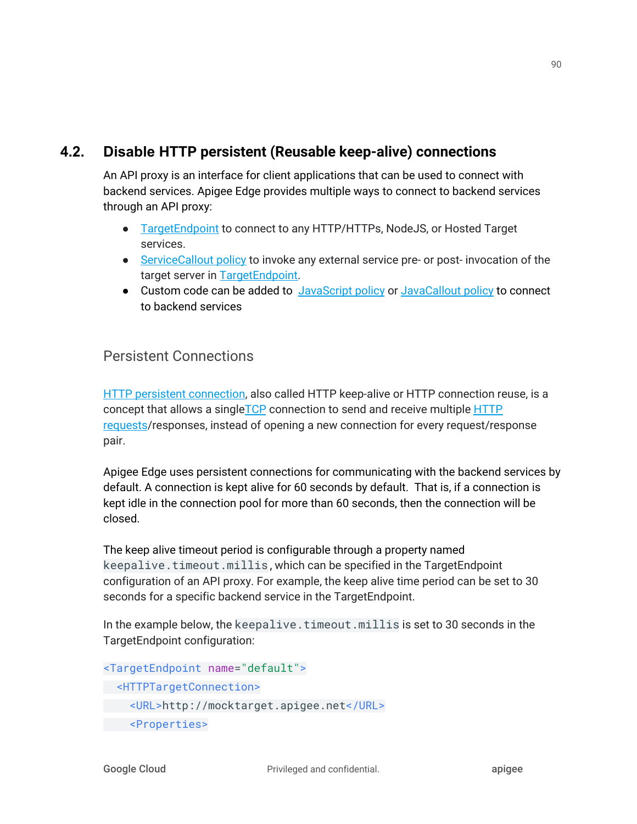### **4.2. Disable HTTP persistent (Reusable keep-alive) connections**

An API proxy is an interface for client applications that can be used to connect with backend services. Apigee Edge provides multiple ways to connect to backend services through an API proxy:

- [TargetEndpoint](https://docs.apigee.com/api-platform/fundamentals/understanding-apis-and-api-proxies) to connect to any HTTP/HTTPs, NodeJS, or Hosted Target services.
- [ServiceCallout](https://docs.apigee.com/api-platform/reference/policies/service-callout-policy) policy to invoke any external service pre- or post- invocation of the target server in [TargetEndpoint](https://docs.apigee.com/api-platform/fundamentals/understanding-apis-and-api-proxies).
- Custom code can be added to [JavaScript](https://docs.apigee.com/api-platform/reference/policies/javascript-policy) policy or [JavaCallout](https://docs.apigee.com/api-platform/reference/policies/java-callout-policy) policy to connect to backend services

### Persistent Connections

HTTP persistent [connection,](https://en.wikipedia.org/wiki/HTTP_persistent_connection) also called HTTP keep-alive or HTTP connection reuse, is a concept that allows a single[TCP](https://en.wikipedia.org/wiki/Transmission_Control_Protocol) connection to send and receive multiple [HTTP](https://en.wikipedia.org/wiki/HTTP_request) [requests/](https://en.wikipedia.org/wiki/HTTP_request)responses, instead of opening a new connection for every request/response pair.

Apigee Edge uses persistent connections for communicating with the backend services by default. A connection is kept alive for 60 seconds by default. That is, if a connection is kept idle in the connection pool for more than 60 seconds, then the connection will be closed.

The keep alive timeout period is configurable through a property named keepalive.timeout.millis, which can be specified in the TargetEndpoint configuration of an API proxy. For example, the keep alive time period can be set to 30 seconds for a specific backend service in the TargetEndpoint.

In the example below, the keepalive.timeout.millis is set to 30 seconds in the TargetEndpoint configuration:

```
<TargetEndpoint name="default">
 <HTTPTargetConnection>
    <URL>http://mocktarget.apigee.net</URL>
    <Properties>
```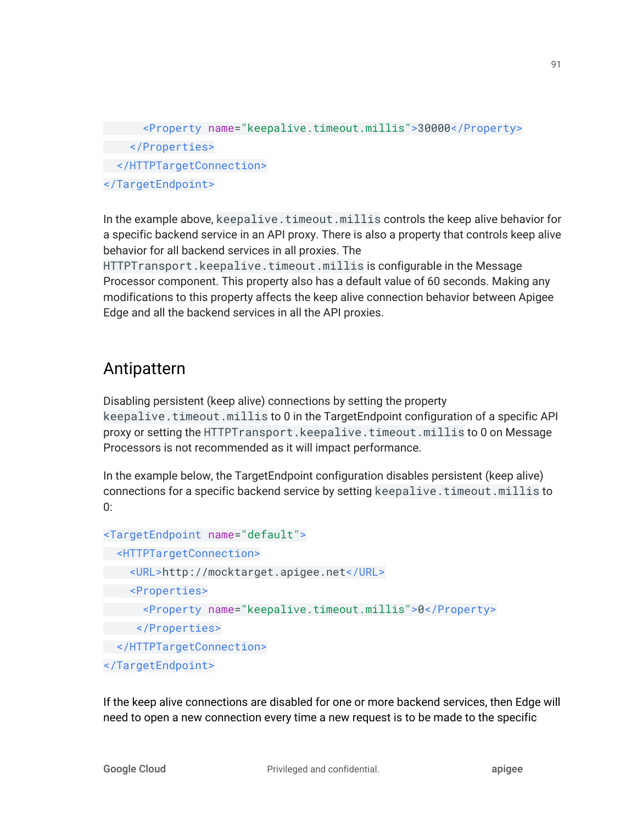```
 <Property name="keepalive.timeout.millis">30000</Property>
    </Properties>
 </HTTPTargetConnection>
</TargetEndpoint>
```
In the example above, keepalive.timeout.millis controls the keep alive behavior for a specific backend service in an API proxy. There is also a property that controls keep alive behavior for all backend services in all proxies. The

HTTPTransport.keepalive.timeout.millis is configurable in the Message Processor component. This property also has a default value of 60 seconds. Making any modifications to this property affects the keep alive connection behavior between Apigee Edge and all the backend services in all the API proxies.

# Antipattern

Disabling persistent (keep alive) connections by setting the property keepalive.timeout.millis to 0 in the TargetEndpoint configuration of a specific API proxy or setting the HTTPTransport.keepalive.timeout.millis to 0 on Message Processors is not recommended as it will impact performance.

In the example below, the TargetEndpoint configuration disables persistent (keep alive) connections for a specific backend service by setting keepalive.timeout.millis to 0:

```
<TargetEndpoint name="default">
 <HTTPTargetConnection>
    <URL>http://mocktarget.apigee.net</URL>
    <Properties>
       <Property name="keepalive.timeout.millis">0</Property>
      </Properties>
 </HTTPTargetConnection>
</TargetEndpoint>
```
If the keep alive connections are disabled for one or more backend services, then Edge will need to open a new connection every time a new request is to be made to the specific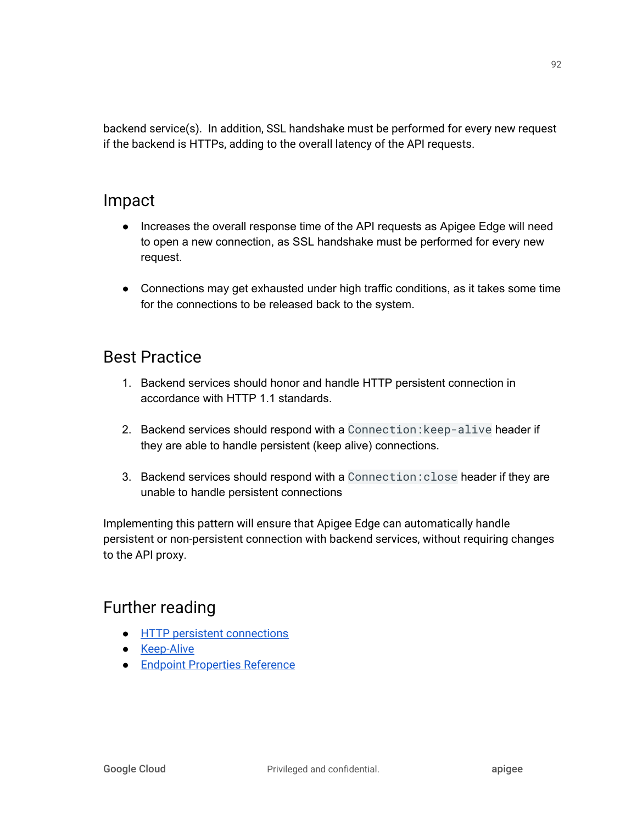backend service(s). In addition, SSL handshake must be performed for every new request if the backend is HTTPs, adding to the overall latency of the API requests.

### Impact

- Increases the overall response time of the API requests as Apigee Edge will need to open a new connection, as SSL handshake must be performed for every new request.
- Connections may get exhausted under high traffic conditions, as it takes some time for the connections to be released back to the system.

## Best Practice

- 1. Backend services should honor and handle HTTP persistent connection in accordance with HTTP 1.1 standards.
- 2. Backend services should respond with a Connection:keep-alive header if they are able to handle persistent (keep alive) connections.
- 3. Backend services should respond with a Connection:close header if they are unable to handle persistent connections

Implementing this pattern will ensure that Apigee Edge can automatically handle persistent or non-persistent connection with backend services, without requiring changes to the API proxy.

- HTTP persistent [connections](https://en.wikipedia.org/wiki/HTTP_persistent_connection)
- [Keep-Alive](https://developer.mozilla.org/en-US/docs/Web/HTTP/Headers/Keep-Alive)
- Endpoint [Properties](https://docs.apigee.com/api-platform/reference/endpoint-properties-reference) Reference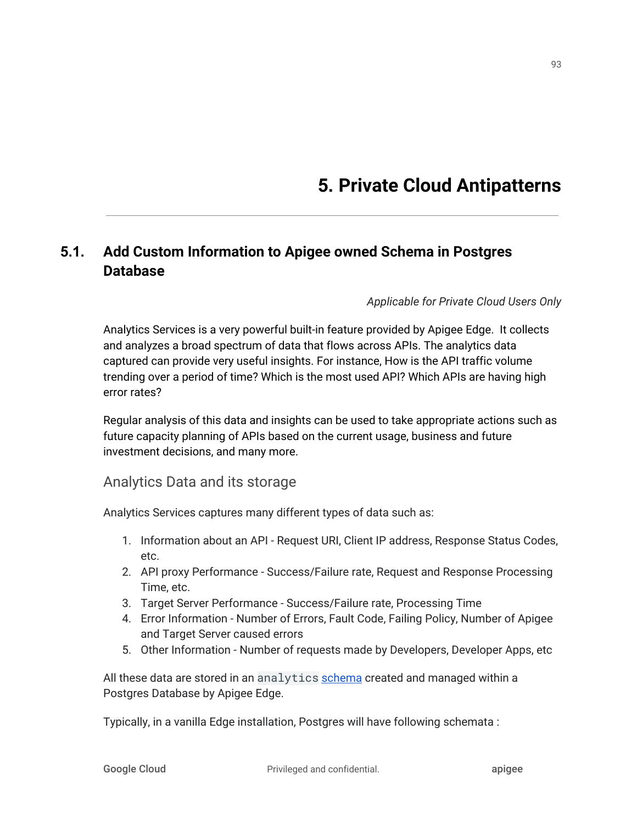# **5. Private Cloud Antipatterns**

### **5.1. Add Custom Information to Apigee owned Schema in Postgres Database**

#### *Applicable for Private Cloud Users Only*

Analytics Services is a very powerful built-in feature provided by Apigee Edge. It collects and analyzes a broad spectrum of data that flows across APIs. The analytics data captured can provide very useful insights. For instance, How is the API traffic volume trending over a period of time? Which is the most used API? Which APIs are having high error rates?

Regular analysis of this data and insights can be used to take appropriate actions such as future capacity planning of APIs based on the current usage, business and future investment decisions, and many more.

#### Analytics Data and its storage

Analytics Services captures many different types of data such as:

- 1. Information about an API Request URI, Client IP address, Response Status Codes, etc.
- 2. API proxy Performance Success/Failure rate, Request and Response Processing Time, etc.
- 3. Target Server Performance Success/Failure rate, Processing Time
- 4. Error Information Number of Errors, Fault Code, Failing Policy, Number of Apigee and Target Server caused errors
- 5. Other Information Number of requests made by Developers, Developer Apps, etc

All these data are stored in an analytics [schema](https://en.wikipedia.org/wiki/Database_schema) created and managed within a Postgres Database by Apigee Edge.

Typically, in a vanilla Edge installation, Postgres will have following schemata :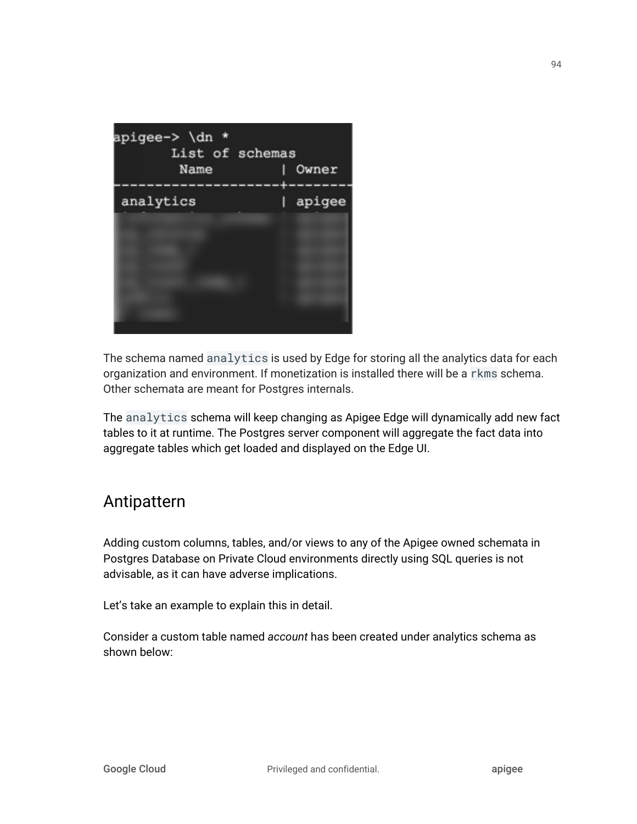

The schema named analytics is used by Edge for storing all the analytics data for each organization and environment. If monetization is installed there will be a rkms schema. Other schemata are meant for Postgres internals.

The analytics schema will keep changing as Apigee Edge will dynamically add new fact tables to it at runtime. The Postgres server component will aggregate the fact data into aggregate tables which get loaded and displayed on the Edge UI.

### Antipattern

Adding custom columns, tables, and/or views to any of the Apigee owned schemata in Postgres Database on Private Cloud environments directly using SQL queries is not advisable, as it can have adverse implications.

Let's take an example to explain this in detail.

Consider a custom table named *account* has been created under analytics schema as shown below: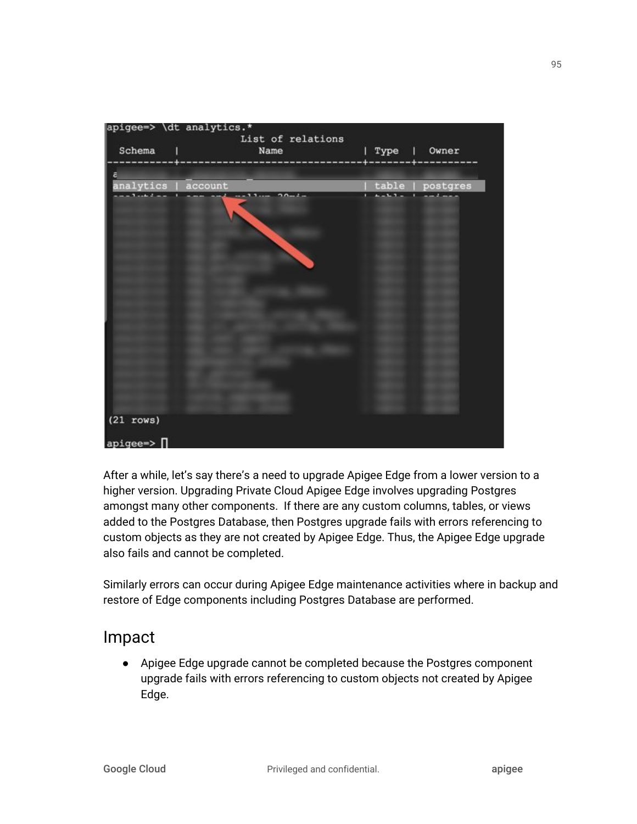| Schema                                   | apigee=> \dt analytics.*<br>List of relations<br>Name |      | Owner<br>I.      |
|------------------------------------------|-------------------------------------------------------|------|------------------|
|                                          |                                                       | Type |                  |
| ā                                        |                                                       |      |                  |
| analytics                                | account<br>$5 -$                                      |      | table   postgres |
| $(21$ rows)<br>$apigee \Rightarrow \Box$ |                                                       |      |                  |

After a while, let's say there's a need to upgrade Apigee Edge from a lower version to a higher version. Upgrading Private Cloud Apigee Edge involves upgrading Postgres amongst many other components. If there are any custom columns, tables, or views added to the Postgres Database, then Postgres upgrade fails with errors referencing to custom objects as they are not created by Apigee Edge. Thus, the Apigee Edge upgrade also fails and cannot be completed.

Similarly errors can occur during Apigee Edge maintenance activities where in backup and restore of Edge components including Postgres Database are performed.

### Impact

● Apigee Edge upgrade cannot be completed because the Postgres component upgrade fails with errors referencing to custom objects not created by Apigee Edge.